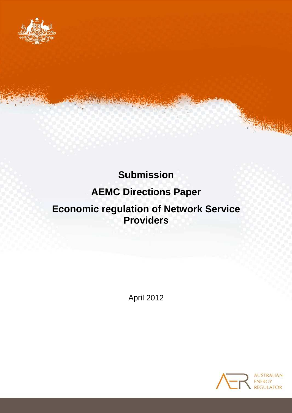

# **Submission**

# **AEMC Directions Paper**

# **Economic regulation of Network Service Providers**

April 2012

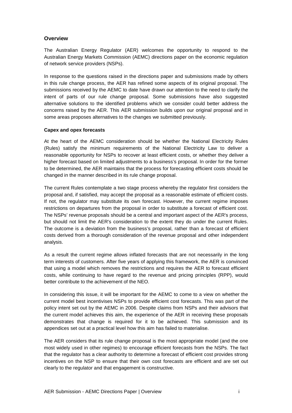#### **Overview**

The Australian Energy Regulator (AER) welcomes the opportunity to respond to the Australian Energy Markets Commission (AEMC) directions paper on the economic regulation of network service providers (NSPs).

In response to the questions raised in the directions paper and submissions made by others in this rule change process, the AER has refined some aspects of its original proposal. The submissions received by the AEMC to date have drawn our attention to the need to clarify the intent of parts of our rule change proposal. Some submissions have also suggested alternative solutions to the identified problems which we consider could better address the concerns raised by the AER. This AER submission builds upon our original proposal and in some areas proposes alternatives to the changes we submitted previously.

#### **Capex and opex forecasts**

At the heart of the AEMC consideration should be whether the National Electricity Rules (Rules) satisfy the minimum requirements of the National Electricity Law to deliver a reasonable opportunity for NSPs to recover at least efficient costs, or whether they deliver a higher forecast based on limited adjustments to a business's proposal. In order for the former to be determined, the AER maintains that the process for forecasting efficient costs should be changed in the manner described in its rule change proposal.

The current Rules contemplate a two stage process whereby the regulator first considers the proposal and, if satisfied, may accept the proposal as a reasonable estimate of efficient costs. If not, the regulator may substitute its own forecast. However, the current regime imposes restrictions on departures from the proposal in order to substitute a forecast of efficient cost. The NSPs' revenue proposals should be a central and important aspect of the AER's process, but should not limit the AER's consideration to the extent they do under the current Rules. The outcome is a deviation from the business's proposal, rather than a forecast of efficient costs derived from a thorough consideration of the revenue proposal and other independent analysis.

As a result the current regime allows inflated forecasts that are not necessarily in the long term interests of customers. After five years of applying this framework, the AER is convinced that using a model which removes the restrictions and requires the AER to forecast efficient costs, while continuing to have regard to the revenue and pricing principles (RPP), would better contribute to the achievement of the NEO.

In considering this issue, it will be important for the AEMC to come to a view on whether the current model best incentivises NSPs to provide efficient cost forecasts. This was part of the policy intent set out by the AEMC in 2006. Despite claims from NSPs and their advisors that the current model achieves this aim, the experience of the AER in receiving these proposals demonstrates that change is required for it to be achieved. This submission and its appendices set out at a practical level how this aim has failed to materialise.

The AER considers that its rule change proposal is the most appropriate model (and the one most widely used in other regimes) to encourage efficient forecasts from the NSPs. The fact that the regulator has a clear authority to determine a forecast of efficient cost provides strong incentives on the NSP to ensure that their own cost forecasts are efficient and are set out clearly to the regulator and that engagement is constructive.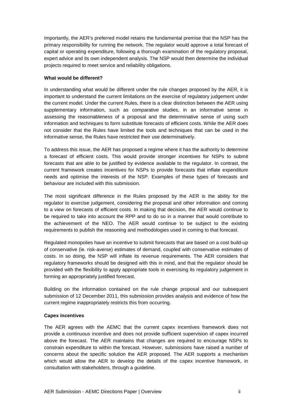Importantly, the AER's preferred model retains the fundamental premise that the NSP has the primary responsibility for running the network. The regulator would approve a total forecast of capital or operating expenditure, following a thorough examination of the regulatory proposal, expert advice and its own independent analysis. The NSP would then determine the individual projects required to meet service and reliability obligations.

#### **What would be different?**

In understanding what would be different under the rule changes proposed by the AER, it is important to understand the current limitations on the exercise of regulatory judgement under the current model. Under the current Rules, there is a clear distinction between the AER using supplementary information, such as comparative studies, in an informative sense in assessing the reasonableness of a proposal and the determinative sense of using such information and techniques to form substitute forecasts of efficient costs. While the AER does not consider that the Rules have limited the tools and techniques that can be used in the informative sense, the Rules have restricted their use determinatively.

To address this issue, the AER has proposed a regime where it has the authority to determine a forecast of efficient costs. This would provide stronger incentives for NSPs to submit forecasts that are able to be justified by evidence available to the regulator. In contrast, the current framework creates incentives for NSPs to provide forecasts that inflate expenditure needs and optimise the interests of the NSP. Examples of these types of forecasts and behaviour are included with this submission.

The most significant difference in the Rules proposed by the AER is the ability for the regulator to exercise judgement, considering the proposal and other information and coming to a view on forecasts of efficient costs. In making that decision, the AER would continue to be required to take into account the RPP and to do so in a manner that would contribute to the achievement of the NEO. The AER would continue to be subject to the existing requirements to publish the reasoning and methodologies used in coming to that forecast.

Regulated monopolies have an incentive to submit forecasts that are based on a cost build-up of conservative (ie. risk-averse) estimates of demand, coupled with conservative estimates of costs. In so doing, the NSP will inflate its revenue requirements. The AER considers that regulatory frameworks should be designed with this in mind, and that the regulator should be provided with the flexibility to apply appropriate tools in exercising its regulatory judgement in forming an appropriately justified forecast.

Building on the information contained on the rule change proposal and our subsequent submission of 12 December 2011, this submission provides analysis and evidence of how the current regime inappropriately restricts this from occurring.

#### **Capex incentives**

The AER agrees with the AEMC that the current capex incentives framework does not provide a continuous incentive and does not provide sufficient supervision of capex incurred above the forecast. The AER maintains that changes are required to encourage NSPs to constrain expenditure to within the forecast. However, submissions have raised a number of concerns about the specific solution the AER proposed. The AER supports a mechanism which would allow the AER to develop the details of the capex incentive framework, in consultation with stakeholders, through a guideline.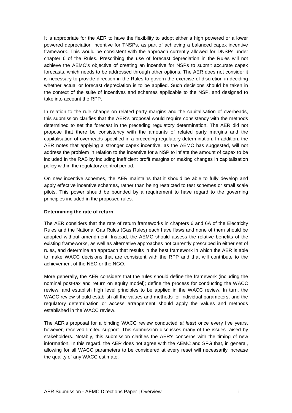It is appropriate for the AER to have the flexibility to adopt either a high powered or a lower powered depreciation incentive for TNSPs, as part of achieving a balanced capex incentive framework. This would be consistent with the approach currently allowed for DNSPs under chapter 6 of the Rules. Prescribing the use of forecast depreciation in the Rules will not achieve the AEMC's objective of creating an incentive for NSPs to submit accurate capex forecasts, which needs to be addressed through other options. The AER does not consider it is necessary to provide direction in the Rules to govern the exercise of discretion in deciding whether actual or forecast depreciation is to be applied. Such decisions should be taken in the context of the suite of incentives and schemes applicable to the NSP, and designed to take into account the RPP.

In relation to the rule change on related party margins and the capitalisation of overheads, this submission clarifies that the AER's proposal would require consistency with the methods determined to set the forecast in the preceding regulatory determination. The AER did not propose that there be consistency with the amounts of related party margins and the capitalisation of overheads specified in a preceding regulatory determination. In addition, the AER notes that applying a stronger capex incentive, as the AEMC has suggested, will not address the problem in relation to the incentive for a NSP to inflate the amount of capex to be included in the RAB by including inefficient profit margins or making changes in capitalisation policy within the regulatory control period.

On new incentive schemes, the AER maintains that it should be able to fully develop and apply effective incentive schemes, rather than being restricted to test schemes or small scale pilots. This power should be bounded by a requirement to have regard to the governing principles included in the proposed rules.

#### **Determining the rate of return**

The AER considers that the rate of return frameworks in chapters 6 and 6A of the Electricity Rules and the National Gas Rules (Gas Rules) each have flaws and none of them should be adopted without amendment. Instead, the AEMC should assess the relative benefits of the existing frameworks, as well as alternative approaches not currently prescribed in either set of rules, and determine an approach that results in the best framework in which the AER is able to make WACC decisions that are consistent with the RPP and that will contribute to the achievement of the NEO or the NGO.

More generally, the AER considers that the rules should define the framework (including the nominal post-tax and return on equity model); define the process for conducting the WACC review; and establish high level principles to be applied in the WACC review. In turn, the WACC review should establish all the values and methods for individual parameters, and the regulatory determination or access arrangement should apply the values and methods established in the WACC review.

The AER's proposal for a binding WACC review conducted at least once every five years, however, received limited support. This submission discusses many of the issues raised by stakeholders. Notably, this submission clarifies the AER's concerns with the timing of new information. In this regard, the AER does not agree with the AEMC and SFG that, in general, allowing for all WACC parameters to be considered at every reset will necessarily increase the quality of any WACC estimate.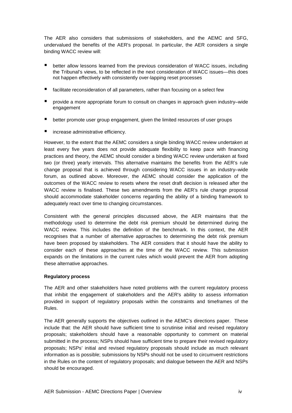The AER also considers that submissions of stakeholders, and the AEMC and SFG, undervalued the benefits of the AER's proposal. In particular, the AER considers a single binding WACC review will:

- better allow lessons learned from the previous consideration of WACC issues, including the Tribunal's views, to be reflected in the next consideration of WACC issues—this does not happen effectively with consistently over-lapping reset processes
- facilitate reconsideration of all parameters, rather than focusing on a select few
- provide a more appropriate forum to consult on changes in approach given industry–wide engagement
- better promote user group engagement, given the limited resources of user groups
- increase administrative efficiency.

However, to the extent that the AEMC considers a single binding WACC review undertaken at least every five years does not provide adequate flexibility to keep pace with financing practices and theory, the AEMC should consider a binding WACC review undertaken at fixed two (or three) yearly intervals. This alternative maintains the benefits from the AER's rule change proposal that is achieved through considering WACC issues in an industry–wide forum, as outlined above. Moreover, the AEMC should consider the application of the outcomes of the WACC review to resets where the reset draft decision is released after the WACC review is finalised. These two amendments from the AER's rule change proposal should accommodate stakeholder concerns regarding the ability of a binding framework to adequately react over time to changing circumstances.

Consistent with the general principles discussed above, the AER maintains that the methodology used to determine the debt risk premium should be determined during the WACC review. This includes the definition of the benchmark. In this context, the AER recognises that a number of alternative approaches to determining the debt risk premium have been proposed by stakeholders. The AER considers that it should have the ability to consider each of these approaches at the time of the WACC review. This submission expands on the limitations in the current rules which would prevent the AER from adopting these alternative approaches.

#### **Regulatory process**

The AER and other stakeholders have noted problems with the current regulatory process that inhibit the engagement of stakeholders and the AER's ability to assess information provided in support of regulatory proposals within the constraints and timeframes of the Rules.

The AER generally supports the objectives outlined in the AEMC's directions paper. These include that: the AER should have sufficient time to scrutinise initial and revised regulatory proposals; stakeholders should have a reasonable opportunity to comment on material submitted in the process; NSPs should have sufficient time to prepare their revised regulatory proposals; NSPs' initial and revised regulatory proposals should include as much relevant information as is possible; submissions by NSPs should not be used to circumvent restrictions in the Rules on the content of regulatory proposals; and dialogue between the AER and NSPs should be encouraged.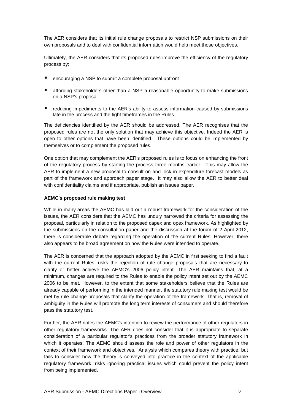The AER considers that its initial rule change proposals to restrict NSP submissions on their own proposals and to deal with confidential information would help meet those objectives.

Ultimately, the AER considers that its proposed rules improve the efficiency of the regulatory process by:

- encouraging a NSP to submit a complete proposal upfront
- affording stakeholders other than a NSP a reasonable opportunity to make submissions on a NSP's proposal
- reducing impediments to the AER's ability to assess information caused by submissions late in the process and the tight timeframes in the Rules.

The deficiencies identified by the AER should be addressed. The AER recognises that the proposed rules are not the only solution that may achieve this objective. Indeed the AER is open to other options that have been identified. These options could be implemented by themselves or to complement the proposed rules.

One option that may complement the AER's proposed rules is to focus on enhancing the front of the regulatory process by starting the process three months earlier. This may allow the AER to implement a new proposal to consult on and lock in expenditure forecast models as part of the framework and approach paper stage. It may also allow the AER to better deal with confidentiality claims and if appropriate, publish an issues paper.

#### **AEMC's proposed rule making test**

While in many areas the AEMC has laid out a robust framework for the consideration of the issues, the AER considers that the AEMC has unduly narrowed the criteria for assessing the proposal, particularly in relation to the proposed capex and opex framework. As highlighted by the submissions on the consultation paper and the discussion at the forum of 2 April 2012, there is considerable debate regarding the operation of the current Rules. However, there also appears to be broad agreement on how the Rules were intended to operate.

The AER is concerned that the approach adopted by the AEMC in first seeking to find a fault with the current Rules, risks the rejection of rule change proposals that are necessary to clarify or better achieve the AEMC's 2006 policy intent. The AER maintains that, at a minimum, changes are required to the Rules to enable the policy intent set out by the AEMC 2006 to be met. However, to the extent that some stakeholders believe that the Rules are already capable of performing in the intended manner, the statutory rule making test would be met by rule change proposals that clarify the operation of the framework. That is, removal of ambiguity in the Rules will promote the long term interests of consumers and should therefore pass the statutory test.

Further, the AER notes the AEMC's intention to review the performance of other regulators in other regulatory frameworks. The AER does not consider that it is appropriate to separate consideration of a particular regulator's practices from the broader statutory framework in which it operates. The AEMC should assess the role and power of other regulators in the context of their framework and objectives. Analysis which compares theory with practice, but fails to consider how the theory is conveyed into practice in the context of the applicable regulatory framework, risks ignoring practical issues which could prevent the policy intent from being implemented.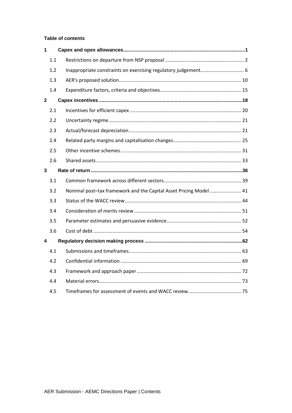#### **Table of contents**

| 1            |     |                                                                    |  |
|--------------|-----|--------------------------------------------------------------------|--|
|              | 1.1 |                                                                    |  |
|              | 1.2 |                                                                    |  |
|              | 1.3 |                                                                    |  |
|              | 1.4 |                                                                    |  |
| $\mathbf{2}$ |     |                                                                    |  |
|              | 2.1 |                                                                    |  |
|              | 2.2 |                                                                    |  |
|              | 2.3 |                                                                    |  |
|              | 2.4 |                                                                    |  |
|              | 2.5 |                                                                    |  |
|              | 2.6 |                                                                    |  |
| 3            |     |                                                                    |  |
|              | 3.1 |                                                                    |  |
|              | 3.2 | Nominal post-tax framework and the Capital Asset Pricing Model  41 |  |
|              | 3.3 |                                                                    |  |
|              | 3.4 |                                                                    |  |
|              | 3.5 |                                                                    |  |
|              | 3.6 |                                                                    |  |
| 4            |     |                                                                    |  |
|              | 4.1 |                                                                    |  |
|              | 4.2 |                                                                    |  |
|              | 4.3 |                                                                    |  |
|              | 4.4 |                                                                    |  |
|              | 4.5 |                                                                    |  |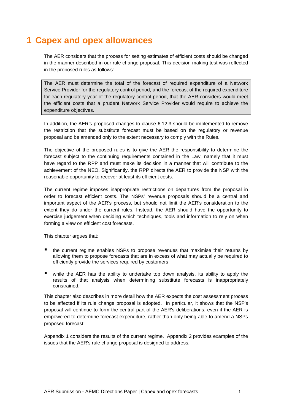# **1 Capex and opex allowances**

The AER considers that the process for setting estimates of efficient costs should be changed in the manner described in our rule change proposal. This decision making test was reflected in the proposed rules as follows:

The AER must determine the total of the forecast of required expenditure of a Network Service Provider for the regulatory control period, and the forecast of the required expenditure for each regulatory year of the regulatory control period, that the AER considers would meet the efficient costs that a prudent Network Service Provider would require to achieve the expenditure objectives.

In addition, the AER's proposed changes to clause 6.12.3 should be implemented to remove the restriction that the substitute forecast must be based on the regulatory or revenue proposal and be amended only to the extent necessary to comply with the Rules.

The objective of the proposed rules is to give the AER the responsibility to determine the forecast subject to the continuing requirements contained in the Law, namely that it must have regard to the RPP and must make its decision in a manner that will contribute to the achievement of the NEO. Significantly, the RPP directs the AER to provide the NSP with the reasonable opportunity to recover at least its efficient costs.

The current regime imposes inappropriate restrictions on departures from the proposal in order to forecast efficient costs. The NSPs' revenue proposals should be a central and important aspect of the AER's process, but should not limit the AER's consideration to the extent they do under the current rules. Instead, the AER should have the opportunity to exercise judgement when deciding which techniques, tools and information to rely on when forming a view on efficient cost forecasts.

This chapter argues that:

- the current regime enables NSPs to propose revenues that maximise their returns by allowing them to propose forecasts that are in excess of what may actually be required to efficiently provide the services required by customers
- while the AER has the ability to undertake top down analysis, its ability to apply the results of that analysis when determining substitute forecasts is inappropriately constrained.

This chapter also describes in more detail how the AER expects the cost assessment process to be affected if its rule change proposal is adopted. In particular, it shows that the NSP's proposal will continue to form the central part of the AER's deliberations, even if the AER is empowered to determine forecast expenditure, rather than only being able to amend a NSPs proposed forecast.

Appendix 1 considers the results of the current regime. Appendix 2 provides examples of the issues that the AER's rule change proposal is designed to address.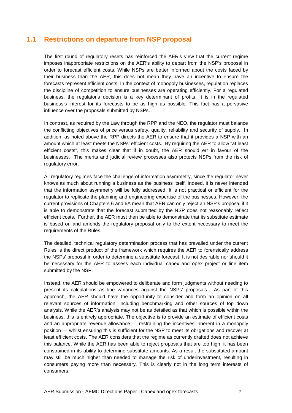# **1.1 Restrictions on departure from NSP proposal**

The first round of regulatory resets has reinforced the AER's view that the current regime imposes inappropriate restrictions on the AER's ability to depart from the NSP's proposal in order to forecast efficient costs. While NSPs are better informed about the costs faced by their business than the AER, this does not mean they have an incentive to ensure the forecasts represent efficient costs. In the context of monopoly businesses, regulation replaces the discipline of competition to ensure businesses are operating efficiently. For a regulated business, the regulator's decision is a key determinant of profits. It is in the regulated business's interest for its forecasts to be as high as possible. This fact has a pervasive influence over the proposals submitted by NSPs.

In contrast, as required by the Law through the RPP and the NEO, the regulator must balance the conflicting objectives of price versus safety, quality, reliability and security of supply. In addition, as noted above the RPP directs the AER to ensure that it provides a NSP with an amount which at least meets the NSPs' efficient costs. By requiring the AER to allow "at least efficient costs", this makes clear that if in doubt, the AER should err in favour of the businesses. The merits and judicial review processes also protects NSPs from the risk of regulatory error.

All regulatory regimes face the challenge of information asymmetry, since the regulator never knows as much about running a business as the business itself. Indeed, it is never intended that the information asymmetry will be fully addressed. It is not practical or efficient for the regulator to replicate the planning and engineering expertise of the businesses. However, the current provisions of Chapters 6 and 6A mean that AER can only reject an NSP's proposal if it is able to demonstrate that the forecast submitted by the NSP does not reasonably reflect efficient costs. Further, the AER must then be able to demonstrate that its substitute estimate is based on and amends the regulatory proposal only to the extent necessary to meet the requirements of the Rules.

The detailed, technical regulatory determination process that has prevailed under the current Rules is the direct product of the framework which requires the AER to forensically address the NSPs' proposal in order to determine a substitute forecast. It is not desirable nor should it be necessary for the AER to assess each individual capex and opex project or line item submitted by the NSP.

Instead, the AER should be empowered to deliberate and form judgments without needing to present its calculations as line variances against the NSPs' proposals. As part of this approach, the AER should have the opportunity to consider and form an opinion on all relevant sources of information, including benchmarking and other sources of top down analysis. While the AER's analysis may not be as detailed as that which is possible within the business, this is entirely appropriate. The objective is to provide an estimate of efficient costs and an appropriate revenue allowance — restraining the incentives inherent in a monopoly position — whilst ensuring this is sufficient for the NSP to meet its obligations and recover at least efficient costs. The AER considers that the regime as currently drafted does not achieve this balance. While the AER has been able to reject proposals that are too high, it has been constrained in its ability to determine substitute amounts. As a result the substituted amount may still be much higher than needed to manage the risk of underinvestment, resulting in consumers paying more than necessary. This is clearly not in the long term interests of consumers.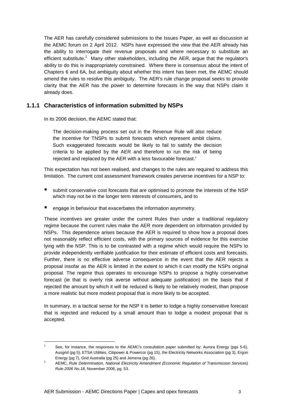The AER has carefully considered submissions to the Issues Paper, as well as discussion at the AEMC forum on 2 April 2012. NSPs have expressed the view that the AER already has the ability to interrogate their revenue proposals and where necessary to substitute an efficient substitute.<sup>1</sup> Many other stakeholders, including the AER, argue that the regulator's ability to do this is inappropriately constrained. Where there is consensus about the intent of Chapters 6 and 6A, but ambiguity about whether this intent has been met, the AEMC should amend the rules to resolve this ambiguity. The AER's rule change proposal seeks to provide clarity that the AER has the power to determine forecasts in the way that NSPs claim it already does.

## **1.1.1 Characteristics of information submitted by NSPs**

In its 2006 decision, the AEMC stated that:

The decision-making process set out in the Revenue Rule will also reduce the incentive for TNSPs to submit forecasts which represent ambit claims. Such exaggerated forecasts would be likely to fail to satisfy the decision criteria to be applied by the AER and therefore to run the risk of being rejected and replaced by the AER with a less favourable forecast.<sup>2</sup>

This expectation has not been realised, and changes to the rules are required to address this limitation. The current cost assessment framework creates perverse incentives for a NSP to:

- submit conservative cost forecasts that are optimised to promote the interests of the NSP which may not be in the longer term interests of consumers, and to
- engage in behaviour that exacerbates the information asymmetry.

These incentives are greater under the current Rules than under a traditional regulatory regime because the current rules make the AER more dependent on information provided by NSPs. This dependence arises because the AER is required to show how a proposal does not reasonably reflect efficient costs, with the primary sources of evidence for this exercise lying with the NSP. This is to be contrasted with a regime which would require the NSPs to provide independently verifiable justification for their estimate of efficient costs and forecasts. Further, there is no effective adverse consequence in the event that the AER rejects a proposal insofar as the AER is limited in the extent to which it can modify the NSPs original proposal. The regime thus operates to encourage NSPs to propose a highly conservative forecast (ie that is overly risk averse without adequate justification) on the basis that if rejected the amount by which it will be reduced is likely to be relatively modest, than propose a more realistic but more modest proposal that is more likely to be accepted.

In summary, in a tactical sense for the NSP it is better to lodge a highly conservative forecast that is rejected and reduced by a small amount than to lodge a modest proposal that is accepted.

 $\overline{a}$ 

<sup>1</sup> See, for instance, the responses to the AEMC's consultation paper submitted by: Aurora Energy (pgs 5-6), Ausgrid (pg 5), ETSA Utilities, Citipower & Powercor (pg 15), the Electricity Networks Association (pg 3), Ergon Energy (pg 7), Grid Australia (pg 25) and Jemena (pg 26).

<sup>2</sup> AEMC, Rule Determination, National Electricity Amendment (Economic Regulation of Transmission Services) Rule 2006 No.18, November 2006, pg. 53.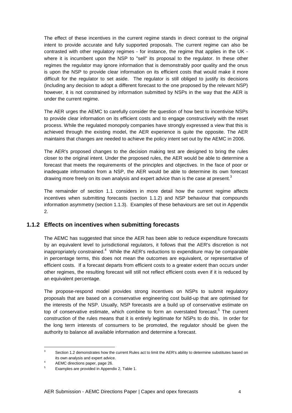The effect of these incentives in the current regime stands in direct contrast to the original intent to provide accurate and fully supported proposals. The current regime can also be contrasted with other regulatory regimes - for instance, the regime that applies in the UK where it is incumbent upon the NSP to "sell" its proposal to the regulator. In these other regimes the regulator may ignore information that is demonstrably poor quality and the onus is upon the NSP to provide clear information on its efficient costs that would make it more difficult for the regulator to set aside. The regulator is still obliged to justify its decisions (including any decision to adopt a different forecast to the one proposed by the relevant NSP) however, it is not constrained by information submitted by NSPs in the way that the AER is under the current regime.

The AER urges the AEMC to carefully consider the question of how best to incentivise NSPs to provide clear information on its efficient costs and to engage constructively with the reset process. While the regulated monopoly companies have strongly expressed a view that this is achieved through the existing model, the AER experience is quite the opposite. The AER maintains that changes are needed to achieve the policy intent set out by the AEMC in 2006.

The AER's proposed changes to the decision making test are designed to bring the rules closer to the original intent. Under the proposed rules, the AER would be able to determine a forecast that meets the requirements of the principles and objectives. In the face of poor or inadequate information from a NSP, the AER would be able to determine its own forecast drawing more freely on its own analysis and expert advice than is the case at present.<sup>3</sup>

The remainder of section 1.1 considers in more detail how the current regime affects incentives when submitting forecasts (section 1.1.2) and NSP behaviour that compounds information asymmetry (section 1.1.3). Examples of these behaviours are set out in Appendix 2.

#### **1.1.2 Effects on incentives when submitting forecasts**

The AEMC has suggested that since the AER has been able to reduce expenditure forecasts by an equivalent level to jurisdictional regulators, it follows that the AER's discretion is not inappropriately constrained.<sup>4</sup> While the AER's reductions to expenditure may be comparable in percentage terms, this does not mean the outcomes are equivalent, or representative of efficient costs. If a forecast departs from efficient costs to a greater extent than occurs under other regimes, the resulting forecast will still not reflect efficient costs even if it is reduced by an equivalent percentage.

The propose-respond model provides strong incentives on NSPs to submit regulatory proposals that are based on a conservative engineering cost build-up that are optimised for the interests of the NSP. Usually, NSP forecasts are a build up of conservative estimate on top of conservative estimate, which combine to form an overstated forecast.<sup>5</sup> The current construction of the rules means that it is entirely legitimate for NSPs to do this. In order for the long term interests of consumers to be promoted, the regulator should be given the authority to balance all available information and determine a forecast.

<sup>3</sup> Section 1.2 demonstrates how the current Rules act to limit the AER's ability to determine substitutes based on its own analysis and expert advice.

<sup>4</sup> AEMC directions paper, page 26.

<sup>5</sup> Examples are provided in Appendix 2, Table 1.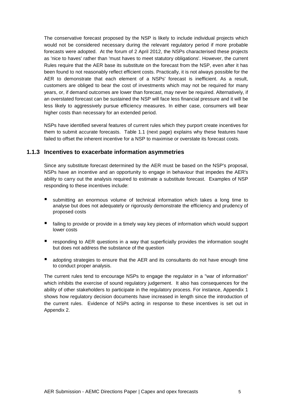The conservative forecast proposed by the NSP is likely to include individual projects which would not be considered necessary during the relevant regulatory period if more probable forecasts were adopted. At the forum of 2 April 2012, the NSPs characterised these projects as 'nice to haves' rather than 'must haves to meet statutory obligations'. However, the current Rules require that the AER base its substitute on the forecast from the NSP, even after it has been found to not reasonably reflect efficient costs. Practically, it is not always possible for the AER to demonstrate that each element of a NSPs' forecast is inefficient. As a result, customers are obliged to bear the cost of investments which may not be required for many years, or, if demand outcomes are lower than forecast, may never be required. Alternatively, if an overstated forecast can be sustained the NSP will face less financial pressure and it will be less likely to aggressively pursue efficiency measures. In either case, consumers will bear higher costs than necessary for an extended period.

NSPs have identified several features of current rules which they purport create incentives for them to submit accurate forecasts. Table 1.1 (next page) explains why these features have failed to offset the inherent incentive for a NSP to maximise or overstate its forecast costs.

#### **1.1.3 Incentives to exacerbate information asymmetries**

Since any substitute forecast determined by the AER must be based on the NSP's proposal, NSPs have an incentive and an opportunity to engage in behaviour that impedes the AER's ability to carry out the analysis required to estimate a substitute forecast. Examples of NSP responding to these incentives include:

- submitting an enormous volume of technical information which takes a long time to analyse but does not adequately or rigorously demonstrate the efficiency and prudency of proposed costs
- failing to provide or provide in a timely way key pieces of information which would support lower costs
- responding to AER questions in a way that superficially provides the information sought but does not address the substance of the question
- adopting strategies to ensure that the AER and its consultants do not have enough time to conduct proper analysis.

The current rules tend to encourage NSPs to engage the regulator in a "war of information" which inhibits the exercise of sound regulatory judgement. It also has consequences for the ability of other stakeholders to participate in the regulatory process. For instance, Appendix 1 shows how regulatory decision documents have increased in length since the introduction of the current rules. Evidence of NSPs acting in response to these incentives is set out in Appendix 2.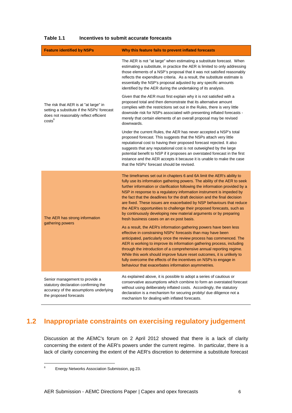| <b>Feature identified by NSPs</b>                                                                                                                  | Why this feature fails to prevent inflated forecasts                                                                                                                                                                                                                                                                                                                                                                                                                                                                                                                                                                                                                                                                                                                                                 |
|----------------------------------------------------------------------------------------------------------------------------------------------------|------------------------------------------------------------------------------------------------------------------------------------------------------------------------------------------------------------------------------------------------------------------------------------------------------------------------------------------------------------------------------------------------------------------------------------------------------------------------------------------------------------------------------------------------------------------------------------------------------------------------------------------------------------------------------------------------------------------------------------------------------------------------------------------------------|
|                                                                                                                                                    | The AER is not "at large" when estimating a substitute forecast. When<br>estimating a substitute, in practice the AER is limited to only addressing<br>those elements of a NSP's proposal that it was not satisfied reasonably<br>reflects the expenditure criteria. As a result, the substitute estimate is<br>essentially the NSP's proposal adjusted by any specific amounts<br>identified by the AER during the undertaking of its analysis.                                                                                                                                                                                                                                                                                                                                                     |
| The risk that AER is at "at large" in<br>setting a substitute if the NSPs' forecast<br>does not reasonably reflect efficient<br>costs <sup>6</sup> | Given that the AER must first explain why it is not satisfied with a<br>proposed total and then demonstrate that its alternative amount<br>complies with the restrictions set out in the Rules, there is very little<br>downside risk for NSPs associated with presenting inflated forecasts -<br>merely that certain elements of an overall proposal may be revised<br>downwards.                                                                                                                                                                                                                                                                                                                                                                                                                   |
|                                                                                                                                                    | Under the current Rules, the AER has never accepted a NSP's total<br>proposed forecast. This suggests that the NSPs attach very little<br>reputational cost to having their proposed forecast rejected. It also<br>suggests that any reputational cost is not outweighed by the large<br>potential benefit to NSP if it proposes an overstated forecast in the first<br>instance and the AER accepts it because it is unable to make the case<br>that the NSPs' forecast should be revised.                                                                                                                                                                                                                                                                                                          |
| The AER has strong information<br>gathering powers                                                                                                 | The timeframes set out in chapters 6 and 6A limit the AER's ability to<br>fully use its information gathering powers. The ability of the AER to seek<br>further information or clarification following the information provided by a<br>NSP in response to a regulatory information instrument is impeded by<br>the fact that the deadlines for the draft decision and the final decision<br>are fixed. These issues are exacerbated by NSP behaviours that reduce<br>the AER's opportunities to challenge their proposed forecasts, such as<br>by continuously developing new material arguments or by preparing<br>fresh business cases on an ex post basis.<br>As a result, the AER's information gathering powers have been less<br>effective in constraining NSPs' forecasts than may have been |
|                                                                                                                                                    | anticipated, particularly once the review process has commenced. The<br>AER is working to improve its information gathering process, including<br>through the introduction of a comprehensive annual reporting regime.<br>While this work should improve future reset outcomes, it is unlikely to<br>fully overcome the effects of the incentives on NSPs to engage in<br>behaviour that exacerbates information asymmetries.                                                                                                                                                                                                                                                                                                                                                                        |
| Senior management to provide a<br>statutory declaration confirming the<br>accuracy of the assumptions underlying<br>the proposed forecasts         | As explained above, it is possible to adopt a series of cautious or<br>conservative assumptions which combine to form an overstated forecast<br>without using deliberately inflated costs. Accordingly, the statutory<br>declaration is a mechanism for securing probity/ due diligence not a<br>mechanism for dealing with inflated forecasts.                                                                                                                                                                                                                                                                                                                                                                                                                                                      |

#### **Table 1.1 Incentives to submit accurate forecasts**

# **1.2 Inappropriate constraints on exercising regulatory judgement**

Discussion at the AEMC's forum on 2 April 2012 showed that there is a lack of clarity concerning the extent of the AER's powers under the current regime. In particular, there is a lack of clarity concerning the extent of the AER's discretion to determine a substitute forecast

<sup>6</sup> Energy Networks Association Submission, pg 23.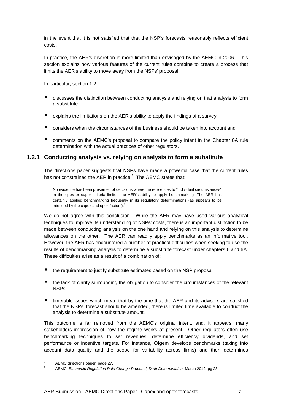in the event that it is not satisfied that that the NSP's forecasts reasonably reflects efficient costs.

In practice, the AER's discretion is more limited than envisaged by the AEMC in 2006. This section explains how various features of the current rules combine to create a process that limits the AER's ability to move away from the NSPs' proposal.

In particular, section 1.2:

- discusses the distinction between conducting analysis and relying on that analysis to form a substitute
- E explains the limitations on the AER's ability to apply the findings of a survey
- considers when the circumstances of the business should be taken into account and
- comments on the AEMC's proposal to compare the policy intent in the Chapter 6A rule determination with the actual practices of other regulators.

#### **1.2.1 Conducting analysis vs. relying on analysis to form a substitute**

The directions paper suggests that NSPs have made a powerful case that the current rules has not constrained the AER in practice.<sup>7</sup> The AEMC states that:

No evidence has been presented of decisions where the references to "individual circumstances" in the opex or capex criteria limited the AER's ability to apply benchmarking. The AER has certainly applied benchmarking frequently in its regulatory determinations (as appears to be intended by the capex and opex factors).<sup>8</sup>

We do not agree with this conclusion. While the AER may have used various analytical techniques to improve its understanding of NSPs' costs, there is an important distinction to be made between conducting analysis on the one hand and relying on this analysis to determine allowances on the other. The AER can readily apply benchmarks as an informative tool. However, the AER has encountered a number of practical difficulties when seeking to use the results of benchmarking analysis to determine a substitute forecast under chapters 6 and 6A. These difficulties arise as a result of a combination of:

- the requirement to justify substitute estimates based on the NSP proposal
- the lack of clarity surrounding the obligation to consider the circumstances of the relevant NSPs
- $\blacksquare$  timetable issues which mean that by the time that the AER and its advisors are satisfied that the NSPs' forecast should be amended, there is limited time available to conduct the analysis to determine a substitute amount.

This outcome is far removed from the AEMC's original intent, and, it appears, many stakeholders impression of how the regime works at present. Other regulators often use benchmarking techniques to set revenues, determine efficiency dividends, and set performance or incentive targets. For instance, Ofgem develops benchmarks (taking into account data quality and the scope for variability across firms) and then determines

<sup>7</sup> AEMC directions paper, page 27.

 $\mathbf{Q}$ AEMC, Economic Regulation Rule Change Proposal, Draft Determination, March 2012, pg 23.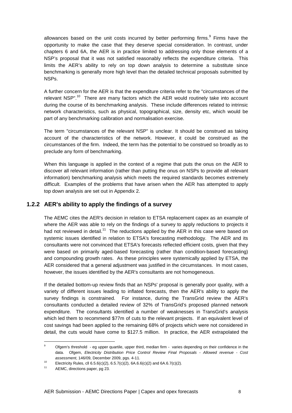allowances based on the unit costs incurred by better performing firms.<sup>9</sup> Firms have the opportunity to make the case that they deserve special consideration. In contrast, under chapters 6 and 6A, the AER is in practice limited to addressing only those elements of a NSP's proposal that it was not satisfied reasonably reflects the expenditure criteria. This limits the AER's ability to rely on top down analysis to determine a substitute since benchmarking is generally more high level than the detailed technical proposals submitted by NSPs.

A further concern for the AER is that the expenditure criteria refer to the "circumstances of the relevant NSP".<sup>10</sup> There are many factors which the AER would routinely take into account during the course of its benchmarking analysis. These include differences related to intrinsic network characteristics, such as physical, topographical, size, density etc, which would be part of any benchmarking calibration and normalisation exercise.

The term "circumstances of the relevant NSP" is unclear. It should be construed as taking account of the characteristics of the network. However, it could be construed as the circumstances of the firm. Indeed, the term has the potential to be construed so broadly as to preclude any form of benchmarking.

When this language is applied in the context of a regime that puts the onus on the AER to discover all relevant information (rather than putting the onus on NSPs to provide all relevant information) benchmarking analysis which meets the required standards becomes extremely difficult. Examples of the problems that have arisen when the AER has attempted to apply top down analysis are set out in Appendix 2.

## **1.2.2 AER's ability to apply the findings of a survey**

The AEMC cites the AER's decision in relation to ETSA replacement capex as an example of where the AER was able to rely on the findings of a survey to apply reductions to projects it had not reviewed in detail.<sup>11</sup> The reductions applied by the AER in this case were based on systemic issues identified in relation to ETSA's forecasting methodology. The AER and its consultants were not convinced that ETSA's forecasts reflected efficient costs, given that they were based on primarily aged-based forecasting (rather than condition-based forecasting) and compounding growth rates. As these principles were systemically applied by ETSA, the AER considered that a general adjustment was justified in the circumstances. In most cases, however, the issues identified by the AER's consultants are not homogeneous.

If the detailed bottom-up review finds that an NSPs' proposal is generally poor quality, with a variety of different issues leading to inflated forecasts, then the AER's ability to apply the survey findings is constrained. For instance, during the TransGrid review the AER's consultants conducted a detailed review of 32% of TransGrid's proposed planned network expenditure. The consultants identified a number of weaknesses in TransGrid's analysis which led them to recommend \$77m of cuts to the relevant projects. If an equivalent level of cost savings had been applied to the remaining 68% of projects which were not considered in detail, the cuts would have come to \$127.5 million. In practice, the AER extrapolated the

<sup>-&</sup>lt;br>9 Ofgem's threshold - eg upper quartile, upper third, median firm - varies depending on their confidence in the data. Ofgem, Electricity Distribution Price Control Review Final Proposals - Allowed revenue - Cost assessment, 146/09, December 2009, pgs. 4-11.

<sup>10</sup> Electricity Rules, cll 6.5.6(c)(2), 6.5.7(c)(2), 6A.6.6(c)(2) and 6A.6.7(c)(2).

AEMC, directions paper, pg 23.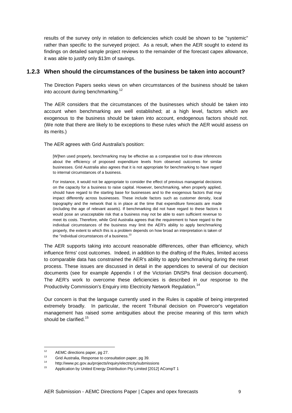results of the survey only in relation to deficiencies which could be shown to be "systemic" rather than specific to the surveyed project. As a result, when the AER sought to extend its findings on detailed sample project reviews to the remainder of the forecast capex allowance, it was able to justify only \$13m of savings.

#### **1.2.3 When should the circumstances of the business be taken into account?**

The Direction Papers seeks views on when circumstances of the business should be taken into account during benchmarking.<sup>12</sup>

The AER considers that the circumstances of the businesses which should be taken into account when benchmarking are well established; at a high level, factors which are exogenous to the business should be taken into account, endogenous factors should not. (We note that there are likely to be exceptions to these rules which the AER would assess on its merits.)

The AER agrees with Grid Australia's position:

[W]hen used properly, benchmarking may be effective as a comparative tool to draw inferences about the efficiency of proposed expenditure levels from observed outcomes for similar businesses. Grid Australia also agrees that it is not appropriate for benchmarking to have regard to internal circumstances of a business.

For instance, it would not be appropriate to consider the effect of previous managerial decisions on the capacity for a business to raise capital. However, benchmarking, when properly applied, should have regard to the starting base for businesses and to the exogenous factors that may impact differently across businesses. These include factors such as customer density, local topography and the network that is in place at the time that expenditure forecasts are made (including the age of relevant assets). If benchmarking did not have regard to these factors it would pose an unacceptable risk that a business may not be able to earn sufficient revenue to meet its costs. Therefore, while Grid Australia agrees that the requirement to have regard to the individual circumstances of the business may limit the AER's ability to apply benchmarking properly, the extent to which this is a problem depends on how broad an interpretation is taken of the "individual circumstances of a business.<sup>13</sup>

The AER supports taking into account reasonable differences, other than efficiency, which influence firms' cost outcomes. Indeed, in addition to the drafting of the Rules, limited access to comparable data has constrained the AER's ability to apply benchmarking during the reset process. These issues are discussed in detail in the appendices to several of our decision documents (see for example Appendix I of the Victorian DNSPs final decision document). The AER's work to overcome these deficiencies is described in our response to the Productivity Commission's Enquiry into Electricity Network Regulation.<sup>14</sup>

Our concern is that the language currently used in the Rules is capable of being interpreted extremely broadly. In particular, the recent Tribunal decision on Powercor's vegetation management has raised some ambiguities about the precise meaning of this term which should be clarified.<sup>15</sup>

<sup>&</sup>lt;sup>12</sup> AEMC directions paper, pg 27.<br> $\frac{13}{2}$  Crid Augustalia Because to sex

<sup>13</sup> Grid Australia, Response to consultation paper, pg 39.<br>14 bttp://www.ne.com/prejecte/inquiry/electricity/outprice

<sup>14</sup> http://www.pc.gov.au/projects/inquiry/electricity/submissions

<sup>15</sup> Application by United Energy Distribution Pty Limited [2012] ACompT 1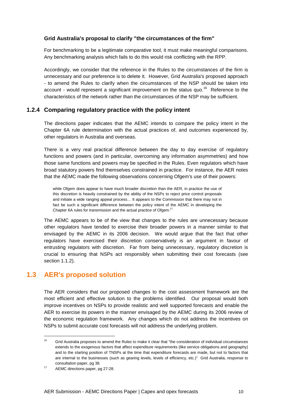#### **Grid Australia's proposal to clarify "the circumstances of the firm"**

For benchmarking to be a legitimate comparative tool, it must make meaningful comparisons. Any benchmarking analysis which fails to do this would risk conflicting with the RPP.

Accordingly, we consider that the reference in the Rules to the circumstances of the firm is unnecessary and our preference is to delete it. However, Grid Australia's proposed approach - to amend the Rules to clarify when the circumstances of the NSP should be taken into account - would represent a significant improvement on the status quo.<sup>16</sup> Reference to the characteristics of the network rather than the circumstances of the NSP may be sufficient.

#### **1.2.4 Comparing regulatory practice with the policy intent**

The directions paper indicates that the AEMC intends to compare the policy intent in the Chapter 6A rule determination with the actual practices of, and outcomes experienced by, other regulators in Australia and overseas.

There is a very real practical difference between the day to day exercise of regulatory functions and powers (and in particular, overcoming any information asymmetries) and how those same functions and powers may be specified in the Rules. Even regulators which have broad statutory powers find themselves constrained in practice. For instance, the AER notes that the AEMC made the following observations concerning Ofgem's use of their powers:

while Ofgem does appear to have much broader discretion than the AER, in practice the use of this discretion is heavily constrained by the ability of the NSPs to reject price control proposals and initiate a wide ranging appeal process… It appears to the Commission that there may not in fact be such a significant difference between the policy intent of the AEMC in developing the Chapter 6A rules for transmission and the actual practice of Ofgem.<sup>17</sup>

The AEMC appears to be of the view that changes to the rules are unnecessary because other regulators have tended to exercise their broader powers in a manner similar to that envisaged by the AEMC in its 2006 decision. We would argue that the fact that other regulators have exercised their discretion conservatively is an argument in favour of entrusting regulators with discretion. Far from being unnecessary, regulatory discretion is crucial to ensuring that NSPs act responsibly when submitting their cost forecasts (see section 1.1.2).

## **1.3 AER's proposed solution**

The AER considers that our proposed changes to the cost assessment framework are the most efficient and effective solution to the problems identified. Our proposal would both improve incentives on NSPs to provide realistic and well supported forecasts and enable the AER to exercise its powers in the manner envisaged by the AEMC during its 2006 review of the economic regulation framework. Any changes which do not address the incentives on NSPs to submit accurate cost forecasts will not address the underlying problem.

 $16$ <sup>16</sup> Grid Australia proposes to amend the Rules to make it clear that "the consideration of individual circumstances extends to the exogenous factors that affect expenditure requirements (like service obligations and geography) and to the starting position of TNSPs at the time that expenditure forecasts are made, but not to factors that are internal to the businesses (such as gearing levels, levels of efficiency, etc.)" Grid Australia, response to consultation paper, pg 38.

<sup>&</sup>lt;sup>17</sup> AEMC directions paper, pg 27-28.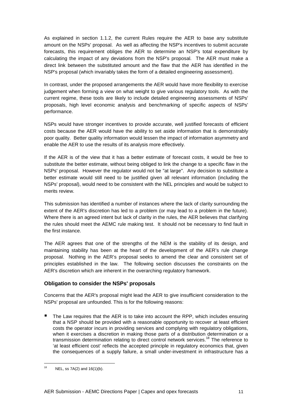As explained in section 1.1.2, the current Rules require the AER to base any substitute amount on the NSPs' proposal. As well as affecting the NSP's incentives to submit accurate forecasts, this requirement obliges the AER to determine an NSP's total expenditure by calculating the impact of any deviations from the NSP's proposal. The AER must make a direct link between the substituted amount and the flaw that the AER has identified in the NSP's proposal (which invariably takes the form of a detailed engineering assessment).

In contrast, under the proposed arrangements the AER would have more flexibility to exercise judgement when forming a view on what weight to give various regulatory tools. As with the current regime, these tools are likely to include detailed engineering assessments of NSPs' proposals, high level economic analysis and benchmarking of specific aspects of NSPs' performance.

NSPs would have stronger incentives to provide accurate, well justified forecasts of efficient costs because the AER would have the ability to set aside information that is demonstrably poor quality. Better quality information would lessen the impact of information asymmetry and enable the AER to use the results of its analysis more effectively.

If the AER is of the view that it has a better estimate of forecast costs, it would be free to substitute the better estimate, without being obliged to link the change to a specific flaw in the NSPs' proposal. However the regulator would not be "at large". Any decision to substitute a better estimate would still need to be justified given all relevant information (including the NSPs' proposal), would need to be consistent with the NEL principles and would be subject to merits review.

This submission has identified a number of instances where the lack of clarity surrounding the extent of the AER's discretion has led to a problem (or may lead to a problem in the future). Where there is an agreed intent but lack of clarity in the rules, the AER believes that clarifying the rules should meet the AEMC rule making test. It should not be necessary to find fault in the first instance.

The AER agrees that one of the strengths of the NEM is the stability of its design, and maintaining stability has been at the heart of the development of the AER's rule change proposal. Nothing in the AER's proposal seeks to amend the clear and consistent set of principles established in the law. The following section discusses the constraints on the AER's discretion which are inherent in the overarching regulatory framework.

#### **Obligation to consider the NSPs' proposals**

Concerns that the AER's proposal might lead the AER to give insufficient consideration to the NSPs' proposal are unfounded. This is for the following reasons:

 The Law requires that the AER is to take into account the RPP, which includes ensuring that a NSP should be provided with a reasonable opportunity to recover at least efficient costs the operator incurs in providing services and complying with regulatory obligations, when it exercises a discretion in making those parts of a distribution determination or a transmission determination relating to direct control network services.<sup>18</sup> The reference to 'at least efficient cost' reflects the accepted principle in regulatory economics that, given the consequences of a supply failure, a small under-investment in infrastructure has a

 $18$  NEL, ss 7A(2) and 16(1)(b).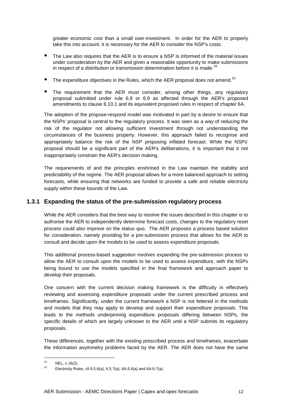greater economic cost than a small over-investment. In order for the AER to properly take this into account, it is necessary for the AER to consider the NSP's costs.

- The Law also requires that the AER is to ensure a NSP is informed of the material issues under consideration by the AER and given a reasonable opportunity to make submissions in respect of a distribution or transmission determination before it is made.<sup>19</sup>
- The expenditure objectives in the Rules, which the AER proposal does not amend.<sup>20</sup>
- The requirement that the AER must consider, among other things, any regulatory proposal submitted under rule 6.8 or 6.9 as affected through the AER's proposed amendments to clause 6.10.1 and its equivalent proposed rules in respect of chapter 6A.

The adoption of the propose-respond model was motivated in part by a desire to ensure that the NSPs' proposal is central to the regulatory process. It was seen as a way of reducing the risk of the regulator not allowing sufficient investment through not understanding the circumstances of the business properly. However, this approach failed to recognise and appropriately balance the risk of the NSP proposing inflated forecast. While the NSPs' proposal should be a significant part of the AER's deliberations, it is important that it not inappropriately constrain the AER's decision making.

The requirements of and the principles enshrined in the Law maintain the stability and predictability of the regime. The AER proposal allows for a more balanced approach to setting forecasts, while ensuring that networks are funded to provide a safe and reliable electricity supply within these bounds of the Law.

#### **1.3.1 Expanding the status of the pre-submission regulatory process**

While the AER considers that the best way to resolve the issues described in this chapter is to authorise the AER to independently determine forecast costs, changes to the regulatory reset process could also improve on the status quo. The AER proposes a process based solution for consideration, namely providing for a pre-submission process that allows for the AER to consult and decide upon the models to be used to assess expenditure proposals.

This additional process-based suggestion involves expanding the pre-submission process to allow the AER to consult upon the models to be used to assess expenditure, with the NSPs being bound to use the models specified in the final framework and approach paper to develop their proposals.

One concern with the current decision making framework is the difficulty in effectively reviewing and assessing expenditure proposals under the current prescribed process and timeframes. Significantly, under the current framework a NSP is not fettered in the methods and models that they may apply to develop and support their expenditure proposals. This leads to the methods underpinning expenditure proposals differing between NSPs, the specific details of which are largely unknown to the AER until a NSP submits its regulatory proposals.

These differences, together with the existing prescribed process and timeframes, exacerbate the information asymmetry problems faced by the AER. The AER does not have the same

<sup>&</sup>lt;sup>19</sup> NEL, s 16(2).

<sup>20</sup> Electricity Rules, cll 6.5.6(a), 6.5.7(a), 6A.6.6(a) and 6A.6.7(a).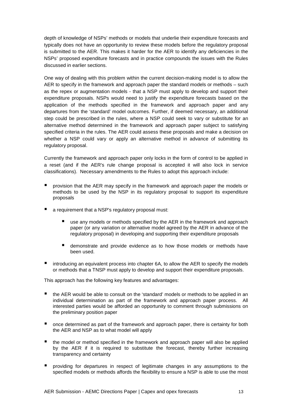depth of knowledge of NSPs' methods or models that underlie their expenditure forecasts and typically does not have an opportunity to review these models before the regulatory proposal is submitted to the AER. This makes it harder for the AER to identify any deficiencies in the NSPs' proposed expenditure forecasts and in practice compounds the issues with the Rules discussed in earlier sections.

One way of dealing with this problem within the current decision-making model is to allow the AER to specify in the framework and approach paper the standard models or methods – such as the repex or augmentation models - that a NSP must apply to develop and support their expenditure proposals. NSPs would need to justify the expenditure forecasts based on the application of the methods specified in the framework and approach paper and any departures from the 'standard' model outcomes. Further, if deemed necessary, an additional step could be prescribed in the rules, where a NSP could seek to vary or substitute for an alternative method determined in the framework and approach paper subject to satisfying specified criteria in the rules. The AER could assess these proposals and make a decision on whether a NSP could vary or apply an alternative method in advance of submitting its regulatory proposal.

Currently the framework and approach paper only locks in the form of control to be applied in a reset (and if the AER's rule change proposal is accepted it will also lock in service classifications). Necessary amendments to the Rules to adopt this approach include:

- provision that the AER may specify in the framework and approach paper the models or methods to be used by the NSP in its regulatory proposal to support its expenditure proposals
- a requirement that a NSP's regulatory proposal must:
	- use any models or methods specified by the AER in the framework and approach paper (or any variation or alternative model agreed by the AER in advance of the regulatory proposal) in developing and supporting their expenditure proposals
	- demonstrate and provide evidence as to how those models or methods have been used.
- introducing an equivalent process into chapter 6A, to allow the AER to specify the models or methods that a TNSP must apply to develop and support their expenditure proposals.

This approach has the following key features and advantages:

- the AER would be able to consult on the 'standard' models or methods to be applied in an individual determination as part of the framework and approach paper process. All interested parties would be afforded an opportunity to comment through submissions on the preliminary position paper
- **n** once determined as part of the framework and approach paper, there is certainty for both the AER and NSP as to what model will apply
- $\blacksquare$  the model or method specified in the framework and approach paper will also be applied by the AER if it is required to substitute the forecast, thereby further increasing transparency and certainty
- **P** providing for departures in respect of legitimate changes in any assumptions to the specified models or methods affords the flexibility to ensure a NSP is able to use the most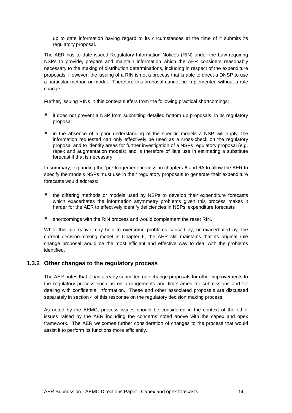up to date information having regard to its circumstances at the time of it submits its regulatory proposal.

The AER has to date issued Regulatory Information Notices (RIN) under the Law requiring NSPs to provide, prepare and maintain information which the AER considers reasonably necessary to the making of distribution determinations, including in respect of the expenditure proposals. However, the issuing of a RIN is not a process that is able to direct a DNSP to use a particular method or model. Therefore this proposal cannot be implemented without a rule change.

Further, issuing RINs in this context suffers from the following practical shortcomings:

- it does not prevent a NSP from submitting detailed bottom up proposals, in its regulatory proposal
- $\blacksquare$  in the absence of a prior understanding of the specific models a NSP will apply, the information requested can only effectively be used as a cross-check on the regulatory proposal and to identify areas for further investigation of a NSPs regulatory proposal (e.g. repex and augmentation models) and is therefore of little use in estimating a substitute forecast if that is necessary.

In summary, expanding the 'pre-lodgement process' in chapters 6 and 6A to allow the AER to specify the models NSPs must use in their regulatory proposals to generate their expenditure forecasts would address:

- the differing methods or models used by NSPs to develop their expenditure forecasts which exacerbates the information asymmetry problems given this process makes it harder for the AER to effectively identify deficiencies in NSPs' expenditure forecasts
- shortcomings with the RIN process and would complement the reset RIN.

While this alternative may help to overcome problems caused by, or exacerbated by, the current decision-making model in Chapter 6, the AER still maintains that its original rule change proposal would be the most efficient and effective way to deal with the problems identified.

#### **1.3.2 Other changes to the regulatory process**

The AER notes that it has already submitted rule change proposals for other improvements to the regulatory process such as on arrangements and timeframes for submissions and for dealing with confidential information. These and other associated proposals are discussed separately in section 4 of this response on the regulatory decision making process.

As noted by the AEMC, process issues should be considered in the context of the other issues raised by the AER including the concerns noted above with the capex and opex framework. The AER welcomes further consideration of changes to the process that would assist it to perform its functions more efficiently.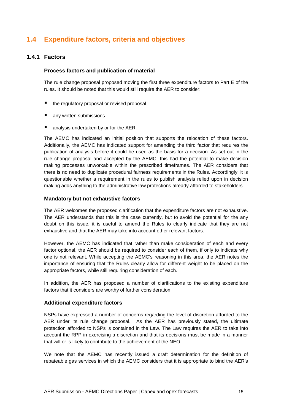# **1.4 Expenditure factors, criteria and objectives**

#### **1.4.1 Factors**

#### **Process factors and publication of material**

The rule change proposal proposed moving the first three expenditure factors to Part E of the rules. It should be noted that this would still require the AER to consider:

- the regulatory proposal or revised proposal
- **any written submissions**
- **analysis undertaken by or for the AER.**

The AEMC has indicated an initial position that supports the relocation of these factors. Additionally, the AEMC has indicated support for amending the third factor that requires the publication of analysis before it could be used as the basis for a decision. As set out in the rule change proposal and accepted by the AEMC, this had the potential to make decision making processes unworkable within the prescribed timeframes. The AER considers that there is no need to duplicate procedural fairness requirements in the Rules. Accordingly, it is questionable whether a requirement in the rules to publish analysis relied upon in decision making adds anything to the administrative law protections already afforded to stakeholders.

#### **Mandatory but not exhaustive factors**

The AER welcomes the proposed clarification that the expenditure factors are not exhaustive. The AER understands that this is the case currently, but to avoid the potential for the any doubt on this issue, it is useful to amend the Rules to clearly indicate that they are not exhaustive and that the AER may take into account other relevant factors.

However, the AEMC has indicated that rather than make consideration of each and every factor optional, the AER should be required to consider each of them, if only to indicate why one is not relevant. While accepting the AEMC's reasoning in this area, the AER notes the importance of ensuring that the Rules clearly allow for different weight to be placed on the appropriate factors, while still requiring consideration of each.

In addition, the AER has proposed a number of clarifications to the existing expenditure factors that it considers are worthy of further consideration.

#### **Additional expenditure factors**

NSPs have expressed a number of concerns regarding the level of discretion afforded to the AER under its rule change proposal. As the AER has previously stated, the ultimate protection afforded to NSPs is contained in the Law. The Law requires the AER to take into account the RPP in exercising a discretion and that its decisions must be made in a manner that will or is likely to contribute to the achievement of the NEO.

We note that the AEMC has recently issued a draft determination for the definition of rebateable gas services in which the AEMC considers that it is appropriate to bind the AER's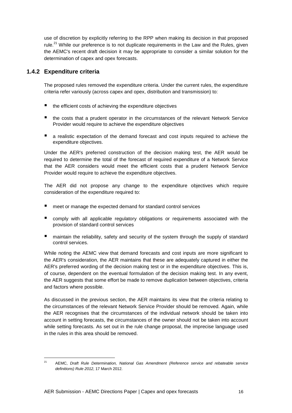use of discretion by explicitly referring to the RPP when making its decision in that proposed rule.<sup>21</sup> While our preference is to not duplicate requirements in the Law and the Rules, given the AEMC's recent draft decision it may be appropriate to consider a similar solution for the determination of capex and opex forecasts.

### **1.4.2 Expenditure criteria**

l

The proposed rules removed the expenditure criteria. Under the current rules, the expenditure criteria refer variously (across capex and opex, distribution and transmission) to:

- the efficient costs of achieving the expenditure objectives
- the costs that a prudent operator in the circumstances of the relevant Network Service Provider would require to achieve the expenditure objectives
- a realistic expectation of the demand forecast and cost inputs required to achieve the expenditure objectives.

Under the AER's preferred construction of the decision making test, the AER would be required to determine the total of the forecast of required expenditure of a Network Service that the AER considers would meet the efficient costs that a prudent Network Service Provider would require to achieve the expenditure objectives.

The AER did not propose any change to the expenditure objectives which require consideration of the expenditure required to:

- meet or manage the expected demand for standard control services
- **E** comply with all applicable regulatory obligations or requirements associated with the provision of standard control services
- maintain the reliability, safety and security of the system through the supply of standard control services.

While noting the AEMC view that demand forecasts and cost inputs are more significant to the AER's consideration, the AER maintains that these are adequately captured in either the AER's preferred wording of the decision making test or in the expenditure objectives. This is, of course, dependent on the eventual formulation of the decision making test. In any event, the AER suggests that some effort be made to remove duplication between objectives, criteria and factors where possible.

As discussed in the previous section, the AER maintains its view that the criteria relating to the circumstances of the relevant Network Service Provider should be removed. Again, while the AER recognises that the circumstances of the individual network should be taken into account in setting forecasts, the circumstances of the owner should not be taken into account while setting forecasts. As set out in the rule change proposal, the imprecise language used in the rules in this area should be removed.

<sup>&</sup>lt;sup>21</sup> AEMC, Draft Rule Determination, National Gas Amendment (Reference service and rebateable service definitions) Rule 2012, 17 March 2012.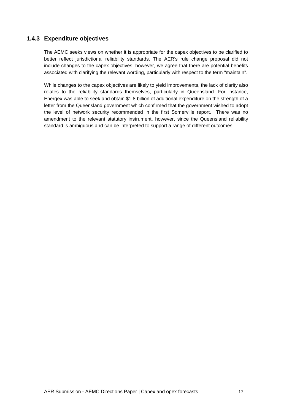## **1.4.3 Expenditure objectives**

The AEMC seeks views on whether it is appropriate for the capex objectives to be clarified to better reflect jurisdictional reliability standards. The AER's rule change proposal did not include changes to the capex objectives, however, we agree that there are potential benefits associated with clarifying the relevant wording, particularly with respect to the term "maintain".

While changes to the capex objectives are likely to yield improvements, the lack of clarity also relates to the reliability standards themselves, particularly in Queensland. For instance, Energex was able to seek and obtain \$1.8 billion of additional expenditure on the strength of a letter from the Queensland government which confirmed that the government wished to adopt the level of network security recommended in the first Somerville report. There was no amendment to the relevant statutory instrument, however, since the Queensland reliability standard is ambiguous and can be interpreted to support a range of different outcomes.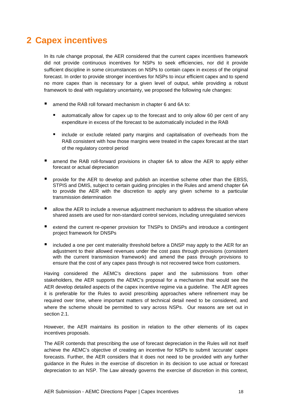# **2 Capex incentives**

In its rule change proposal, the AER considered that the current capex incentives framework did not provide continuous incentives for NSPs to seek efficiencies, nor did it provide sufficient discipline in some circumstances on NSPs to contain capex in excess of the original forecast. In order to provide stronger incentives for NSPs to incur efficient capex and to spend no more capex than is necessary for a given level of output, while providing a robust framework to deal with regulatory uncertainty, we proposed the following rule changes:

- amend the RAB roll forward mechanism in chapter 6 and 6A to:
	- automatically allow for capex up to the forecast and to only allow 60 per cent of any expenditure in excess of the forecast to be automatically included in the RAB
	- include or exclude related party margins and capitalisation of overheads from the RAB consistent with how those margins were treated in the capex forecast at the start of the regulatory control period
- amend the RAB roll-forward provisions in chapter 6A to allow the AER to apply either forecast or actual depreciation
- **P** provide for the AER to develop and publish an incentive scheme other than the EBSS, STPIS and DMIS, subject to certain guiding principles in the Rules and amend chapter 6A to provide the AER with the discretion to apply any given scheme to a particular transmission determination
- allow the AER to include a revenue adjustment mechanism to address the situation where shared assets are used for non-standard control services, including unregulated services
- extend the current re-opener provision for TNSPs to DNSPs and introduce a contingent project framework for DNSPs
- $\blacksquare$  included a one per cent materiality threshold before a DNSP may apply to the AER for an adjustment to their allowed revenues under the cost pass through provisions (consistent with the current transmission framework) and amend the pass through provisions to ensure that the cost of any capex pass through is not recovered twice from customers.

Having considered the AEMC's directions paper and the submissions from other stakeholders, the AER supports the AEMC's proposal for a mechanism that would see the AER develop detailed aspects of the capex incentive regime via a guideline. The AER agrees it is preferable for the Rules to avoid prescribing approaches where refinement may be required over time, where important matters of technical detail need to be considered, and where the scheme should be permitted to vary across NSPs. Our reasons are set out in section 2.1.

However, the AER maintains its position in relation to the other elements of its capex incentives proposals.

The AER contends that prescribing the use of forecast depreciation in the Rules will not itself achieve the AEMC's objective of creating an incentive for NSPs to submit 'accurate' capex forecasts. Further, the AER considers that it does not need to be provided with any further guidance in the Rules in the exercise of discretion in its decision to use actual or forecast depreciation to an NSP. The Law already governs the exercise of discretion in this context,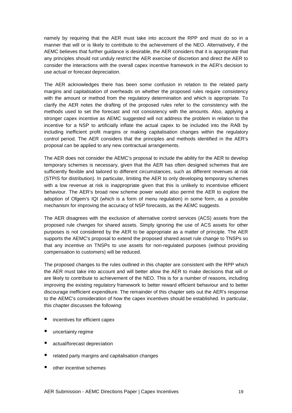namely by requiring that the AER must take into account the RPP and must do so in a manner that will or is likely to contribute to the achievement of the NEO. Alternatively, if the AEMC believes that further guidance is desirable, the AER considers that it is appropriate that any principles should not unduly restrict the AER exercise of discretion and direct the AER to consider the interactions with the overall capex incentive framework in the AER's decision to use actual or forecast depreciation.

The AER acknowledges there has been some confusion in relation to the related party margins and capitalisation of overheads on whether the proposed rules require consistency with the amount or method from the regulatory determination and which is appropriate. To clarify the AER notes the drafting of the proposed rules refer to the consistency with the methods used to set the forecast and not consistency with the amounts. Also, applying a stronger capex incentive as AEMC suggested will not address the problem in relation to the incentive for a NSP to artificially inflate the actual capex to be included into the RAB by including inefficient profit margins or making capitalisation changes within the regulatory control period. The AER considers that the principles and methods identified in the AER's proposal can be applied to any new contractual arrangements.

The AER does not consider the AEMC's proposal to include the ability for the AER to develop temporary schemes is necessary, given that the AER has often designed schemes that are sufficiently flexible and tailored to different circumstances, such as different revenues at risk (STPIS for distribution). In particular, limiting the AER to only developing temporary schemes with a low revenue at risk is inappropriate given that this is unlikely to incentivise efficient behaviour. The AER's broad new scheme power would also permit the AER to explore the adoption of Ofgem's IQI (which is a form of menu regulation) in some form, as a possible mechanism for improving the accuracy of NSP forecasts, as the AEMC suggests.

The AER disagrees with the exclusion of alternative control services (ACS) assets from the proposed rule changes for shared assets. Simply ignoring the use of ACS assets for other purposes is not considered by the AER to be appropriate as a matter of principle. The AER supports the AEMC's proposal to extend the proposed shared asset rule change to TNSPs so that any incentive on TNSPs to use assets for non-regulated purposes (without providing compensation to customers) will be reduced.

The proposed changes to the rules outlined in this chapter are consistent with the RPP which the AER must take into account and will better allow the AER to make decisions that will or are likely to contribute to achievement of the NEO. This is for a number of reasons, including improving the existing regulatory framework to better reward efficient behaviour and to better discourage inefficient expenditure. The remainder of this chapter sets out the AER's response to the AEMC's consideration of how the capex incentives should be established. In particular, this chapter discusses the following:

- incentives for efficient capex
- uncertainty regime
- actual/forecast depreciation
- related party margins and capitalisation changes
- other incentive schemes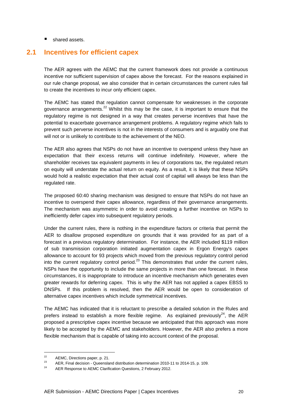■ shared assets.

# **2.1 Incentives for efficient capex**

The AER agrees with the AEMC that the current framework does not provide a continuous incentive nor sufficient supervision of capex above the forecast. For the reasons explained in our rule change proposal, we also consider that in certain circumstances the current rules fail to create the incentives to incur only efficient capex.

The AEMC has stated that regulation cannot compensate for weaknesses in the corporate governance arrangements.<sup>22</sup> Whilst this may be the case, it is important to ensure that the regulatory regime is not designed in a way that creates perverse incentives that have the potential to exacerbate governance arrangement problems. A regulatory regime which fails to prevent such perverse incentives is not in the interests of consumers and is arguably one that will not or is unlikely to contribute to the achievement of the NEO.

The AER also agrees that NSPs do not have an incentive to overspend unless they have an expectation that their excess returns will continue indefinitely. However, where the shareholder receives tax equivalent payments in lieu of corporations tax, the regulated return on equity will understate the actual return on equity. As a result, it is likely that these NSPs would hold a realistic expectation that their actual cost of capital will always be less than the regulated rate.

The proposed 60:40 sharing mechanism was designed to ensure that NSPs do not have an incentive to overspend their capex allowance, regardless of their governance arrangements. The mechanism was asymmetric in order to avoid creating a further incentive on NSPs to inefficiently defer capex into subsequent regulatory periods.

Under the current rules, there is nothing in the expenditure factors or criteria that permit the AER to disallow proposed expenditure on grounds that it was provided for as part of a forecast in a previous regulatory determination. For instance, the AER included \$119 million of sub transmission corporation initiated augmentation capex in Ergon Energy's capex allowance to account for 93 projects which moved from the previous regulatory control period into the current regulatory control period.<sup>23</sup> This demonstrates that under the current rules, NSPs have the opportunity to include the same projects in more than one forecast. In these circumstances, it is inappropriate to introduce an incentive mechanism which generates even greater rewards for deferring capex. This is why the AER has not applied a capex EBSS to DNSPs. If this problem is resolved, then the AER would be open to consideration of alternative capex incentives which include symmetrical incentives.

The AEMC has indicated that it is reluctant to prescribe a detailed solution in the Rules and prefers instead to establish a more flexible regime. As explained previously<sup>24</sup>, the AER proposed a prescriptive capex incentive because we anticipated that this approach was more likely to be accepted by the AEMC and stakeholders. However, the AER also prefers a more flexible mechanism that is capable of taking into account context of the proposal.

 $22$  $2^2$  AEMC, Directions paper, p. 21.

<sup>&</sup>lt;sup>23</sup> AER, Final decision - Queensland distribution determination 2010-11 to 2014-15, p. 109.

AER Response to AEMC Clarification Questions, 2 February 2012.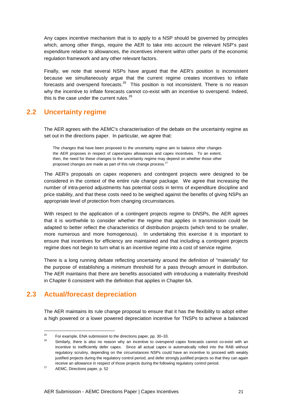Any capex incentive mechanism that is to apply to a NSP should be governed by principles which, among other things, require the AER to take into account the relevant NSP's past expenditure relative to allowances, the incentives inherent within other parts of the economic regulation framework and any other relevant factors.

Finally, we note that several NSPs have argued that the AER's position is inconsistent because we simultaneously argue that the current regime creates incentives to inflate forecasts and overspend forecasts. $25$  This position is not inconsistent. There is no reason why the incentive to inflate forecasts cannot co-exist with an incentive to overspend. Indeed, this is the case under the current rules. $^{26}$ 

# **2.2 Uncertainty regime**

The AER agrees with the AEMC's characterisation of the debate on the uncertainty regime as set out in the directions paper. In particular, we agree that:

The changes that have been proposed to the uncertainty regime aim to balance other changes the AER proposes in respect of capex/opex allowances and capex incentives. To an extent, then, the need for these changes to the uncertainty regime may depend on whether those other proposed changes are made as part of this rule change process.<sup>27</sup>

The AER's proposals on capex reopeners and contingent projects were designed to be considered in the context of the entire rule change package. We agree that increasing the number of intra-period adjustments has potential costs in terms of expenditure discipline and price stability, and that these costs need to be weighed against the benefits of giving NSPs an appropriate level of protection from changing circumstances.

With respect to the application of a contingent projects regime to DNSPs, the AER agrees that it is worthwhile to consider whether the regime that applies in transmission could be adapted to better reflect the characteristics of distribution projects (which tend to be smaller, more numerous and more homogenous). In undertaking this exercise it is important to ensure that incentives for efficiency are maintained and that including a contingent projects regime does not begin to turn what is an incentive regime into a cost of service regime.

There is a long running debate reflecting uncertainty around the definition of "materially" for the purpose of establishing a minimum threshold for a pass through amount in distribution. The AER maintains that there are benefits associated with introducing a materiality threshold in Chapter 6 consistent with the definition that applies in Chapter 6A.

# **2.3 Actual/forecast depreciation**

The AER maintains its rule change proposal to ensure that it has the flexibility to adopt either a high powered or a lower powered depreciation incentive for TNSPs to achieve a balanced

 $25$ <sup>25</sup> For example, ENA submission to the directions paper, pp. 30–33.

Similarly, there is also no reason why an incentive to overspend capex forecasts cannot co-exist with an incentive to inefficiently defer capex. Since all actual capex is automatically rolled into the RAB without regulatory scrutiny, depending on the circumstances NSPs could have an incentive to proceed with weakly justified projects during the regulatory control period, and defer strongly justified projects so that they can again receive an allowance in respect of those projects during the following regulatory control period.

<sup>&</sup>lt;sup>27</sup> AEMC, Directions paper, p. 52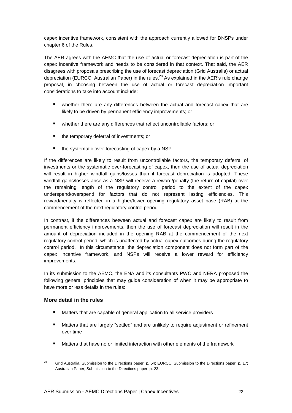capex incentive framework, consistent with the approach currently allowed for DNSPs under chapter 6 of the Rules.

The AER agrees with the AEMC that the use of actual or forecast depreciation is part of the capex incentive framework and needs to be considered in that context. That said, the AER disagrees with proposals prescribing the use of forecast depreciation (Grid Australia) or actual depreciation (EURCC, Australian Paper) in the rules.<sup>28</sup> As explained in the AER's rule change proposal, in choosing between the use of actual or forecast depreciation important considerations to take into account include:

- whether there are any differences between the actual and forecast capex that are likely to be driven by permanent efficiency improvements; or
- whether there are any differences that reflect uncontrollable factors; or
- the temporary deferral of investments; or
- $\blacksquare$  the systematic over-forecasting of capex by a NSP.

If the differences are likely to result from uncontrollable factors, the temporary deferral of investments or the systematic over-forecasting of capex, then the use of actual depreciation will result in higher windfall gains/losses than if forecast depreciation is adopted. These windfall gains/losses arise as a NSP will receive a reward/penalty (the return of capital) over the remaining length of the regulatory control period to the extent of the capex underspend/overspend for factors that do not represent lasting efficiencies. This reward/penalty is reflected in a higher/lower opening regulatory asset base (RAB) at the commencement of the next regulatory control period.

In contrast, if the differences between actual and forecast capex are likely to result from permanent efficiency improvements, then the use of forecast depreciation will result in the amount of depreciation included in the opening RAB at the commencement of the next regulatory control period, which is unaffected by actual capex outcomes during the regulatory control period. In this circumstance, the depreciation component does not form part of the capex incentive framework, and NSPs will receive a lower reward for efficiency improvements.

In its submission to the AEMC, the ENA and its consultants PWC and NERA proposed the following general principles that may guide consideration of when it may be appropriate to have more or less details in the rules:

#### **More detail in the rules**

- Matters that are capable of general application to all service providers
- Matters that are largely "settled" and are unlikely to require adjustment or refinement over time
- Matters that have no or limited interaction with other elements of the framework

<sup>&</sup>lt;sup>28</sup> Grid Australia, Submission to the Directions paper, p. 54; EURCC, Submission to the Directions paper, p. 17; Australian Paper, Submission to the Directions paper, p. 23.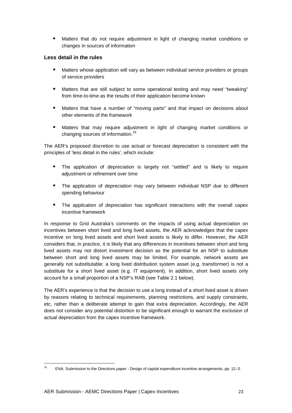Matters that do not require adjustment in light of changing market conditions or changes in sources of information

#### **Less detail in the rules**

- Matters whose application will vary as between individual service providers or groups of service providers
- Matters that are still subject to some operational testing and may need "tweaking" from time-to-time as the results of their application become known
- Matters that have a number of "moving parts" and that impact on decisions about other elements of the framework
- Matters that may require adjustment in light of changing market conditions or changing sources of information.<sup>29</sup>

The AER's proposed discretion to use actual or forecast depreciation is consistent with the principles of 'less detail in the rules', which include:

- The application of depreciation is largely not "settled" and is likely to require adjustment or refinement over time
- The application of depreciation may vary between individual NSP due to different spending behaviour
- The application of depreciation has significant interactions with the overall capex incentive framework

In response to Grid Australia's comments on the impacts of using actual depreciation on incentives between short lived and long lived assets, the AER acknowledges that the capex incentive on long lived assets and short lived assets is likely to differ. However, the AER considers that, in practice, it is likely that any differences in incentives between short and long lived assets may not distort investment decision as the potential for an NSP to substitute between short and long lived assets may be limited. For example, network assets are generally not substitutable: a long lived distribution system asset (e.g. transformer) is not a substitute for a short lived asset (e.g. IT equipment). In addition, short lived assets only account for a small proportion of a NSP's RAB (see Table 2.1 below).

The AER's experience is that the decision to use a long instead of a short lived asset is driven by reasons relating to technical requirements, planning restrictions, and supply constraints, etc, rather than a deliberate attempt to gain that extra depreciation. Accordingly, the AER does not consider any potential distortion to be significant enough to warrant the exclusion of actual depreciation from the capex incentive framework.

<sup>&</sup>lt;sup>29</sup> ENA, Submission to the Directions paper - Design of capital expenditure incentive arrangements, pp. 12–3.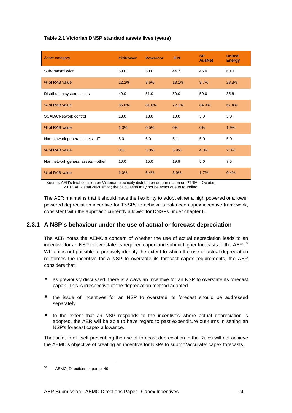#### **Table 2.1 Victorian DNSP standard assets lives (years)**

| <b>Asset category</b>            | <b>CitiPower</b> | <b>Powercor</b> | <b>JEN</b> | <b>SP</b><br><b>AusNet</b> | <b>United</b><br><b>Energy</b> |
|----------------------------------|------------------|-----------------|------------|----------------------------|--------------------------------|
| Sub-transmission                 | 50.0             | 50.0            | 44.7       | 45.0                       | 60.0                           |
| % of RAB value                   | 12.2%            | 8.6%            | 18.1%      | 9.7%                       | 28.3%                          |
| Distribution system assets       | 49.0             | 51.0            | 50.0       | 50.0                       | 35.6                           |
| % of RAB value                   | 85.6%            | 81.6%           | 72.1%      | 84.3%                      | 67.4%                          |
| <b>SCADA/Network control</b>     | 13.0             | 13.0            | 10.0       | 5.0                        | 5.0                            |
| % of RAB value                   | 1.3%             | 0.5%            | 0%         | 0%                         | 1.9%                           |
| Non network general assets-IT    | 6.0              | 6.0             | 5.1        | 5.0                        | 5.0                            |
| % of RAB value                   | 0%               | 3.0%            | 5.9%       | 4.3%                       | 2.0%                           |
| Non network general assets-other | 10.0             | 15.0            | 19.9       | 5.0                        | 7.5                            |
| % of RAB value                   | 1.0%             | 6.4%            | 3.9%       | 1.7%                       | 0.4%                           |

 Source: AER's final decision on Victorian electricity distribution determination on PTRMs, October 2010; AER staff calculation; the calculation may not be exact due to rounding.

The AER maintains that it should have the flexibility to adopt either a high powered or a lower powered depreciation incentive for TNSPs to achieve a balanced capex incentive framework, consistent with the approach currently allowed for DNSPs under chapter 6.

## **2.3.1 A NSP's behaviour under the use of actual or forecast depreciation**

The AER notes the AEMC's concern of whether the use of actual depreciation leads to an incentive for an NSP to overstate its required capex and submit higher forecasts to the AER. $^{30}$ While it is not possible to precisely identify the extent to which the use of actual depreciation reinforces the incentive for a NSP to overstate its forecast capex requirements, the AER considers that:

- as previously discussed, there is always an incentive for an NSP to overstate its forecast capex. This is irrespective of the depreciation method adopted
- the issue of incentives for an NSP to overstate its forecast should be addressed separately
- $\blacksquare$  to the extent that an NSP responds to the incentives where actual depreciation is adopted, the AER will be able to have regard to past expenditure out-turns in setting an NSP's forecast capex allowance.

That said, in of itself prescribing the use of forecast depreciation in the Rules will not achieve the AEMC's objective of creating an incentive for NSPs to submit 'accurate' capex forecasts.

<sup>30</sup> AEMC, Directions paper, p. 49.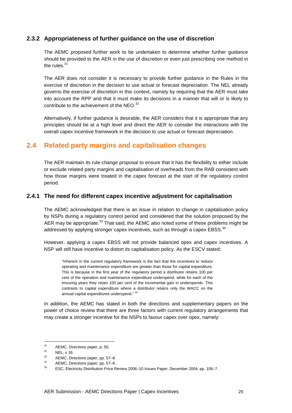### **2.3.2 Appropriateness of further guidance on the use of discretion**

The AEMC proposed further work to be undertaken to determine whether further guidance should be provided to the AER in the use of discretion or even just prescribing one method in the rules  $31$ 

The AER does not consider it is necessary to provide further guidance in the Rules in the exercise of discretion in the decision to use actual or forecast depreciation. The NEL already governs the exercise of discretion in this context, namely by requiring that the AER must take into account the RPP and that it must make its decisions in a manner that will or is likely to contribute to the achievement of the NEO. $^{32}$ 

Alternatively, if further guidance is desirable, the AER considers that it is appropriate that any principles should be at a high level and direct the AER to consider the interactions with the overall capex incentive framework in the decision to use actual or forecast depreciation.

# **2.4 Related party margins and capitalisation changes**

The AER maintain its rule change proposal to ensure that it has the flexibility to either include or exclude related party margins and capitalisation of overheads from the RAB consistent with how those margins were treated in the capex forecast at the start of the regulatory control period.

#### **2.4.1 The need for different capex incentive adjustment for capitalisation**

The AEMC acknowledged that there is an issue in relation to change in capitalisation policy by NSPs during a regulatory control period and considered that the solution proposed by the AER may be appropriate.<sup>33</sup> That said, the AEMC also noted some of these problems might be addressed by applying stronger capex incentives, such as through a capex EBSS. $^{34}$ 

However, applying a capex EBSS will not provide balanced opex and capex incentives. A NSP will still have incentive to distort its capitalisation policy. As the ESCV stated:

"Inherent in the current regulatory framework is the fact that the incentives to reduce operating and maintenance expenditure are greater than those for capital expenditure. This is because in the first year of the regulatory period a distributor retains 100 per cent of the operation and maintenance expenditure underspend, while for each of the ensuring years they retain 100 per cent of the incremental gain in underspends. This contrasts to capital expenditure where a distributor retains only the WACC on the annual capital expenditures underspend." <sup>35</sup>

In addition, the AEMC has stated in both the directions and supplementary papers on the power of choice review that there are three factors with current regulatory arrangements that may create a stronger incentive for the NSPs to favour capex over opex, namely:

 $31$  $^{31}$  AEMC, Directions paper, p. 50.

 $\frac{32}{33}$  NEL, s 16.

 $33$  AEMC, Directions paper, pp. 57–8.<br> $34$  AEMC Directions paper, pp. 57–8.

 $34$  AEMC, Directions paper, pp. 57–8.

<sup>35</sup> ESC, Electricity Distribution Price Review 2006–10 Issues Paper, December 2004, pp. 106–7.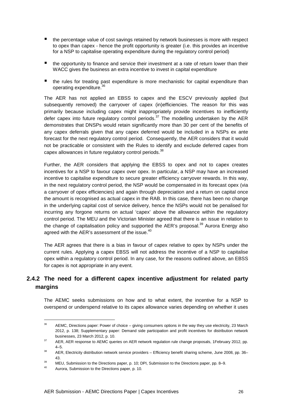- the percentage value of cost savings retained by network businesses is more with respect to opex than capex - hence the profit opportunity is greater (i.e. this provides an incentive for a NSP to capitalise operating expenditure during the regulatory control period)
- the opportunity to finance and service their investment at a rate of return lower than their WACC gives the business an extra incentive to invest in capital expenditure
- the rules for treating past expenditure is more mechanistic for capital expenditure than operating expenditure.<sup>3</sup>

The AER has not applied an EBSS to capex and the ESCV previously applied (but subsequently removed) the carryover of capex (in)efficiencies. The reason for this was primarily because including capex might inappropriately provide incentives to inefficiently defer capex into future regulatory control periods.<sup>37</sup> The modelling undertaken by the AER demonstrates that DNSPs would retain significantly more than 30 per cent of the benefits of any capex deferrals given that any capex deferred would be included in a NSPs ex ante forecast for the next regulatory control period. Consequently, the AER considers that it would not be practicable or consistent with the Rules to identify and exclude deferred capex from capex allowances in future regulatory control periods.<sup>38</sup>

Further, the AER considers that applying the EBSS to opex and not to capex creates incentives for a NSP to favour capex over opex. In particular, a NSP may have an increased incentive to capitalise expenditure to secure greater efficiency carryover rewards. In this way, in the next regulatory control period, the NSP would be compensated in its forecast opex (via a carryover of opex efficiencies) and again through depreciation and a return on capital once the amount is recognised as actual capex in the RAB. In this case, there has been no change in the underlying capital cost of service delivery, hence the NSPs would not be penalised for incurring any forgone returns on actual 'capex' above the allowance within the regulatory control period. The MEU and the Victorian Minister agreed that there is an issue in relation to the change of capitalisation policy and supported the AER's proposal. $^{39}$  Aurora Energy also agreed with the AER's assessment of the issue. $^{40}$ 

The AER agrees that there is a bias in favour of capex relative to opex by NSPs under the current rules. Applying a capex EBSS will not address the incentive of a NSP to capitalise opex within a regulatory control period. In any case, for the reasons outlined above, an EBSS for capex is not appropriate in any event.

# **2.4.2 The need for a different capex incentive adjustment for related party margins**

The AEMC seeks submissions on how and to what extent, the incentive for a NSP to overspend or underspend relative to its capex allowance varies depending on whether it uses

 $36$ <sup>36</sup> AEMC, Directions paper: Power of choice – giving consumers options in the way they use electricity, 23 March 2012, p. 138; Supplementary paper: Demand side participation and profit incentives for distribution network businesses, 23 March 2012, p. 10.

<sup>&</sup>lt;sup>37</sup> AER, AER response to AEMC queries on AER network regulation rule change proposals, 1February 2012, pp.  $4 - 5$ .

<sup>&</sup>lt;sup>38</sup> AER, Electricity distribution network service providers – Efficiency benefit sharing scheme, June 2008, pp. 36– 43.

<sup>&</sup>lt;sup>39</sup> MEU, Submission to the Directions paper, p. 10; DPI, Submission to the Directions paper, pp. 8–9.

Aurora, Submission to the Directions paper, p. 10.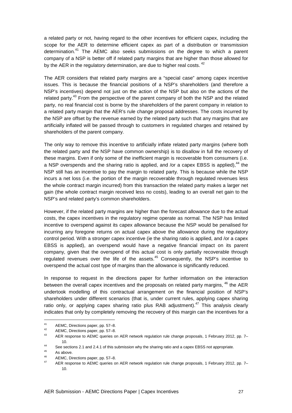a related party or not, having regard to the other incentives for efficient capex, including the scope for the AER to determine efficient capex as part of a distribution or transmission determination.<sup>41</sup> The AEMC also seeks submissions on the degree to which a parent company of a NSP is better off if related party margins that are higher than those allowed for by the AER in the regulatory determination, are due to higher real costs.<sup>42</sup>

The AER considers that related party margins are a "special case" among capex incentive issues. This is because the financial positions of a NSP's shareholders (and therefore a NSP's incentives) depend not just on the action of the NSP but also on the actions of the related party.<sup>43</sup> From the perspective of the parent company of both the NSP and the related party, no real financial cost is borne by the shareholders of the parent company in relation to a related party margin that the AER's rule change proposal addresses. The costs incurred by the NSP are offset by the revenue earned by the related party such that any margins that are artificially inflated will be passed through to customers in regulated charges and retained by shareholders of the parent company.

The only way to remove this incentive to artificially inflate related party margins (where both the related party and the NSP have common ownership) is to disallow in full the recovery of these margins. Even if only some of the inefficient margin is recoverable from consumers (i.e. a NSP overspends and the sharing ratio is applied, and /or a capex EBSS is applied),<sup>44</sup> the NSP still has an incentive to pay the margin to related party. This is because while the NSP incurs a net loss (i.e. the portion of the margin recoverable through regulated revenues less the whole contract margin incurred) from this transaction the related party makes a larger net gain (the whole contract margin received less no costs), leading to an overall net gain to the NSP's and related party's common shareholders.

However, if the related party margins are higher than the forecast allowance due to the actual costs, the capex incentives in the regulatory regime operate as normal. The NSP has limited incentive to overspend against its capex allowance because the NSP would be penalised for incurring any foregone returns on actual capex above the allowance during the regulatory control period. With a stronger capex incentive (ie the sharing ratio is applied, and /or a capex EBSS is applied), an overspend would have a negative financial impact on its parent company, given that the overspend of this actual cost is only partially recoverable through regulated revenues over the life of the assets.<sup>45</sup> Consequently, the NSP's incentive to overspend the actual cost type of margins than the allowance is significantly reduced.

In response to request in the directions paper for further information on the interaction between the overall capex incentives and the proposals on related party margins, <sup>46</sup> the AER undertook modelling of this contractual arrangement on the financial position of NSP's shareholders under different scenarios (that is, under current rules, applying capex sharing ratio only, or applying capex sharing ratio plus RAB adjustment).<sup>47</sup> This analysis clearly indicates that only by completely removing the recovery of this margin can the incentives for a

 $41$ 41 AEMC, Directions paper, pp. 57–8.

<sup>42</sup> AEMC, Directions paper, pp. 57–8.<br>43 AEP response to AEMC queries a

<sup>43</sup> AER response to AEMC queries on AER network regulation rule change proposals, 1 February 2012, pp. 7– 10.

<sup>44</sup> See sections 2.1 and 2.4.1 of this submission why the sharing ratio and a capex EBSS not appropriate.

 $^{45}$  As above.

<sup>46</sup> AEMC, Directions paper, pp. 57–8.

<sup>47</sup> AER response to AEMC queries on AER network regulation rule change proposals, 1 February 2012, pp. 7– 10.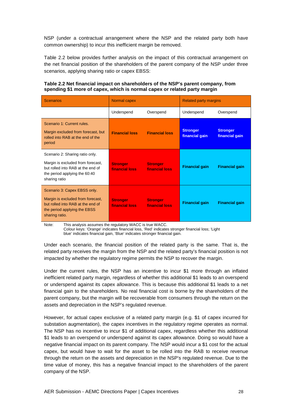NSP (under a contractual arrangement where the NSP and the related party both have common ownership) to incur this inefficient margin be removed.

Table 2.2 below provides further analysis on the impact of this contractual arrangement on the net financial position of the shareholders of the parent company of the NSP under three scenarios, applying sharing ratio or capex EBSS:

#### **Table 2.2 Net financial impact on shareholders of the NSP's parent company, from spending \$1 more of capex, which is normal capex or related party margin**

| <b>Scenarios</b>                                                                                                                                            | Normal capex                          |                                   | <b>Related party margins</b>      |                                   |
|-------------------------------------------------------------------------------------------------------------------------------------------------------------|---------------------------------------|-----------------------------------|-----------------------------------|-----------------------------------|
|                                                                                                                                                             | Underspend                            | Overspend                         | Underspend                        | Overspend                         |
| Scenario 1: Current rules.<br>Margin excluded from forecast, but<br>rolled into RAB at the end of the<br>period                                             | <b>Financial loss</b>                 | <b>Financial loss</b>             | <b>Stronger</b><br>financial gain | <b>Stronger</b><br>financial gain |
| Scenario 2: Sharing ratio only.<br>Margin is excluded from forecast,<br>but rolled into RAB at the end of<br>the period applying the 60:40<br>sharing ratio | <b>Stronger</b><br>financial loss     | <b>Stronger</b><br>financial loss | <b>Financial gain</b>             | <b>Financial gain</b>             |
| Scenario 3: Capex EBSS only.<br>Margin is excluded from forecast,<br>but rolled into RAB at the end of<br>the period applying the EBSS<br>sharing ratio.    | <b>Stronger</b><br>financial loss and | <b>Stronger</b><br>financial loss | <b>Financial gain</b>             | <b>Financial gain</b>             |

Note: This analysis assumes the regulatory WACC is true WACC.

 Colour keys: 'Orange' indicates financial loss, 'Red' indicates stronger financial loss; 'Light blue' indicates financial gain, 'Blue' indicates stronger financial gain.

Under each scenario, the financial position of the related party is the same. That is, the related party receives the margin from the NSP and the related party's financial position is not impacted by whether the regulatory regime permits the NSP to recover the margin.

Under the current rules, the NSP has an incentive to incur \$1 more through an inflated inefficient related party margin, regardless of whether this additional \$1 leads to an overspend or underspend against its capex allowance. This is because this additional \$1 leads to a net financial gain to the shareholders. No real financial cost is borne by the shareholders of the parent company, but the margin will be recoverable from consumers through the return on the assets and depreciation in the NSP's regulated revenue.

However, for actual capex exclusive of a related party margin (e.g. \$1 of capex incurred for substation augmentation), the capex incentives in the regulatory regime operates as normal. The NSP has no incentive to incur \$1 of additional capex, regardless whether this additional \$1 leads to an overspend or underspend against its capex allowance. Doing so would have a negative financial impact on its parent company. The NSP would incur a \$1 cost for the actual capex, but would have to wait for the asset to be rolled into the RAB to receive revenue through the return on the assets and depreciation in the NSP's regulated revenue. Due to the time value of money, this has a negative financial impact to the shareholders of the parent company of the NSP.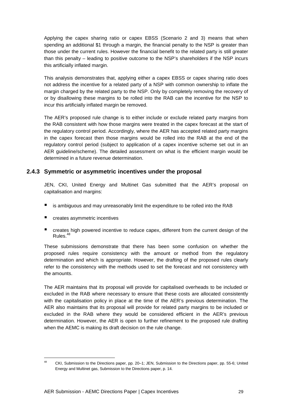Applying the capex sharing ratio or capex EBSS (Scenario 2 and 3) means that when spending an additional \$1 through a margin, the financial penalty to the NSP is greater than those under the current rules. However the financial benefit to the related party is still greater than this penalty – leading to positive outcome to the NSP's shareholders if the NSP incurs this artificially inflated margin.

This analysis demonstrates that, applying either a capex EBSS or capex sharing ratio does not address the incentive for a related party of a NSP with common ownership to inflate the margin charged by the related party to the NSP. Only by completely removing the recovery of or by disallowing these margins to be rolled into the RAB can the incentive for the NSP to incur this artificially inflated margin be removed.

The AER's proposed rule change is to either include or exclude related party margins from the RAB consistent with how those margins were treated in the capex forecast at the start of the regulatory control period. Accordingly, where the AER has accepted related party margins in the capex forecast then those margins would be rolled into the RAB at the end of the regulatory control period (subject to application of a capex incentive scheme set out in an AER guideline/scheme). The detailed assessment on what is the efficient margin would be determined in a future revenue determination.

#### **2.4.3 Symmetric or asymmetric incentives under the proposal**

JEN, CKI, United Energy and Multinet Gas submitted that the AER's proposal on capitalisation and margins:

- is ambiguous and may unreasonably limit the expenditure to be rolled into the RAB
- creates asymmetric incentives

l

 creates high powered incentive to reduce capex, different from the current design of the  $Rules.<sup>48</sup>$ 

These submissions demonstrate that there has been some confusion on whether the proposed rules require consistency with the amount or method from the regulatory determination and which is appropriate. However, the drafting of the proposed rules clearly refer to the consistency with the methods used to set the forecast and not consistency with the amounts.

The AER maintains that its proposal will provide for capitalised overheads to be included or excluded in the RAB where necessary to ensure that these costs are allocated consistently with the capitalisation policy in place at the time of the AER's previous determination. The AER also maintains that its proposal will provide for related party margins to be included or excluded in the RAB where they would be considered efficient in the AER's previous determination. However, the AER is open to further refinement to the proposed rule drafting when the AEMC is making its draft decision on the rule change.

<sup>48</sup> CKI, Submission to the Directions paper, pp. 20–1; JEN, Submission to the Directions paper, pp. 55-6; United Energy and Multinet gas, Submission to the Directions paper, p. 14.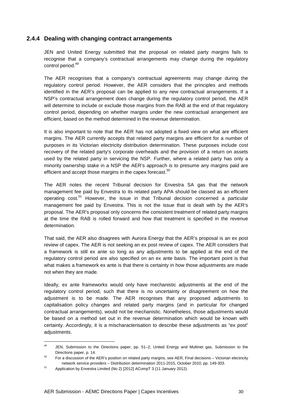#### **2.4.4 Dealing with changing contract arrangements**

JEN and United Energy submitted that the proposal on related party margins fails to recognise that a company's contractual arrangements may change during the regulatory control period.<sup>49</sup>

The AER recognises that a company's contractual agreements may change during the regulatory control period. However, the AER considers that the principles and methods identified in the AER's proposal can be applied to any new contractual arrangements. If a NSP's contractual arrangement does change during the regulatory control period, the AER will determine to include or exclude those margins from the RAB at the end of that regulatory control period, depending on whether margins under the new contractual arrangement are efficient, based on the method determined in the revenue determination.

It is also important to note that the AER has not adopted a fixed view on what are efficient margins. The AER currently accepts that related party margins are efficient for a number of purposes in its Victorian electricity distribution determination. These purposes include cost recovery of the related party's corporate overheads and the provision of a return on assets used by the related party in servicing the NSP. Further, where a related party has only a minority ownership stake in a NSP the AER's approach is to presume any margins paid are efficient and accept those margins in the capex forecast. $50$ 

The AER notes the recent Tribunal decision for Envestra SA gas that the network management fee paid by Envestra to its related party APA should be classed as an efficient operating cost.<sup>51</sup> However, the issue in that Tribunal decision concerned a particular management fee paid by Envestra. This is not the issue that is dealt with by the AER's proposal. The AER's proposal only concerns the consistent treatment of related party margins at the time the RAB is rolled forward and how that treatment is specified in the revenue determination.

That said, the AER also disagrees with Aurora Energy that the AER's proposal is an ex post review of capex. The AER is not seeking an ex post review of capex. The AER considers that a framework is still ex ante so long as any adjustments to be applied at the end of the regulatory control period are also specified on an ex ante basis. The important point is that what makes a framework ex ante is that there is certainty in how those adjustments are made not when they are made.

Ideally, ex ante frameworks would only have mechanistic adjustments at the end of the regulatory control period, such that there is no uncertainty or disagreement on how the adjustment is to be made. The AER recognises that any proposed adjustments to capitalisation policy changes and related party margins (and in particular for changed contractual arrangements), would not be mechanistic. Nonetheless, those adjustments would be based on a method set out in the revenue determination which would be known with certainty. Accordingly, it is a mischaracterisation to describe these adjustments as "ex post" adiustments.

 $49$ <sup>49</sup> JEN, Submission to the Directions paper, pp. 51–2; United Energy and Multinet gas, Submission to the Directions paper, p. 14.

 $50$  For a discussion of the AER's position on related party margins, see AER, Final decisions – Victorian electricity network service providers – Distribution determination 2011-2015, October 2010, pp. 149-303.

<sup>51</sup> Application by Envestra Limited (No 2) [2012] ACompT 3 (11 January 2012).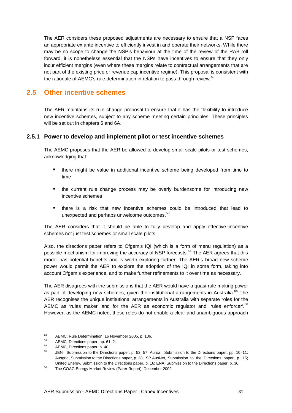The AER considers these proposed adjustments are necessary to ensure that a NSP faces an appropriate ex ante incentive to efficiently invest in and operate their networks. While there may be no scope to change the NSP's behaviour at the time of the review of the RAB roll forward, it is nonetheless essential that the NSPs have incentives to ensure that they only incur efficient margins (even where these margins relate to contractual arrangements that are not part of the existing price or revenue cap incentive regime). This proposal is consistent with the rationale of AEMC's rule determination in relation to pass through review.<sup>52</sup>

# **2.5 Other incentive schemes**

The AER maintains its rule change proposal to ensure that it has the flexibility to introduce new incentive schemes, subject to any scheme meeting certain principles. These principles will be set out in chapters 6 and 6A.

#### **2.5.1 Power to develop and implement pilot or test incentive schemes**

The AEMC proposes that the AER be allowed to develop small scale pilots or test schemes, acknowledging that:

- there might be value in additional incentive scheme being developed from time to time
- the current rule change process may be overly burdensome for introducing new incentive schemes
- there is a risk that new incentive schemes could be introduced that lead to unexpected and perhaps unwelcome outcomes. $53$

The AER considers that it should be able to fully develop and apply effective incentive schemes not just test schemes or small scale pilots.

Also, the directions paper refers to Ofgem's IQI (which is a form of menu regulation) as a possible mechanism for improving the accuracy of NSP forecasts.<sup>54</sup> The AER agrees that this model has potential benefits and is worth exploring further. The AER's broad new scheme power would permit the AER to explore the adoption of the IQI in some form, taking into account Ofgem's experience, and to make further refinements to it over time as necessary.

The AER disagrees with the submissions that the AER would have a quasi-rule making power as part of developing new schemes, given the institutional arrangements in Australia.<sup>55</sup> The AER recognises the unique institutional arrangements in Australia with separate roles for the AEMC as 'rules maker' and for the AER as economic regulator and 'rules enforcer'.<sup>56</sup> However, as the AEMC noted, these roles do not enable a clear and unambiguous approach

 $52$  $^{52}$  AEMC, Rule Determination, 16 November 2006, p. 106.

 $^{53}$  AEMC, Directions paper, pp. 61–2.

 $^{54}$  AEMC, Directions paper, p. 40.

<sup>55</sup> JEN, Submission to the Directions paper, p. 53, 57; Auroa, Submission to the Directions paper, pp. 10–11; Ausgrid, Submission to the Directions paper, p. 28; SP AusNet, Submission to the Directions paper, p. 15; United Energy, Submission to the Directions paper, p. 16; ENA, Submission to the Directions paper, p. 36.

<sup>56</sup> The COAG Energy Market Review (Parer Report), December 2002.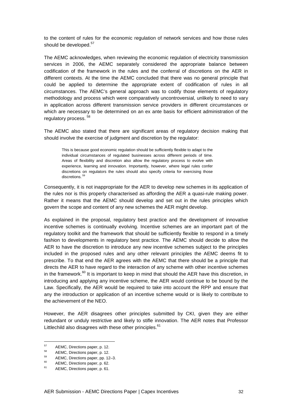to the content of rules for the economic regulation of network services and how those rules should be developed.<sup>57</sup>

The AEMC acknowledges, when reviewing the economic regulation of electricity transmission services in 2006, the AEMC separately considered the appropriate balance between codification of the framework in the rules and the conferral of discretions on the AER in different contexts. At the time the AEMC concluded that there was no general principle that could be applied to determine the appropriate extent of codification of rules in all circumstances. The AEMC's general approach was to codify those elements of regulatory methodology and process which were comparatively uncontroversial, unlikely to need to vary in application across different transmission service providers in different circumstances or which are necessary to be determined on an ex ante basis for efficient administration of the regulatory process.<sup>58</sup>

The AEMC also stated that there are significant areas of regulatory decision making that should involve the exercise of judgment and discretion by the regulator:

This is because good economic regulation should be sufficiently flexible to adapt to the individual circumstances of regulated businesses across different periods of time. Areas of flexibility and discretion also allow the regulatory process to evolve with experience, learning and innovation. Importantly, however, where legal rules confer discretions on regulators the rules should also specify criteria for exercising those discretions.<sup>59</sup>

Consequently, it is not inappropriate for the AER to develop new schemes in its application of the rules nor is this properly characterised as affording the AER a quasi-rule making power. Rather it means that the AEMC should develop and set out in the rules principles which govern the scope and content of any new schemes the AER might develop.

As explained in the proposal, regulatory best practice and the development of innovative incentive schemes is continually evolving. Incentive schemes are an important part of the regulatory toolkit and the framework that should be sufficiently flexible to respond in a timely fashion to developments in regulatory best practice. The AEMC should decide to allow the AER to have the discretion to introduce any new incentive schemes subject to the principles included in the proposed rules and any other relevant principles the AEMC deems fit to prescribe. To that end the AER agrees with the AEMC that there should be a principle that directs the AER to have regard to the interaction of any scheme with other incentive schemes in the framework. $60$  It is important to keep in mind that should the AER have this discretion, in introducing and applying any incentive scheme, the AER would continue to be bound by the Law. Specifically, the AER would be required to take into account the RPP and ensure that any the introduction or application of an incentive scheme would or is likely to contribute to the achievement of the NEO.

However, the AER disagrees other principles submitted by CKI, given they are either redundant or unduly restrictive and likely to stifle innovation. The AER notes that Professor Littlechild also disagrees with these other principles.<sup>61</sup>

 $57$  $^{57}$  AEMC, Directions paper, p. 12.

 $^{58}$  AEMC, Directions paper, p. 12.

 $^{59}$  AEMC, Directions paper, pp. 12–3.

 $^{60}$  AEMC, Directions paper, p. 62.

AEMC, Directions paper, p. 61.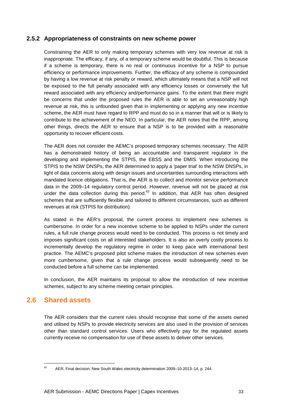#### **2.5.2 Appropriateness of constraints on new scheme power**

Constraining the AER to only making temporary schemes with very low revenue at risk is inappropriate. The efficacy, if any, of a temporary scheme would be doubtful. This is because if a scheme is temporary, there is no real or continuous incentive for a NSP to pursue efficiency or performance improvements. Further, the efficacy of any scheme is compounded by having a low revenue at risk penalty or reward, which ultimately means that a NSP will not be exposed to the full penalty associated with any efficiency losses or conversely the full reward associated with any efficiency and/performance gains. To the extent that there might be concerns that under the proposed rules the AER is able to set an unreasonably high revenue at risk, this is unfounded given that in implementing or applying any new incentive scheme, the AER must have regard to RPP and must do so in a manner that will or is likely to contribute to the achievement of the NEO. In particular, the AER notes that the RPP, among other things, directs the AER to ensure that a NSP is to be provided with a reasonable opportunity to recover efficient costs.

The AER does not consider the AEMC's proposed temporary schemes necessary. The AER has a demonstrated history of being an accountable and transparent regulator in the developing and implementing the STPIS, the EBSS and the DMIS. When introducing the STPIS to the NSW DNSPs, the AER determined to apply a 'paper trial' to the NSW DNSPs, in light of data concerns along with design issues and uncertainties surrounding interactions with mandated licence obligations. That is, the AER is to collect and monitor service performance data in the 2009–14 regulatory control period. However, revenue will not be placed at risk under the data collection during this period. $62$  In addition, that AER has often designed schemes that are sufficiently flexible and tailored to different circumstances, such as different revenues at risk (STPIS for distribution).

As stated in the AER's proposal, the current process to implement new schemes is cumbersome. In order for a new incentive scheme to be applied to NSPs under the current rules, a full rule change process would need to be conducted. This process is not timely and imposes significant costs on all interested stakeholders. It is also an overly costly process to incrementally develop the regulatory regime in order to keep pace with international best practice. The AEMC's proposed pilot scheme makes the introduction of new schemes even more cumbersome, given that a rule change process would subsequently need to be conducted before a full scheme can be implemented.

In conclusion, the AER maintains its proposal to allow the introduction of new incentive schemes, subject to any scheme meeting certain principles.

# **2.6 Shared assets**

l

The AER considers that the current rules should recognise that some of the assets owned and utilised by NSPs to provide electricity services are also used in the provision of services other than standard control services. Users who effectively pay for the regulated assets currently receive no compensation for use of these assets to deliver other services.

 $62$  AER, Final decision, New South Wales electricity determination 2009–10-2013–14, p. 244.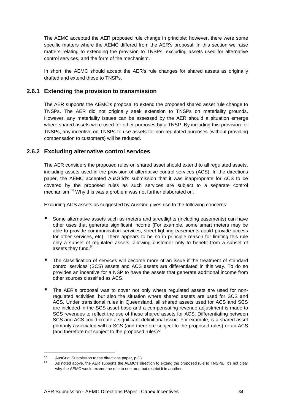The AEMC accepted the AER proposed rule change in principle; however, there were some specific matters where the AEMC differed from the AER's proposal. In this section we raise matters relating to extending the provision to TNSPs, excluding assets used for alternative control services, and the form of the mechanism.

In short, the AEMC should accept the AER's rule changes for shared assets as originally drafted and extend these to TNSPs.

#### **2.6.1 Extending the provision to transmission**

The AER supports the AEMC's proposal to extend the proposed shared asset rule change to TNSPs. The AER did not originally seek extension to TNSPs on materiality grounds. However, any materiality issues can be assessed by the AER should a situation emerge where shared assets were used for other purposes by a TNSP. By including this provision for TNSPs, any incentive on TNSPs to use assets for non-regulated purposes (without providing compensation to customers) will be reduced.

#### **2.6.2 Excluding alternative control services**

The AER considers the proposed rules on shared asset should extend to all regulated assets, including assets used in the provision of alternative control services (ACS). In the directions paper, the AEMC accepted AusGrid's submission that it was inappropriate for ACS to be covered by the proposed rules as such services are subject to a separate control mechanism.<sup>63</sup> Why this was a problem was not further elaborated on.

Excluding ACS assets as suggested by AusGrid gives rise to the following concerns:

- Some alternative assets such as meters and streetlights (including easements) can have other uses that generate significant income (For example, some smart meters may be able to provide communication services, street lighting easements could provide access for other services, etc). There appears to be no in principle reason for limiting this rule only a subset of regulated assets, allowing customer only to benefit from a subset of assets they fund.<sup>64</sup>
- The classification of services will become more of an issue if the treatment of standard control services (SCS) assets and ACS assets are differentiated in this way. To do so provides an incentive for a NSP to have the assets that generate additional income from other sources classified as ACS.
- The AER's proposal was to cover not only where regulated assets are used for nonregulated activities, but also the situation where shared assets are used for SCS and ACS. Under transitional rules in Queensland, all shared assets used for ACS and SCS are included in the SCS asset base and a compensating revenue adjustment is made to SCS revenues to reflect the use of these shared assets for ACS. Differentiating between SCS and ACS could create a significant definitional issue. For example, is a shared asset primarily associated with a SCS (and therefore subject to the proposed rules) or an ACS (and therefore not subject to the proposed rules)?

 $\overline{a}$ 

 $^{63}$  AusGrid, Submission to the directions paper, p.33.

<sup>64</sup> As noted above, the AER supports the AEMC's direction to extend the proposed rule to TNSPs. It's not clear why the AEMC would extend the rule to one area but restrict it in another.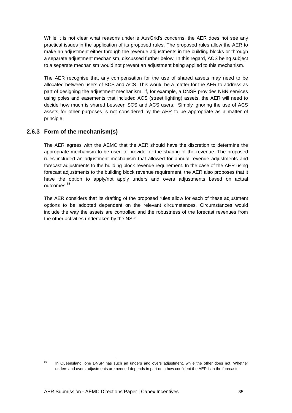While it is not clear what reasons underlie AusGrid's concerns, the AER does not see any practical issues in the application of its proposed rules. The proposed rules allow the AER to make an adjustment either through the revenue adjustments in the building blocks or through a separate adjustment mechanism, discussed further below. In this regard, ACS being subject to a separate mechanism would not prevent an adjustment being applied to this mechanism.

The AER recognise that any compensation for the use of shared assets may need to be allocated between users of SCS and ACS. This would be a matter for the AER to address as part of designing the adjustment mechanism. If, for example, a DNSP provides NBN services using poles and easements that included ACS (street lighting) assets, the AER will need to decide how much is shared between SCS and ACS users. Simply ignoring the use of ACS assets for other purposes is not considered by the AER to be appropriate as a matter of principle.

#### **2.6.3 Form of the mechanism(s)**

l

The AER agrees with the AEMC that the AER should have the discretion to determine the appropriate mechanism to be used to provide for the sharing of the revenue. The proposed rules included an adjustment mechanism that allowed for annual revenue adjustments and forecast adjustments to the building block revenue requirement. In the case of the AER using forecast adjustments to the building block revenue requirement, the AER also proposes that it have the option to apply/not apply unders and overs adjustments based on actual outcomes.<sup>65</sup>

The AER considers that its drafting of the proposed rules allow for each of these adjustment options to be adopted dependent on the relevant circumstances. Circumstances would include the way the assets are controlled and the robustness of the forecast revenues from the other activities undertaken by the NSP.

 $65$  In Queensland, one DNSP has such an unders and overs adjustment, while the other does not. Whether unders and overs adjustments are needed depends in part on a how confident the AER is in the forecasts.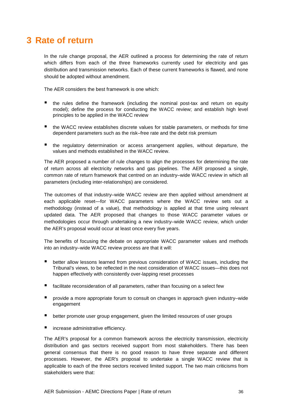# **3 Rate of return**

In the rule change proposal, the AER outlined a process for determining the rate of return which differs from each of the three frameworks currently used for electricity and gas distribution and transmission networks. Each of these current frameworks is flawed, and none should be adopted without amendment.

The AER considers the best framework is one which:

- the rules define the framework (including the nominal post-tax and return on equity model); define the process for conducting the WACC review; and establish high level principles to be applied in the WACC review
- the WACC review establishes discrete values for stable parameters, or methods for time dependent parameters such as the risk–free rate and the debt risk premium
- the regulatory determination or access arrangement applies, without departure, the values and methods established in the WACC review.

The AER proposed a number of rule changes to align the processes for determining the rate of return across all electricity networks and gas pipelines. The AER proposed a single, common rate of return framework that centred on an industry–wide WACC review in which all parameters (including inter-relationships) are considered.

The outcomes of that industry–wide WACC review are then applied without amendment at each applicable reset—for WACC parameters where the WACC review sets out a methodology (instead of a value), that methodology is applied at that time using relevant updated data. The AER proposed that changes to those WACC parameter values or methodologies occur through undertaking a new industry–wide WACC review, which under the AER's proposal would occur at least once every five years.

The benefits of focusing the debate on appropriate WACC parameter values and methods into an industry–wide WACC review process are that it will:

- better allow lessons learned from previous consideration of WACC issues, including the Tribunal's views, to be reflected in the next consideration of WACC issues—this does not happen effectively with consistently over-lapping reset processes
- facilitate reconsideration of all parameters, rather than focusing on a select few
- provide a more appropriate forum to consult on changes in approach given industry–wide engagement
- better promote user group engagement, given the limited resources of user groups
- increase administrative efficiency.

The AER's proposal for a common framework across the electricity transmission, electricity distribution and gas sectors received support from most stakeholders. There has been general consensus that there is no good reason to have three separate and different processes. However, the AER's proposal to undertake a single WACC review that is applicable to each of the three sectors received limited support. The two main criticisms from stakeholders were that: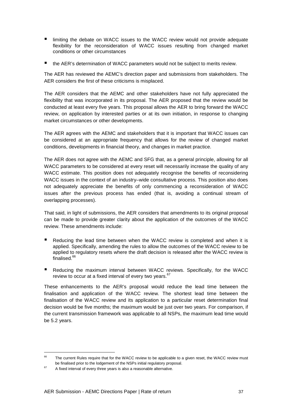- **I** limiting the debate on WACC issues to the WACC review would not provide adequate flexibility for the reconsideration of WACC issues resulting from changed market conditions or other circumstances
- the AER's determination of WACC parameters would not be subject to merits review.

The AER has reviewed the AEMC's direction paper and submissions from stakeholders. The AER considers the first of these criticisms is misplaced.

The AER considers that the AEMC and other stakeholders have not fully appreciated the flexibility that was incorporated in its proposal. The AER proposed that the review would be conducted at least every five years. This proposal allows the AER to bring forward the WACC review, on application by interested parties or at its own initiation, in response to changing market circumstances or other developments.

The AER agrees with the AEMC and stakeholders that it is important that WACC issues can be considered at an appropriate frequency that allows for the review of changed market conditions, developments in financial theory, and changes in market practice.

The AER does not agree with the AEMC and SFG that, as a general principle, allowing for all WACC parameters to be considered at every reset will necessarily increase the quality of any WACC estimate. This position does not adequately recognise the benefits of reconsidering WACC issues in the context of an industry–wide consultative process. This position also does not adequately appreciate the benefits of only commencing a reconsideration of WACC issues after the previous process has ended (that is, avoiding a continual stream of overlapping processes).

That said, in light of submissions, the AER considers that amendments to its original proposal can be made to provide greater clarity about the application of the outcomes of the WACC review. These amendments include:

- Reducing the lead time between when the WACC review is completed and when it is applied. Specifically, amending the rules to allow the outcomes of the WACC review to be applied to regulatory resets where the draft decision is released after the WACC review is finalised.<sup>66</sup>
- Reducing the maximum interval between WACC reviews. Specifically, for the WACC review to occur at a fixed interval of every two years.<sup>67</sup>

These enhancements to the AER's proposal would reduce the lead time between the finalisation and application of the WACC review. The shortest lead time between the finalisation of the WACC review and its application to a particular reset determination final decision would be five months; the maximum would be just over two years. For comparison, if the current transmission framework was applicable to all NSPs, the maximum lead time would be 5.2 years.

 $\overline{a}$ 

<sup>&</sup>lt;sup>66</sup> The current Rules require that for the WACC review to be applicable to a given reset, the WACC review must be finalised prior to the lodgement of the NSPs initial regulatory proposal.

 $67$  A fixed interval of every three years is also a reasonable alternative.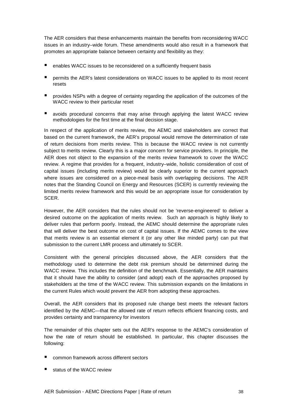The AER considers that these enhancements maintain the benefits from reconsidering WACC issues in an industry–wide forum. These amendments would also result in a framework that promotes an appropriate balance between certainty and flexibility as they:

- enables WACC issues to be reconsidered on a sufficiently frequent basis
- **P** permits the AER's latest considerations on WACC issues to be applied to its most recent resets
- **P** provides NSPs with a degree of certainty regarding the application of the outcomes of the WACC review to their particular reset
- avoids procedural concerns that may arise through applying the latest WACC review methodologies for the first time at the final decision stage.

In respect of the application of merits review, the AEMC and stakeholders are correct that based on the current framework, the AER's proposal would remove the determination of rate of return decisions from merits review. This is because the WACC review is not currently subject to merits review. Clearly this is a major concern for service providers. In principle, the AER does not object to the expansion of the merits review framework to cover the WACC review. A regime that provides for a frequent, industry–wide, holistic consideration of cost of capital issues (including merits review) would be clearly superior to the current approach where issues are considered on a piece-meal basis with overlapping decisions. The AER notes that the Standing Council on Energy and Resources (SCER) is currently reviewing the limited merits review framework and this would be an appropriate issue for consideration by SCER.

However, the AER considers that the rules should not be 'reverse-engineered' to deliver a desired outcome on the application of merits review. Such an approach is highly likely to deliver rules that perform poorly. Instead, the AEMC should determine the appropriate rules that will deliver the best outcome on cost of capital issues. If the AEMC comes to the view that merits review is an essential element it (or any other like minded party) can put that submission to the current LMR process and ultimately to SCER.

Consistent with the general principles discussed above, the AER considers that the methodology used to determine the debt risk premium should be determined during the WACC review. This includes the definition of the benchmark. Essentially, the AER maintains that it should have the ability to consider (and adopt) each of the approaches proposed by stakeholders at the time of the WACC review. This submission expands on the limitations in the current Rules which would prevent the AER from adopting these approaches.

Overall, the AER considers that its proposed rule change best meets the relevant factors identified by the AEMC—that the allowed rate of return reflects efficient financing costs, and provides certainty and transparency for investors

The remainder of this chapter sets out the AER's response to the AEMC's consideration of how the rate of return should be established. In particular, this chapter discusses the following:

- common framework across different sectors
- status of the WACC review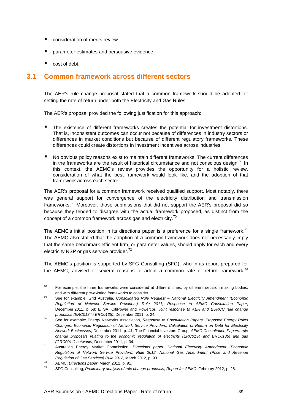- consideration of merits review
- parameter estimates and persuasive evidence
- cost of debt.

# **3.1 Common framework across different sectors**

The AER's rule change proposal stated that a common framework should be adopted for setting the rate of return under both the Electricity and Gas Rules.

The AER's proposal provided the following justification for this approach:

- The existence of different frameworks creates the potential for investment distortions. That is, inconsistent outcomes can occur not because of differences in industry sectors or differences in market conditions but because of different regulatory frameworks. These differences could create distortions in investment incentives across industries.
- No obvious policy reasons exist to maintain different frameworks. The current differences in the frameworks are the result of historical circumstance and not conscious design.<sup>68</sup> In this context, the AEMC's review provides the opportunity for a holistic review, consideration of what the best framework would look like, and the adoption of that framework across each sector.

The AER's proposal for a common framework received qualified support. Most notably, there was general support for convergence of the electricity distribution and transmission frameworks. $69$  Moreover, those submissions that did not support the AER's proposal did so because they tended to disagree with the actual framework proposed, as distinct from the concept of a common framework across gas and electricity.<sup>70</sup>

The AEMC's initial position in its directions paper is a preference for a single framework.<sup>71</sup> The AEMC also stated that the adoption of a common framework does not necessarily imply that the same benchmark efficient firm, or parameter values, should apply for each and every electricity NSP or gas service provider. $72$ 

The AEMC's position is supported by SFG Consulting (SFG), who in its report prepared for the AEMC, advised of several reasons to adopt a common rate of return framework.<sup>73</sup>

<sup>68</sup> For example, the three frameworks were considered at different times, by different decision making bodies, and with different pre-existing frameworks to consider.

<sup>&</sup>lt;sup>69</sup> See for example: Grid Australia, Consolidated Rule Request – National Electricity Amendment (Economic Regulation of Network Service Providers) Rule 2011, Response to AEMC Consultation Paper, December 2011, p. 58; ETSA, CitiPower and Powercor, Joint response to AER and EURCC rule change proposals (ERC0134 / ERC0135), December 2011, p. 24.

<sup>&</sup>lt;sup>70</sup> See for example: Energy Networks Association, Response to Consultation Papers, Proposed Energy Rules Changes: Economic Regulation of Network Service Providers, Calculation of Return on Debt for Electricity Network Businesses, December 2011, p. 41; The Financial Investors Group, AEMC Consultation Papers: rule change proposals relating to the economic regulation of electricity (ERC0134 and ERC0135) and gas (GRC0011) networks, December 2011, p. 34.

<sup>71</sup> Australian Energy Market Commission, Directions paper: National Electricity Amendment (Economic Regulation of Network Service Providers) Rule 2012, National Gas Amendment (Price and Revenue Regulation of Gas Services) Rule 2012, March 2012, p. 93.

<sup>&</sup>lt;sup>72</sup> AEMC, Directions paper, March 2012, p. 91.

SFG Consulting, Preliminary analysis of rule change proposals, Report for AEMC, February 2012, p. 26.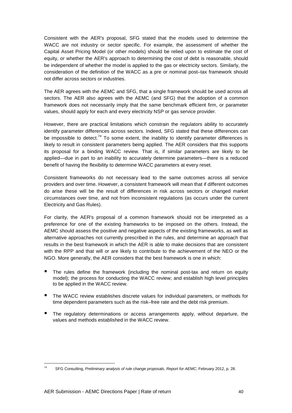Consistent with the AER's proposal, SFG stated that the models used to determine the WACC are not industry or sector specific. For example, the assessment of whether the Capital Asset Pricing Model (or other models) should be relied upon to estimate the cost of equity, or whether the AER's approach to determining the cost of debt is reasonable, should be independent of whether the model is applied to the gas or electricity sectors. Similarly, the consideration of the definition of the WACC as a pre or nominal post–tax framework should not differ across sectors or industries.

The AER agrees with the AEMC and SFG, that a single framework should be used across all sectors. The AER also agrees with the AEMC (and SFG) that the adoption of a common framework does not necessarily imply that the same benchmark efficient firm, or parameter values, should apply for each and every electricity NSP or gas service provider.

However, there are practical limitations which constrain the regulators ability to accurately identify parameter differences across sectors. Indeed, SFG stated that these differences can be impossible to detect.<sup>74</sup> To some extent, the inability to identify parameter differences is likely to result in consistent parameters being applied. The AER considers that this supports its proposal for a binding WACC review. That is, if similar parameters are likely to be applied—due in part to an inability to accurately determine parameters—there is a reduced benefit of having the flexibility to determine WACC parameters at every reset.

Consistent frameworks do not necessary lead to the same outcomes across all service providers and over time. However, a consistent framework will mean that if different outcomes do arise these will be the result of differences in risk across sectors or changed market circumstances over time, and not from inconsistent regulations (as occurs under the current Electricity and Gas Rules).

For clarity, the AER's proposal of a common framework should not be interpreted as a preference for one of the existing frameworks to be imposed on the others. Instead, the AEMC should assess the positive and negative aspects of the existing frameworks, as well as alternative approaches not currently prescribed in the rules, and determine an approach that results in the best framework in which the AER is able to make decisions that are consistent with the RPP and that will or are likely to contribute to the achievement of the NEO or the NGO. More generally, the AER considers that the best framework is one in which:

- The rules define the framework (including the nominal post-tax and return on equity model); the process for conducting the WACC review; and establish high level principles to be applied in the WACC review.
- The WACC review establishes discrete values for individual parameters, or methods for time dependent parameters such as the risk–free rate and the debt risk premium.
- The regulatory determinations or access arrangements apply, without departure, the values and methods established in the WACC review.

l

<sup>&</sup>lt;sup>74</sup> SFG Consulting, Preliminary analysis of rule change proposals, Report for AEMC, February 2012, p. 28.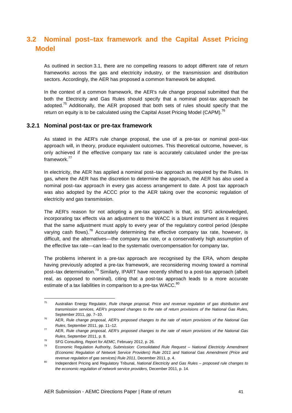# **3.2 Nominal post–tax framework and the Capital Asset Pricing Model**

As outlined in section 3.1, there are no compelling reasons to adopt different rate of return frameworks across the gas and electricity industry, or the transmission and distribution sectors. Accordingly, the AER has proposed a common framework be adopted.

In the context of a common framework, the AER's rule change proposal submitted that the both the Electricity and Gas Rules should specify that a nominal post-tax approach be adopted.<sup>75</sup> Additionally, the AER proposed that both sets of rules should specify that the return on equity is to be calculated using the Capital Asset Pricing Model (CAPM).<sup>76</sup>

#### **3.2.1 Nominal post-tax or pre-tax framework**

As stated in the AER's rule change proposal, the use of a pre-tax or nominal post–tax approach will, in theory, produce equivalent outcomes. This theoretical outcome, however, is only achieved if the effective company tax rate is accurately calculated under the pre-tax framework.<sup>77</sup>

In electricity, the AER has applied a nominal post–tax approach as required by the Rules. In gas, where the AER has the discretion to determine the approach, the AER has also used a nominal post–tax approach in every gas access arrangement to date. A post tax approach was also adopted by the ACCC prior to the AER taking over the economic regulation of electricity and gas transmission.

The AER's reason for not adopting a pre-tax approach is that, as SFG acknowledged, incorporating tax effects via an adjustment to the WACC is a blunt instrument as it requires that the same adjustment must apply to every year of the regulatory control period (despite varying cash flows).<sup>78</sup> Accurately determining the effective company tax rate, however, is difficult, and the alternatives—the company tax rate, or a conservatively high assumption of the effective tax rate—can lead to the systematic overcompensation for company tax.

The problems inherent in a pre-tax approach are recognised by the ERA, whom despite having previously adopted a pre-tax framework, are reconsidering moving toward a nominal post–tax determination.<sup>79</sup> Similarly, IPART have recently shifted to a post-tax approach (albeit real, as opposed to nominal), citing that a post-tax approach leads to a more accurate estimate of a tax liabilities in comparison to a pre-tax WACC.<sup>80</sup>

l

<sup>&</sup>lt;sup>75</sup> Australian Energy Regulator, Rule change proposal, Price and revenue regulation of gas distribution and transmission services, AER's proposed changes to the rate of return provisions of the National Gas Rules, September 2011, pp. 7–10.

 $76$  AER, Rule change proposal, AER's proposed changes to the rate of return provisions of the National Gas Rules, September 2011, pp. 11–12.

 $77$  AER, Rule change proposal, AER's proposed changes to the rate of return provisions of the National Gas Rules, September 2011, p. 8.

 $78$  SFG Consulting, Report for AEMC, February 2012, p. 26.

Economic Regulation Authority, Submission: Consolidated Rule Request - National Electricity Amendment (Economic Regulation of Network Service Providers) Rule 2011 and National Gas Amendment (Price and revenue regulation of gas services) Rule 2011, December 2011, p. 4.

<sup>80</sup> Independent Pricing and Regulatory Tribunal, National Electricity and Gas Rules – proposed rule changes to the economic regulation of network service providers, December 2011, p. 14.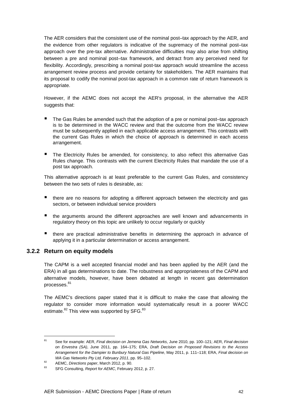The AER considers that the consistent use of the nominal post–tax approach by the AER, and the evidence from other regulators is indicative of the supremacy of the nominal post–tax approach over the pre-tax alternative. Administrative difficulties may also arise from shifting between a pre and nominal post–tax framework, and detract from any perceived need for flexibility. Accordingly, prescribing a nominal post-tax approach would streamline the access arrangement review process and provide certainty for stakeholders. The AER maintains that its proposal to codify the nominal post-tax approach in a common rate of return framework is appropriate.

However, if the AEMC does not accept the AER's proposal, in the alternative the AER suggests that:

- The Gas Rules be amended such that the adoption of a pre or nominal post–tax approach is to be determined in the WACC review and that the outcome from the WACC review must be subsequently applied in each applicable access arrangement. This contrasts with the current Gas Rules in which the choice of approach is determined in each access arrangement.
- The Electricity Rules be amended, for consistency, to also reflect this alternative Gas Rules change. This contrasts with the current Electricity Rules that mandate the use of a post tax approach.

This alternative approach is at least preferable to the current Gas Rules, and consistency between the two sets of rules is desirable, as:

- there are no reasons for adopting a different approach between the electricity and gas sectors, or between individual service providers
- the arguments around the different approaches are well known and advancements in regulatory theory on this topic are unlikely to occur regularly or quickly
- there are practical administrative benefits in determining the approach in advance of applying it in a particular determination or access arrangement.

#### **3.2.2 Return on equity models**

The CAPM is a well accepted financial model and has been applied by the AER (and the ERA) in all gas determinations to date. The robustness and appropriateness of the CAPM and alternative models, however, have been debated at length in recent gas determination processes.<sup>81</sup>

The AEMC's directions paper stated that it is difficult to make the case that allowing the regulator to consider more information would systematically result in a poorer WACC estimate.<sup>82</sup> This view was supported by SFG.<sup>83</sup>

 $81$ See for example: AER, Final decision on Jemena Gas Networks, June 2010, pp. 100-121; AER, Final decision on Envestra (SA), June 2011, pp. 164–175; ERA, Draft Decision on Proposed Revisions to the Access Arrangement for the Dampier to Bunbury Natural Gas Pipeline, May 2011, p. 111–118; ERA, Final decision on WA Gas Networks Pty Ltd, February 2011, pp. 95-102.

 $\frac{82}{2000}$  AEMC, Directions paper, March 2012, p. 90.

SFG Consulting, Report for AEMC, February 2012, p. 27.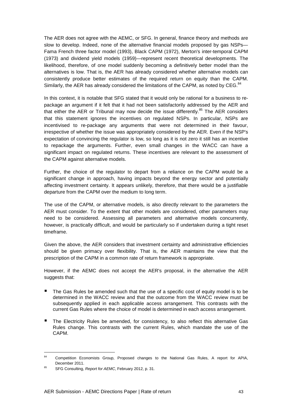The AER does not agree with the AEMC, or SFG. In general, finance theory and methods are slow to develop. Indeed, none of the alternative financial models proposed by gas NSPs— Fama French three factor model (1993), Black CAPM (1972), Merton's inter-temporal CAPM (1973) and dividend yield models (1959)—represent recent theoretical developments. The likelihood, therefore, of one model suddenly becoming a definitively better model than the alternatives is low. That is, the AER has already considered whether alternative models can consistently produce better estimates of the required return on equity than the CAPM. Similarly, the AER has already considered the limitations of the CAPM, as noted by CEG.<sup>84</sup>

In this context, it is notable that SFG stated that it would only be rational for a business to repackage an argument if it felt that it had not been satisfactorily addressed by the AER and that either the AER or Tribunal may now decide the issue differently.<sup>85</sup> The AER considers that this statement ignores the incentives on regulated NSPs. In particular, NSPs are incentivised to re-package any arguments that were not determined in their favour, irrespective of whether the issue was appropriately considered by the AER. Even if the NSP's expectation of convincing the regulator is low, so long as it is not zero it still has an incentive to repackage the arguments. Further, even small changes in the WACC can have a significant impact on regulated returns. These incentives are relevant to the assessment of the CAPM against alternative models.

Further, the choice of the regulator to depart from a reliance on the CAPM would be a significant change in approach, having impacts beyond the energy sector and potentially affecting investment certainty. It appears unlikely, therefore, that there would be a justifiable departure from the CAPM over the medium to long term.

The use of the CAPM, or alternative models, is also directly relevant to the parameters the AER must consider. To the extent that other models are considered, other parameters may need to be considered. Assessing all parameters and alternative models concurrently, however, is practically difficult, and would be particularly so if undertaken during a tight reset timeframe.

Given the above, the AER considers that investment certainty and administrative efficiencies should be given primacy over flexibility. That is, the AER maintains the view that the prescription of the CAPM in a common rate of return framework is appropriate.

However, if the AEMC does not accept the AER's proposal, in the alternative the AER suggests that:

- The Gas Rules be amended such that the use of a specific cost of equity model is to be determined in the WACC review and that the outcome from the WACC review must be subsequently applied in each applicable access arrangement. This contrasts with the current Gas Rules where the choice of model is determined in each access arrangement.
- The Electricity Rules be amended, for consistency, to also reflect this alternative Gas Rules change. This contrasts with the current Rules, which mandate the use of the CAPM.

 $\overline{a}$ 

<sup>84</sup> Competition Economists Group, Proposed changes to the National Gas Rules, A report for APIA, December 2011.

<sup>85</sup> SFG Consulting, Report for AEMC, February 2012, p. 31.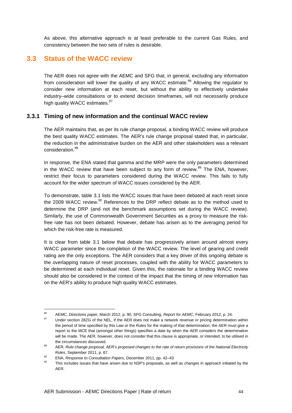As above, this alternative approach is at least preferable to the current Gas Rules, and consistency between the two sets of rules is desirable.

## **3.3 Status of the WACC review**

The AER does not agree with the AEMC and SFG that, in general, excluding any information from consideration will lower the quality of any WACC estimate.<sup>86</sup> Allowing the regulator to consider new information at each reset, but without the ability to effectively undertake industry–wide consultations or to extend decision timeframes, will not necessarily produce high quality WACC estimates.<sup>87</sup>

#### **3.3.1 Timing of new information and the continual WACC review**

The AER maintains that, as per its rule change proposal, a binding WACC review will produce the best quality WACC estimates. The AER's rule change proposal stated that, in particular, the reduction in the administrative burden on the AER and other stakeholders was a relevant consideration.<sup>88</sup>

In response, the ENA stated that gamma and the MRP were the only parameters determined in the WACC review that have been subject to any form of review.<sup>89</sup> The ENA, however, restrict their focus to parameters considered during the WACC review. This fails to fully account for the wider spectrum of WACC issues considered by the AER.

To demonstrate, table 3.1 lists the WACC issues that have been debated at each reset since the 2009 WACC review. $90$  References to the DRP reflect debate as to the method used to determine the DRP (and not the benchmark assumptions set during the WACC review). Similarly, the use of Commonwealth Government Securities as a proxy to measure the riskfree rate has not been debated. However, debate has arisen as to the averaging period for which the risk-free rate is measured.

It is clear from table 3.1 below that debate has progressively arisen around almost every WACC parameter since the completion of the WACC review. The level of gearing and credit rating are the only exceptions. The AER considers that a key driver of this ongoing debate is the overlapping nature of reset processes, coupled with the ability for WACC parameters to be determined at each individual reset. Given this, the rationale for a binding WACC review should also be considered in the context of the impact that the timing of new information has on the AER's ability to produce high quality WACC estimates.

 $\overline{a}$ 

<sup>86</sup> AEMC, Directions paper, March 2012, p. 90, SFG Consulting, Report for AEMC, February 2012, p. 24.

Under section 28ZG of the NEL, if the AER does not make a network revenue or pricing determination within the period of time specified by this Law or the Rules for the making of that determination, the AER must give a report to the MCE that (amongst other things) specifies a date by when the AER considers the determination will be made. The AER, however, does not consider that this clause is appropriate, or intended, to be utilised in the circumstances discussed.

<sup>88</sup> AER, Rule change proposal, AER's proposed changes to the rate of return provisions of the National Electricity Rules, September 2011, p. 67.

 $89$  ENA, Response to Consultation Papers, December 2011, pp. 42–43<br> $89$  This isolute issues that be used that to NSPIs expected as we

This includes issues that have arisen due to NSP's proposals, as well as changes in approach initiated by the AER.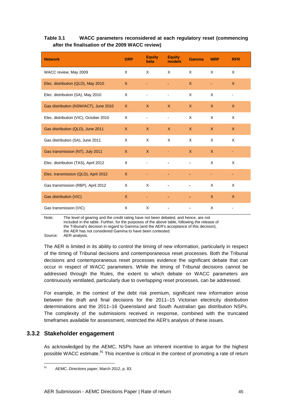#### **Table 3.1 WACC parameters reconsidered at each regulatory reset (commencing after the finalisation of the 2009 WACC review)**

| <b>Network</b>                         | <b>DRP</b>   | <b>Equity</b><br>beta | <b>Equity</b><br>models | <b>Gamma</b> | <b>MRP</b>   | <b>RFR</b>   |
|----------------------------------------|--------------|-----------------------|-------------------------|--------------|--------------|--------------|
| WACC review, May 2009                  | X            | X                     | $\times$                | $\times$     | $\times$     | X            |
| Elec. distribution (QLD), May 2010     | X            |                       |                         | $\mathsf{X}$ |              | $\mathsf{X}$ |
| Elec. distribution (SA), May 2010      | X            | -                     | $\blacksquare$          | X            | X            | ٠            |
| Gas distribution (NSW/ACT), June 2010  | $\mathsf{X}$ | X                     | $\mathsf{X}$            | $\mathsf{X}$ | $\mathsf{X}$ | $\mathsf{X}$ |
| Elec. distribution (VIC), October 2010 | X            |                       |                         | $\times$     | X            | X            |
| Gas distribution (QLD), June 2011      | $\mathsf{X}$ | $\mathsf{X}$          | $\mathsf{X}$            | X            | $\mathsf{X}$ | X            |
| Gas distribution (SA), June 2011       | X            | X                     | X                       | X            | X            | X            |
| Gas transmission (NT), July 2011       | $\mathsf{X}$ | $\mathsf{X}$          |                         | $\mathsf{X}$ | $\mathsf{X}$ |              |
| Elec. distribution (TAS), April 2012   | X            |                       |                         |              | X            | X            |
| Elec. transmission (QLD), April 2012   | $\mathsf{X}$ |                       |                         |              |              |              |
| Gas transmission (RBP), April 2012     | X            | X                     |                         |              | X            | X            |
| Gas distribution (VIC)                 | $\mathsf{X}$ |                       |                         |              | $\mathsf{X}$ | $\mathsf{X}$ |
| Gas transmission (VIC)                 | X            | X                     |                         |              | X            |              |

Note: The level of gearing and the credit rating have not been debated, and hence, are not included in the table. Further, for the purposes of the above table, following the release of the Tribunal's decision in regard to Gamma (and the AER's acceptance of this decision), the AER has not considered Gamma to have been contested.

Source: AER analysis.

The AER is limited in its ability to control the timing of new information, particularly in respect of the timing of Tribunal decisions and contemporaneous reset processes. Both the Tribunal decisions and contemporaneous reset processes evidence the significant debate that can occur in respect of WACC parameters. While the timing of Tribunal decisions cannot be addressed through the Rules, the extent to which debate on WACC parameters are continuously ventilated, particularly due to overlapping reset processes, can be addressed.

For example, in the context of the debt risk premium, significant new information arose between the draft and final decisions for the 2011–15 Victorian electricity distribution determinations and the 2011–16 Queensland and South Australian gas distribution NSPs. The complexity of the submissions received in response, combined with the truncated timeframes available for assessment, restricted the AER's analysis of these issues.

#### **3.3.2 Stakeholder engagement**

l

As acknowledged by the AEMC, NSPs have an inherent incentive to argue for the highest possible WACC estimate.<sup>91</sup> This incentive is critical in the context of promoting a rate of return

<sup>91</sup> AEMC, Directions paper, March 2012, p. 83.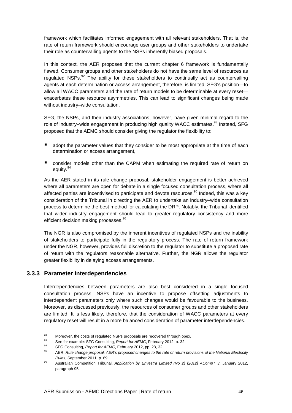framework which facilitates informed engagement with all relevant stakeholders. That is, the rate of return framework should encourage user groups and other stakeholders to undertake their role as countervailing agents to the NSPs inherently biased proposals.

In this context, the AER proposes that the current chapter 6 framework is fundamentally flawed. Consumer groups and other stakeholders do not have the same level of resources as regulated NSPs. $92$  The ability for these stakeholders to continually act as countervailing agents at each determination or access arrangement, therefore, is limited. SFG's position—to allow all WACC parameters and the rate of return models to be determinable at every reset exacerbates these resource asymmetries. This can lead to significant changes being made without industry–wide consultation.

SFG, the NSPs, and their industry associations, however, have given minimal regard to the role of industry-wide engagement in producing high quality WACC estimates.<sup>93</sup> Instead, SFG proposed that the AEMC should consider giving the regulator the flexibility to:

- adopt the parameter values that they consider to be most appropriate at the time of each determination or access arrangement,
- consider models other than the CAPM when estimating the required rate of return on equity.<sup>94</sup>

As the AER stated in its rule change proposal, stakeholder engagement is better achieved where all parameters are open for debate in a single focused consultation process, where all affected parties are incentivised to participate and devote resources.<sup>95</sup> Indeed, this was a key consideration of the Tribunal in directing the AER to undertake an industry–wide consultation process to determine the best method for calculating the DRP. Notably, the Tribunal identified that wider industry engagement should lead to greater regulatory consistency and more efficient decision making processes.<sup>96</sup>

The NGR is also compromised by the inherent incentives of regulated NSPs and the inability of stakeholders to participate fully in the regulatory process. The rate of return framework under the NGR, however, provides full discretion to the regulator to substitute a proposed rate of return with the regulators reasonable alternative. Further, the NGR allows the regulator greater flexibility in delaying access arrangements.

#### **3.3.3 Parameter interdependencies**

Interdependencies between parameters are also best considered in a single focused consultation process. NSPs have an incentive to propose offsetting adjustments to interdependent parameters only where such changes would be favourable to the business. Moreover, as discussed previously, the resources of consumer groups and other stakeholders are limited. It is less likely, therefore, that the consideration of WACC parameters at every regulatory reset will result in a more balanced consideration of parameter interdependencies.

 $92$ 92 Moreover, the costs of regulated NSPs proposals are recovered through opex.<br>93 Costs proposals CEO Costs through Separation AEMO Estimated 2019 to 20

<sup>93</sup> See for example: SFG Consulting, Report for AEMC, February 2012, p. 32.

<sup>94</sup> SFG Consulting, Report for AEMC, February 2012, pp. 28, 32.<br>95 AER Rule alguns are readed. AER's associate for sea to the use

AER, Rule change proposal, AER's proposed changes to the rate of return provisions of the National Electricity Rules, September 2011, p. 69.

<sup>96</sup> Australian Competition Tribunal, Application by Envestra Limited (No 2) [2012] ACompT 3, January 2012, paragraph 95.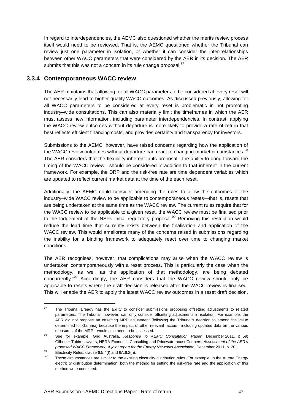In regard to interdependencies, the AEMC also questioned whether the merits review process itself would need to be reviewed. That is, the AEMC questioned whether the Tribunal can review just one parameter in isolation, or whether it can consider the inter-relationships between other WACC parameters that were considered by the AER in its decision. The AER submits that this was not a concern in its rule change proposal.<sup>97</sup>

#### **3.3.4 Contemporaneous WACC review**

The AER maintains that allowing for all WACC parameters to be considered at every reset will not necessarily lead to higher quality WACC outcomes. As discussed previously, allowing for all WACC parameters to be considered at every reset is problematic in not promoting industry–wide consultations. This can also materially limit the timeframes in which the AER must assess new information, including parameter interdependencies. In contrast, applying the WACC review outcomes without departure is more likely to provide a rate of return that best reflects efficient financing costs, and provides certainty and transparency for investors.

Submissions to the AEMC, however, have raised concerns regarding how the application of the WACC review outcomes without departure can react to changing market circumstances.<sup>98</sup> The AER considers that the flexibility inherent in its proposal—the ability to bring forward the timing of the WACC review—should be considered in addition to that inherent in the current framework. For example, the DRP and the risk-free rate are time dependent variables which are updated to reflect current market data at the time of the each reset.

Additionally, the AEMC could consider amending the rules to allow the outcomes of the industry–wide WACC review to be applicable to contemporaneous resets—that is, resets that are being undertaken at the same time as the WACC review. The current rules require that for the WACC review to be applicable to a given reset, the WACC review must be finalised prior to the lodgement of the NSPs initial regulatory proposal.<sup>99</sup> Removing this restriction would reduce the lead time that currently exists between the finalisation and application of the WACC review. This would ameliorate many of the concerns raised in submissions regarding the inability for a binding framework to adequately react over time to changing market conditions.

The AER recognises, however, that complications may arise when the WACC review is undertaken contemporaneously with a reset process. This is particularly the case when the methodology, as well as the application of that methodology, are being debated concurrently.<sup>100</sup> Accordingly, the AER considers that the WACC review should only be applicable to resets where the draft decision is released after the WACC review is finalised. This will enable the AER to apply the latest WACC review outcomes in a reset draft decision,

l

<sup>&</sup>lt;sup>97</sup> The Tribunal already has the ability to consider submissions proposing offsetting adjustments to related parameters. The Tribunal, however, can only consider offsetting adjustments in isolation. For example, the AER did not propose an offsetting MRP adjustment (following the Tribunal's decision to amend the value determined for Gamma) because the impact of other relevant factors—including updated data on the various measures of the MRP—would also need to be assessed.

<sup>98</sup> See for example: Grid Australia, Response to AEMC Consultation Paper, December 2011, p. 59; Gilbert + Tobin Lawyers, NERA Economic Consulting and PricewaterhouseCoopers, Assessment of the AER's proposed WACC Framework, A joint report for the Energy Networks Association, December 2011, p. 20.

 $^{99}$  Electricity Rules, clause 6.5.4(f) and 6A.6.2(h).<br> $^{100}$  These site unchanges are similar to the evidence

These circumstances are similar to the existing electricity distribution rules. For example, in the Aurora Energy electricity distribution determination, both the method for setting the risk–free rate and the application of this method were contested.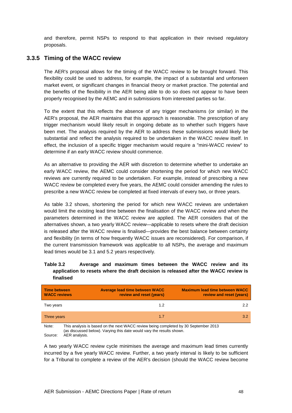and therefore, permit NSPs to respond to that application in their revised regulatory proposals.

#### **3.3.5 Timing of the WACC review**

The AER's proposal allows for the timing of the WACC review to be brought forward. This flexibility could be used to address, for example, the impact of a substantial and unforseen market event, or significant changes in financial theory or market practice. The potential and the benefits of the flexibility in the AER being able to do so does not appear to have been properly recognised by the AEMC and in submissions from interested parties so far.

To the extent that this reflects the absence of any trigger mechanisms (or similar) in the AER's proposal, the AER maintains that this approach is reasonable. The prescription of any trigger mechanism would likely result in ongoing debate as to whether such triggers have been met. The analysis required by the AER to address these submissions would likely be substantial and reflect the analysis required to be undertaken in the WACC review itself. In effect, the inclusion of a specific trigger mechanism would require a "mini-WACC review" to determine if an early WACC review should commence.

As an alternative to providing the AER with discretion to determine whether to undertake an early WACC review, the AEMC could consider shortening the period for which new WACC reviews are currently required to be undertaken. For example, instead of prescribing a new WACC review be completed every five years, the AEMC could consider amending the rules to prescribe a new WACC review be completed at fixed intervals of every two, or three years.

As table 3.2 shows, shortening the period for which new WACC reviews are undertaken would limit the existing lead time between the finalisation of the WACC review and when the parameters determined in the WACC review are applied. The AER considers that of the alternatives shown, a two yearly WACC review—applicable to resets where the draft decision is released after the WACC review is finalised—provides the best balance between certainty and flexibility (in terms of how frequently WACC issues are reconsidered). For comparison, if the current transmission framework was applicable to all NSPs, the average and maximum lead times would be 3.1 and 5.2 years respectively.

#### **Table 3.2 Average and maximum times between the WACC review and its application to resets where the draft decision is released after the WACC review is finalised**

| <b>Time between</b><br><b>WACC reviews</b> | <b>Average lead time between WACC</b><br>review and reset (years) | <b>Maximum lead time between WACC</b><br>review and reset (years) |
|--------------------------------------------|-------------------------------------------------------------------|-------------------------------------------------------------------|
| Two years                                  | 1.2                                                               | $2.2^{\circ}$                                                     |
| Three years                                | 1.7                                                               | 3.2                                                               |
|                                            |                                                                   |                                                                   |

Note: This analysis is based on the next WACC review being completed by 30 September 2013 (as discussed below). Varying this date would vary the results shown. Source: AER analysis.

A two yearly WACC review cycle minimises the average and maximum lead times currently incurred by a five yearly WACC review. Further, a two yearly interval is likely to be sufficient for a Tribunal to complete a review of the AER's decision (should the WACC review become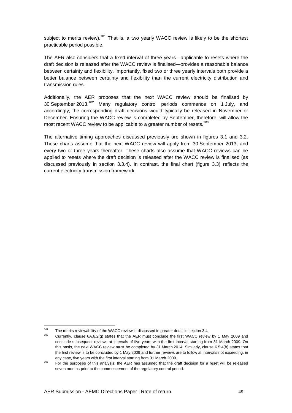subject to merits review).<sup>101</sup> That is, a two yearly WACC review is likely to be the shortest practicable period possible.

The AER also considers that a fixed interval of three years—applicable to resets where the draft decision is released after the WACC review is finalised—provides a reasonable balance between certainty and flexibility. Importantly, fixed two or three yearly intervals both provide a better balance between certainty and flexibility than the current electricity distribution and transmission rules.

Additionally, the AER proposes that the next WACC review should be finalised by 30 September 2013.<sup>102</sup> Many regulatory control periods commence on 1 July, and accordingly, the corresponding draft decisions would typically be released in November or December. Ensuring the WACC review is completed by September, therefore, will allow the most recent WACC review to be applicable to a greater number of resets.<sup>103</sup>

The alternative timing approaches discussed previously are shown in figures 3.1 and 3.2. These charts assume that the next WACC review will apply from 30 September 2013, and every two or three years thereafter. These charts also assume that WACC reviews can be applied to resets where the draft decision is released after the WACC review is finalised (as discussed previously in section 3.3.4). In contrast, the final chart (figure 3.3) reflects the current electricity transmission framework.

 $101$ <sup>101</sup> The merits reviewability of the WACC review is discussed in greater detail in section 3.4.<br><sup>102</sup> Currently, classes CACC(c) states that the AFD west section the first WACC surjust

<sup>102</sup> Currently, clause 6A.6.2(g) states that the AER must conclude the first WACC review by 1 May 2009 and conclude subsequent reviews at intervals of five years with the first interval starting from 31 March 2009. On this basis, the next WACC review must be completed by 31 March 2014. Similarly, clause 6.5.4(b) states that the first review is to be concluded by 1 May 2009 and further reviews are to follow at intervals not exceeding, in any case, five years with the first interval starting from 31 March 2009.

 $103$  For the purposes of this analysis, the AER has assumed that the draft decision for a reset will be released seven months prior to the commencement of the regulatory control period.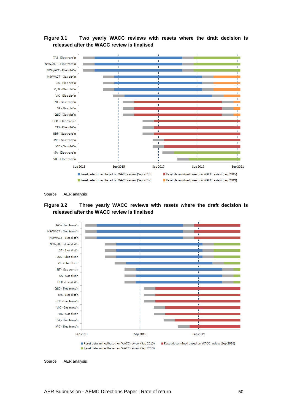**Figure 3.1 Two yearly WACC reviews with resets where the draft decision is released after the WACC review is finalised** 











Source: AER analysis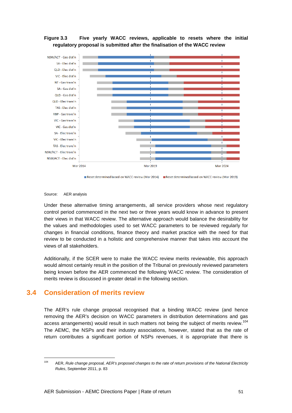

**Figure 3.3 Five yearly WACC reviews, applicable to resets where the initial regulatory proposal is submitted after the finalisation of the WACC review** 

Reset determined based on WACC review (Mar 2014) Reset determined based on WACC review (Mar 2019)

#### Source: AER analysis

l

Under these alternative timing arrangements, all service providers whose next regulatory control period commenced in the next two or three years would know in advance to present their views in that WACC review. The alternative approach would balance the desirability for the values and methodologies used to set WACC parameters to be reviewed regularly for changes in financial conditions, finance theory and market practice with the need for that review to be conducted in a holistic and comprehensive manner that takes into account the views of all stakeholders.

Additionally, if the SCER were to make the WACC review merits reviewable, this approach would almost certainly result in the position of the Tribunal on previously reviewed parameters being known before the AER commenced the following WACC review. The consideration of merits review is discussed in greater detail in the following section.

### **3.4 Consideration of merits review**

The AER's rule change proposal recognised that a binding WACC review (and hence removing the AER's decision on WACC parameters in distribution determinations and gas access arrangements) would result in such matters not being the subject of merits review.<sup>104</sup> The AEMC, the NSPs and their industry associations, however, stated that as the rate of return contributes a significant portion of NSPs revenues, it is appropriate that there is

<sup>&</sup>lt;sup>104</sup> AER, Rule change proposal, AER's proposed changes to the rate of return provisions of the National Electricity Rules, September 2011, p. 83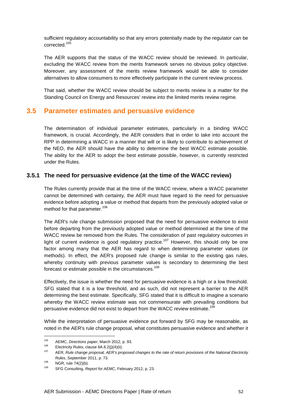sufficient regulatory accountability so that any errors potentially made by the regulator can be corrected<sup>105</sup>

The AER supports that the status of the WACC review should be reviewed. In particular, excluding the WACC review from the merits framework serves no obvious policy objective. Moreover, any assessment of the merits review framework would be able to consider alternatives to allow consumers to more effectively participate in the current review process.

That said, whether the WACC review should be subject to merits review is a matter for the Standing Council on Energy and Resources' review into the limited merits review regime.

### **3.5 Parameter estimates and persuasive evidence**

The determination of individual parameter estimates, particularly in a binding WACC framework, is crucial. Accordingly, the AER considers that in order to take into account the RPP in determining a WACC in a manner that will or is likely to contribute to achievement of the NEO, the AER should have the ability to determine the best WACC estimate possible. The ability for the AER to adopt the best estimate possible, however, is currently restricted under the Rules.

#### **3.5.1 The need for persuasive evidence (at the time of the WACC review)**

The Rules currently provide that at the time of the WACC review, where a WACC parameter cannot be determined with certainty, the AER must have regard to the need for persuasive evidence before adopting a value or method that departs from the previously adopted value or method for that parameter.<sup>106</sup>

The AER's rule change submission proposed that the need for persuasive evidence to exist before departing from the previously adopted value or method determined at the time of the WACC review be removed from the Rules. The consideration of past regulatory outcomes in light of current evidence is good regulatory practice.<sup>107</sup> However, this should only be one factor among many that the AER has regard to when determining parameter values (or methods). In effect, the AER's proposed rule change is similar to the existing gas rules, whereby continuity with previous parameter values is secondary to determining the best forecast or estimate possible in the circumstances.<sup>108</sup>

Effectively, the issue is whether the need for persuasive evidence is a high or a low threshold. SFG stated that it is a low threshold, and as such, did not represent a barrier to the AER determining the best estimate. Specifically, SFG stated that it is difficult to imagine a scenario whereby the WACC review estimate was not commensurate with prevailing conditions but persuasive evidence did not exist to depart from the WACC review estimate.<sup>109</sup>

While the interpretation of persuasive evidence put forward by SFG may be reasonable, as noted in the AER's rule change proposal, what constitutes persuasive evidence and whether it

<sup>105</sup> <sup>105</sup> AEMC, *Directions paper*, March 2012, p. 93.<br><sup>106</sup> Electricity Pulse, clause 6A.6.9(i)(4)(ii)

 $^{106}$  Electricity Rules, clause 6A.6.2(j)(4)(ii).<br> $^{107}$  AED, Buls shapes associated AED's are

AER, Rule change proposal, AER's proposed changes to the rate of return provisions of the National Electricity Rules, September 2011, p. 73.

 $^{108}$  NGR, rule 74(2)(b).

SFG Consulting, Report for AEMC, February 2012, p. 23.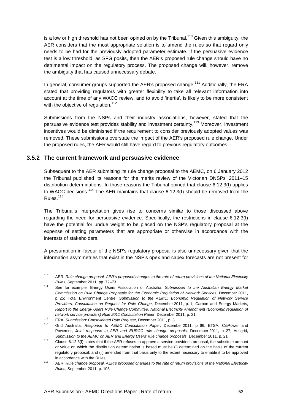is a low or high threshold has not been opined on by the Tribunal.<sup>110</sup> Given this ambiguity, the AER considers that the most appropriate solution is to amend the rules so that regard only needs to be had for the previously adopted parameter estimate. If the persuasive evidence test is a low threshold, as SFG posits, then the AER's proposed rule change should have no detrimental impact on the regulatory process. The proposed change will, however, remove the ambiguity that has caused unnecessary debate.

In general, consumer groups supported the AER's proposed change.<sup>111</sup> Additionally, the ERA stated that providing regulators with greater flexibility to take all relevant information into account at the time of any WACC review, and to avoid 'inertia', is likely to be more consistent with the objective of regulation.<sup>112</sup>

Submissions from the NSPs and their industry associations, however, stated that the persuasive evidence test provides stability and investment certainty.<sup>113</sup> Moreover, investment incentives would be diminished if the requirement to consider previously adopted values was removed. These submissions overstate the impact of the AER's proposed rule change. Under the proposed rules, the AER would still have regard to previous regulatory outcomes.

#### **3.5.2 The current framework and persuasive evidence**

Subsequent to the AER submitting its rule change proposal to the AEMC, on 6 January 2012 the Tribunal published its reasons for the merits review of the Victorian DNSPs' 2011–15 distribution determinations. In those reasons the Tribunal opined that clause 6.12.3(f) applies to WACC decisions.<sup>114</sup> The AER maintains that clause  $6.12.3(f)$  should be removed from the Rules.<sup>115</sup>

The Tribunal's interpretation gives rise to concerns similar to those discussed above regarding the need for persuasive evidence. Specifically, the restrictions in clause 6.12.3(f) have the potential for undue weight to be placed on the NSP's regulatory proposal at the expense of setting parameters that are appropriate or otherwise in accordance with the interests of stakeholders.

A presumption in favour of the NSP's regulatory proposal is also unnecessary given that the information asymmetries that exist in the NSP's opex and capex forecasts are not present for

 $\overline{a}$ 

<sup>&</sup>lt;sup>110</sup> AER, Rule change proposal, AER's proposed changes to the rate of return provisions of the National Electricity Rules, September 2011, pp. 72–73.

<sup>111</sup> See for example: Energy Users Association of Australia, Submission to the Australian Energy Market Commission on Rule Change Proposals for the Economic Regulation of Network Services, December 2011, p. 25; Total Environment Centre, Submission to the AEMC, Economic Regulation of Network Service Providers, Consultation on Request for Rule Change, December 2011, p. 1; Carbon and Energy Markets, Report to the Energy Users Rule Change Committee, National Electricity Amendment (Economic regulation of network service providers) Rule 2011 Consultation Paper, December 2011, p. 21.

<sup>112</sup> ERA, Submission: Consolidated Rule Request, December 2011, p. 3.

Grid Australia, Response to AEMC Consultation Paper, December 2011, p. 66; ETSA, CitiPower and Powercor, Joint response to AER and EURCC rule change proposals, December 2011, p. 27; Ausgrid, Submission to the AEMC on AER and Energy Users' rule change proposals, December 2011, p. 21.

<sup>114</sup> Clause 6.12.3(f) states that if the AER refuses to approve a service provider's proposal, the substitute amount or value on which the distribution determination is based must be (i) determined on the basis of the current regulatory proposal; and (ii) amended from that basis only to the extent necessary to enable it to be approved in accordance with the Rules.

<sup>&</sup>lt;sup>115</sup> AER, Rule change proposal, AER's proposed changes to the rate of return provisions of the National Electricity Rules, September 2011, p. 103.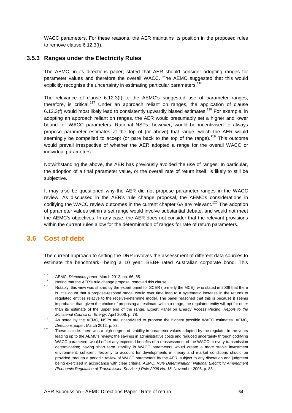WACC parameters. For these reasons, the AER maintains its position in the proposed rules to remove clause 6.12.3(f).

#### **3.5.3 Ranges under the Electricity Rules**

The AEMC, in its directions paper, stated that AER should consider adopting ranges for parameter values and therefore the overall WACC. The AEMC suggested that this would explicitly recognise the uncertainty in estimating particular parameters.<sup>116</sup>

The relevance of clause 6.12.3(f) to the AEMC's suggested use of parameter ranges, therefore, is critical.<sup>117</sup> Under an approach reliant on ranges, the application of clause 6.12.3(f) would most likely lead to consistently upwardly biased estimates.<sup>118</sup> For example, in adopting an approach reliant on ranges, the AER would presumably set a higher and lower bound for WACC parameters. Rational NSPs, however, would be incentivised to always propose parameter estimates at the top of (or above) that range, which the AER would seemingly be compelled to accept (or pare back to the top of the range).<sup>119</sup> This outcome would prevail irrespective of whether the AER adopted a range for the overall WACC or individual parameters.

Notwithstanding the above, the AER has previously avoided the use of ranges. In particular, the adoption of a final parameter value, or the overall rate of return itself, is likely to still be subjective.

It may also be questioned why the AER did not propose parameter ranges in the WACC review. As discussed in the AER's rule change proposal, the AEMC's considerations in codifying the WACC review outcomes in the current chapter 6A are relevant.<sup>120</sup> The adoption of parameter values within a set range would involve substantial debate, and would not meet the AEMC's objectives. In any case, the AER does not consider that the relevant provisions within the current rules allow for the determination of ranges for rate of return parameters.

# **3.6 Cost of debt**

 $\overline{a}$ 

The current approach to setting the DRP involves the assessment of different data sources to estimate the benchmark—being a 10 year, BBB+ rated Australian corporate bond. This

<sup>&</sup>lt;sup>116</sup> AEMC, *Directions paper*, March 2012, pp. 66, 85.<br><sup>117</sup> Noting that the AER's rule abange prepacel remain

<sup>&</sup>lt;sup>117</sup> Noting that the AER's rule change proposal removed this clause.

Notably, this view was shared by the expert panel for SCER (formerly the MCE), who stated in 2006 that there is little doubt that a propose-respond model would over time lead to a systematic increase in the returns to regulated entities relative to the receive-determine model. The panel reasoned that this is because it seems improbable that, given the choice of proposing an estimate within a range, the regulated entity will opt for other than its estimate of the upper end of the range. Expert Panel on Energy Access Pricing, Report to the Ministerial Council on Energy, April 2006, p. 78.

<sup>119</sup> As noted by the AEMC, NSPs are incentivised to propose the highest possible WACC estimates. AEMC, Directions paper, March 2012, p. 83.

<sup>&</sup>lt;sup>120</sup> These include: there was a high degree of stability in parameter values adopted by the regulator in the years leading up to the AEMC's review; the savings in administrative costs and reduced uncertainty through codifying WACC parameters would offset any expected benefits of a reassessment of the WACC at every transmission determination; having short term stability in WACC parameters would create a more stable investment environment; sufficient flexibility to account for developments in theory and market conditions should be provided through a periodic review of WACC parameters by the AER, subject to any discretion and judgment being exercised in accordance with clear criteria. AEMC, Rule Determination: National Electricity Amendment (Economic Regulation of Transmission Services) Rule 2006 No. 18, November 2006, p. 83.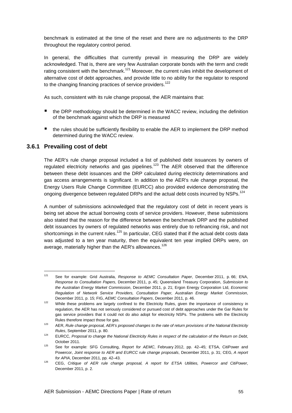benchmark is estimated at the time of the reset and there are no adjustments to the DRP throughout the regulatory control period.

In general, the difficulties that currently prevail in measuring the DRP are widely acknowledged. That is, there are very few Australian corporate bonds with the term and credit rating consistent with the benchmark.<sup>121</sup> Moreover, the current rules inhibit the development of alternative cost of debt approaches, and provide little to no ability for the regulator to respond to the changing financing practices of service providers.<sup>122</sup>

As such, consistent with its rule change proposal, the AER maintains that:

- the DRP methodology should be determined in the WACC review, including the definition of the benchmark against which the DRP is measured
- the rules should be sufficiently flexibility to enable the AER to implement the DRP method determined during the WACC review.

#### **3.6.1 Prevailing cost of debt**

 $\overline{a}$ 

The AER's rule change proposal included a list of published debt issuances by owners of regulated electricity networks and gas pipelines.<sup>123</sup> The AER observed that the difference between these debt issuances and the DRP calculated during electricity determinations and gas access arrangements is significant. In addition to the AER's rule change proposal, the Energy Users Rule Change Committee (EURCC) also provided evidence demonstrating the ongoing divergence between regulated DRPs and the actual debt costs incurred by NSPs.<sup>124</sup>

A number of submissions acknowledged that the regulatory cost of debt in recent years is being set above the actual borrowing costs of service providers. However, these submissions also stated that the reason for the difference between the benchmark DRP and the published debt issuances by owners of regulated networks was entirely due to refinancing risk, and not shortcomings in the current rules.<sup>125</sup> In particular, CEG stated that if the actual debt costs data was adjusted to a ten year maturity, then the equivalent ten year implied DRPs were, on average, materially higher than the AER's allowances.<sup>126</sup>

<sup>&</sup>lt;sup>121</sup> See for example: Grid Australia, Response to AEMC Consultation Paper, December 2011, p. 66; ENA, Response to Consultation Papers, December 2011, p. 45; Queensland Treasury Corporation, Submission to the Australian Energy Market Commission, December 2011, p. 21; Ergon Energy Corporation Ltd, Economic Regulation of Network Service Providers, Consultation Paper, Australian Energy Market Commission, December 2011, p. 15; FIG, AEMC Consultation Papers, December 2011, p. 46.

<sup>&</sup>lt;sup>122</sup> While these problems are largely confined to the Electricity Rules, given the importance of consistency in regulation, the AER has not seriously considered or pursued cost of debt approaches under the Gar Rules for gas service providers that it could not do also adopt for electricity NSPs. The problems with the Electricity Rules therefore impact those for gas.

<sup>123</sup> AER, Rule change proposal, AER's proposed changes to the rate of return provisions of the National Electricity Rules, September 2011, p. 80.

<sup>124</sup> EURCC, Proposal to change the National Electricity Rules in respect of the calculation of the Return on Debt, October 2011.

<sup>125</sup> See for example: SFG Consulting, Report for AEMC, February 2012, pp. 42–45; ETSA, CitiPower and Powercor, Joint response to AER and EURCC rule change proposals, December 2011, p. 31; CEG, A report for APIA, December 2011, pp. 42–43.

<sup>&</sup>lt;sup>126</sup> CEG, Critique of AER rule change proposal, A report for ETSA Utilities, Powercor and CitiPower, December 2011, p. 2.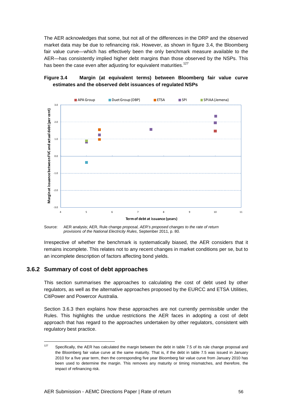The AER acknowledges that some, but not all of the differences in the DRP and the observed market data may be due to refinancing risk. However, as shown in figure 3.4, the Bloomberg fair value curve—which has effectively been the only benchmark measure available to the AER—has consistently implied higher debt margins than those observed by the NSPs. This has been the case even after adjusting for equivalent maturities.<sup>127</sup>

#### **Figure 3.4 Margin (at equivalent terms) between Bloomberg fair value curve estimates and the observed debt issuances of regulated NSPs**



Source: AER analysis; AER, Rule change proposal, AER's proposed changes to the rate of return provisions of the National Electricity Rules, September 2011, p. 80.

Irrespective of whether the benchmark is systematically biased, the AER considers that it remains incomplete. This relates not to any recent changes in market conditions per se, but to an incomplete description of factors affecting bond yields.

#### **3.6.2 Summary of cost of debt approaches**

This section summarises the approaches to calculating the cost of debt used by other regulators, as well as the alternative approaches proposed by the EURCC and ETSA Utilities, CitiPower and Powercor Australia.

Section 3.6.3 then explains how these approaches are not currently permissible under the Rules. This highlights the undue restrictions the AER faces in adopting a cost of debt approach that has regard to the approaches undertaken by other regulators, consistent with regulatory best practice.

 $127$ Specifically, the AER has calculated the margin between the debt in table 7.5 of its rule change proposal and the Bloomberg fair value curve at the same maturity. That is, if the debt in table 7.5 was issued in January 2010 for a five year term, then the corresponding five year Bloomberg fair value curve from January 2010 has been used to determine the margin. This removes any maturity or timing mismatches, and therefore, the impact of refinancing risk.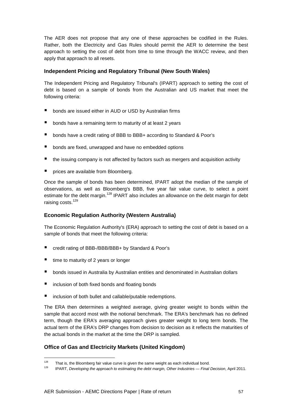The AER does not propose that any one of these approaches be codified in the Rules. Rather, both the Electricity and Gas Rules should permit the AER to determine the best approach to setting the cost of debt from time to time through the WACC review, and then apply that approach to all resets.

#### **Independent Pricing and Regulatory Tribunal (New South Wales)**

The Independent Pricing and Regulatory Tribunal's (IPART) approach to setting the cost of debt is based on a sample of bonds from the Australian and US market that meet the following criteria:

- bonds are issued either in AUD or USD by Australian firms
- **•** bonds have a remaining term to maturity of at least 2 years
- bonds have a credit rating of BBB to BBB+ according to Standard & Poor's
- **bonds are fixed, unwrapped and have no embedded options**
- $\blacksquare$  the issuing company is not affected by factors such as mergers and acquisition activity
- **P** prices are available from Bloomberg.

Once the sample of bonds has been determined, IPART adopt the median of the sample of observations, as well as Bloomberg's BBB, five year fair value curve, to select a point estimate for the debt margin.<sup>128</sup> IPART also includes an allowance on the debt margin for debt raising costs.<sup>129</sup>

#### **Economic Regulation Authority (Western Australia)**

The Economic Regulation Authority's (ERA) approach to setting the cost of debt is based on a sample of bonds that meet the following criteria:

- credit rating of BBB-/BBB/BBB+ by Standard & Poor's
- $\blacksquare$  time to maturity of 2 years or longer

l

- bonds issued in Australia by Australian entities and denominated in Australian dollars
- inclusion of both fixed bonds and floating bonds
- inclusion of both bullet and callable/putable redemptions.

The ERA then determines a weighted average, giving greater weight to bonds within the sample that accord most with the notional benchmark. The ERA's benchmark has no defined term, though the ERA's averaging approach gives greater weight to long term bonds. The actual term of the ERA's DRP changes from decision to decision as it reflects the maturities of the actual bonds in the market at the time the DRP is sampled.

#### **Office of Gas and Electricity Markets (United Kingdom)**

<sup>&</sup>lt;sup>128</sup> That is, the Bloomberg fair value curve is given the same weight as each individual bond.<br><sup>129</sup> PAPT, Davelating the sampport to estimating the data magning Other Industries.

<sup>129</sup> IPART, Developing the approach to estimating the debt margin, Other Industries — Final Decision, April 2011.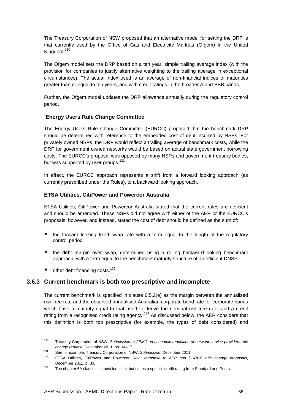The Treasury Corporation of NSW proposed that an alternative model for setting the DRP is that currently used by the Office of Gas and Electricity Markets (Ofgem) in the United Kingdom.<sup>130</sup>

The Ofgem model sets the DRP based on a ten year, simple trailing average index (with the provision for companies to justify alternative weighting to the trailing average in exceptional circumstances). The actual index used is an average of non-financial indices of maturities greater than or equal to ten years, and with credit ratings in the broader A and BBB bands.

Further, the Ofgem model updates the DRP allowance annually during the regulatory control period.

#### **Energy Users Rule Change Committee**

The Energy Users Rule Change Committee (EURCC) proposed that the benchmark DRP should be determined with reference to the embedded cost of debt incurred by NSPs. For privately owned NSPs, the DRP would reflect a trailing average of benchmark costs, while the DRP for government owned networks would be based on actual state government borrowing costs. The EURCC's proposal was opposed by many NSPs and government treasury bodies, but was supported by user groups.<sup>131</sup>

In effect, the EURCC approach represents a shift from a forward looking approach (as currently prescribed under the Rules), to a backward looking approach.

#### **ETSA Utilities, CitiPower and Powercor Australia**

ETSA Utilities, CitiPower and Powercor Australia stated that the current rules are deficient and should be amended. These NSPs did not agree with either of the AER or the EURCC's proposals, however, and instead, stated the cost of debt should be defined as the sum of:

- **the forward looking fixed swap rate with a term equal to the length of the regulatory** control period
- the debt margin over swap, determined using a rolling backward-looking benchmark approach, with a term equal to the benchmark maturity structure of an efficient DNSP
- $\blacksquare$  other debt financing costs.<sup>132</sup>

#### **3.6.3 Current benchmark is both too prescriptive and incomplete**

The current benchmark is specified in clause 6.5.2(e) as the margin between the annualised risk-free rate and the observed annualised Australian corporate bond rate for corporate bonds which have a maturity equal to that used to derive the nominal risk-free rate, and a credit rating from a recognised credit rating agency.<sup>133</sup> As discussed below, the AER considers that this definition is both too prescriptive (for example, the types of debt considered) and

<sup>130</sup> Treasury Corporation of NSW, Submission to AEMC on economic regulation of network service providers rule change request, December 2011, pp. 14–17.

<sup>131</sup> See for example: Treasury Corporation of NSW, Submission, December 2011.

ETSA Utilities, CitiPower and Powercor, Joint response to AER and EURCC rule change proposals, December 2011, p. 33.

<sup>133</sup> The chapter 6A clause is almost identical, but states a specific credit rating from Standard and Poors.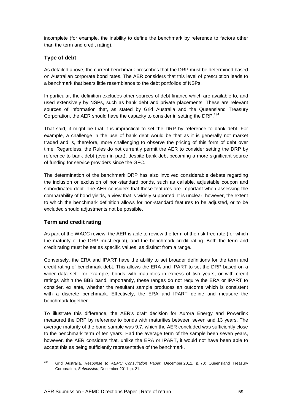incomplete (for example, the inability to define the benchmark by reference to factors other than the term and credit rating).

#### **Type of debt**

As detailed above, the current benchmark prescribes that the DRP must be determined based on Australian corporate bond rates. The AER considers that this level of prescription leads to a benchmark that bears little resemblance to the debt portfolios of NSPs.

In particular, the definition excludes other sources of debt finance which are available to, and used extensively by NSPs, such as bank debt and private placements. These are relevant sources of information that, as stated by Grid Australia and the Queensland Treasury Corporation, the AER should have the capacity to consider in setting the DRP.<sup>134</sup>

That said, it might be that it is impractical to set the DRP by reference to bank debt. For example, a challenge in the use of bank debt would be that as it is generally not market traded and is, therefore, more challenging to observe the pricing of this form of debt over time. Regardless, the Rules do not currently permit the AER to consider setting the DRP by reference to bank debt (even in part), despite bank debt becoming a more significant source of funding for service providers since the GFC.

The determination of the benchmark DRP has also involved considerable debate regarding the inclusion or exclusion of non-standard bonds, such as callable, adjustable coupon and subordinated debt. The AER considers that these features are important when assessing the comparability of bond yields, a view that is widely supported. It is unclear, however, the extent to which the benchmark definition allows for non-standard features to be adjusted, or to be excluded should adjustments not be possible.

#### **Term and credit rating**

l

As part of the WACC review, the AER is able to review the term of the risk-free rate (for which the maturity of the DRP must equal), and the benchmark credit rating. Both the term and credit rating must be set as specific values, as distinct from a range.

Conversely, the ERA and IPART have the ability to set broader definitions for the term and credit rating of benchmark debt. This allows the ERA and IPART to set the DRP based on a wider data set—for example, bonds with maturities in excess of two years, or with credit ratings within the BBB band. Importantly, these ranges do not require the ERA or IPART to consider, ex ante, whether the resultant sample produces an outcome which is consistent with a discrete benchmark. Effectively, the ERA and IPART define and measure the benchmark together.

To illustrate this difference, the AER's draft decision for Aurora Energy and Powerlink measured the DRP by reference to bonds with maturities between seven and 13 years. The average maturity of the bond sample was 9.7, which the AER concluded was sufficiently close to the benchmark term of ten years. Had the average term of the sample been seven years, however, the AER considers that, unlike the ERA or IPART, it would not have been able to accept this as being sufficiently representative of the benchmark.

<sup>&</sup>lt;sup>134</sup> Grid Australia, Response to AEMC Consultation Paper, December 2011, p. 70; Queensland Treasury Corporation, Submission, December 2011, p. 21.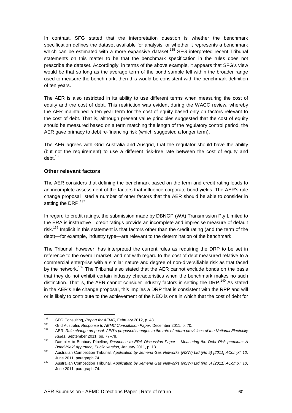In contrast, SFG stated that the interpretation question is whether the benchmark specification defines the dataset available for analysis, or whether it represents a benchmark which can be estimated with a more expansive dataset.<sup>135</sup> SFG interpreted recent Tribunal statements on this matter to be that the benchmark specification in the rules does not prescribe the dataset. Accordingly, in terms of the above example, it appears that SFG's view would be that so long as the average term of the bond sample fell within the broader range used to measure the benchmark, then this would be consistent with the benchmark definition of ten years.

The AER is also restricted in its ability to use different terms when measuring the cost of equity and the cost of debt. This restriction was evident during the WACC review, whereby the AER maintained a ten year term for the cost of equity based only on factors relevant to the cost of debt. That is, although present value principles suggested that the cost of equity should be measured based on a term matching the length of the regulatory control period, the AER gave primacy to debt re-financing risk (which suggested a longer term).

The AER agrees with Grid Australia and Ausgrid, that the regulator should have the ability (but not the requirement) to use a different risk-free rate between the cost of equity and  $debt.<sup>136</sup>$ 

#### **Other relevant factors**

The AER considers that defining the benchmark based on the term and credit rating leads to an incomplete assessment of the factors that influence corporate bond yields. The AER's rule change proposal listed a number of other factors that the AER should be able to consider in setting the DRP.<sup>137</sup>

In regard to credit ratings, the submission made by DBNGP (WA) Transmission Pty Limited to the ERA is instructive—credit ratings provide an incomplete and imprecise measure of default risk.<sup>138</sup> Implicit in this statement is that factors other than the credit rating (and the term of the debt)—for example, industry type—are relevant to the determination of the benchmark.

The Tribunal, however, has interpreted the current rules as requiring the DRP to be set in reference to the overall market, and not with regard to the cost of debt measured relative to a commercial enterprise with a similar nature and degree of non-diversifiable risk as that faced by the network.<sup>139</sup> The Tribunal also stated that the AER cannot exclude bonds on the basis that they do not exhibit certain industry characteristics when the benchmark makes no such distinction. That is, the AER cannot consider industry factors in setting the DRP.<sup>140</sup> As stated in the AER's rule change proposal, this implies a DRP that is consistent with the RPP and will or is likely to contribute to the achievement of the NEO is one in which that the cost of debt for

l

<sup>135</sup> SFG Consulting, Report for AEMC, February 2012, p. 43.

<sup>136</sup> Grid Australia, Response to AEMC Consultation Paper, December 2011, p. 70.

AER, Rule change proposal, AER's proposed changes to the rate of return provisions of the National Electricity Rules, September 2011, pp. 77–78.

<sup>138</sup> Dampier to Bunbury Pipeline, Response to ERA Discussion Paper – Measuring the Debt Risk premium: A Bond-Yield Approach, Public version, January 2011, p. 18.

<sup>139</sup> Australian Competition Tribunal, Application by Jemena Gas Networks (NSW) Ltd (No 5) [2011] ACompT 10, June 2011, paragraph 74.

<sup>140</sup> Australian Competition Tribunal, Application by Jemena Gas Networks (NSW) Ltd (No 5) [2011] ACompT 10, June 2011, paragraph 74.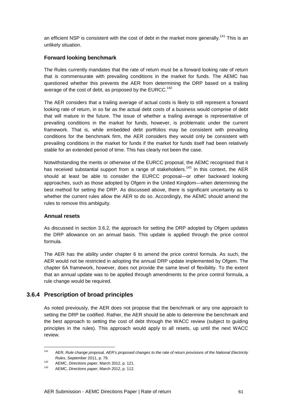an efficient NSP is consistent with the cost of debt in the market more generally.<sup>141</sup> This is an unlikely situation.

#### **Forward looking benchmark**

The Rules currently mandates that the rate of return must be a forward looking rate of return that is commensurate with prevailing conditions in the market for funds. The AEMC has questioned whether this prevents the AER from determining the DRP based on a trailing average of the cost of debt, as proposed by the EURCC.<sup>142</sup>

The AER considers that a trailing average of actual costs is likely to still represent a forward looking rate of return, in so far as the actual debt costs of a business would comprise of debt that will mature in the future. The issue of whether a trailing average is representative of prevailing conditions in the market for funds, however, is problematic under the current framework. That is, while embedded debt portfolios may be consistent with prevailing conditions for the benchmark firm, the AER considers they would only be consistent with prevailing conditions in the market for funds if the market for funds itself had been relatively stable for an extended period of time. This has clearly not been the case.

Notwithstanding the merits or otherwise of the EURCC proposal, the AEMC recognised that it has received substantial support from a range of stakeholders.<sup>143</sup> In this context, the AER should at least be able to consider the EURCC proposal—or other backward looking approaches, such as those adopted by Ofgem in the United Kingdom—when determining the best method for setting the DRP. As discussed above, there is significant uncertainty as to whether the current rules allow the AER to do so. Accordingly, the AEMC should amend the rules to remove this ambiguity.

#### **Annual resets**

l

As discussed in section 3.6.2, the approach for setting the DRP adopted by Ofgem updates the DRP allowance on an annual basis. This update is applied through the price control formula.

The AER has the ability under chapter 6 to amend the price control formula. As such, the AER would not be restricted in adopting the annual DRP update implemented by Ofgem. The chapter 6A framework, however, does not provide the same level of flexibility. To the extent that an annual update was to be applied through amendments to the price control formula, a rule change would be required.

#### **3.6.4 Prescription of broad principles**

As noted previously, the AER does not propose that the benchmark or any one approach to setting the DRP be codified. Rather, the AER should be able to determine the benchmark and the best approach to setting the cost of debt through the WACC review (subject to guiding principles in the rules). This approach would apply to all resets, up until the next WACC review.

<sup>&</sup>lt;sup>141</sup> AER, Rule change proposal, AER's proposed changes to the rate of return provisions of the National Electricity Rules, September 2011, p. 79.

<sup>142</sup> AEMC, Directions paper, March 2012, p. 121.

AEMC, Directions paper, March 2012, p. 112.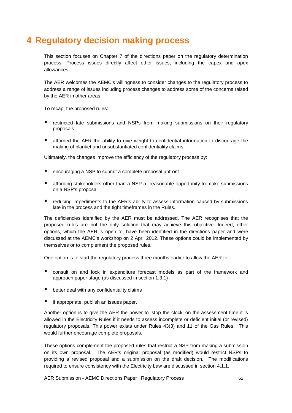# **4 Regulatory decision making process**

This section focuses on Chapter 7 of the directions paper on the regulatory determination process. Process issues directly affect other issues, including the capex and opex allowances.

The AER welcomes the AEMC's willingness to consider changes to the regulatory process to address a range of issues including process changes to address some of the concerns raised by the AER in other areas.

To recap, the proposed rules:

- **F** restricted late submissions and NSPs from making submissions on their regulatory proposals
- afforded the AER the ability to give weight to confidential information to discourage the making of blanket and unsubstantiated confidentiality claims.

Ultimately, the changes improve the efficiency of the regulatory process by:

- encouraging a NSP to submit a complete proposal upfront
- affording stakeholders other than a NSP a reasonable opportunity to make submissions on a NSP's proposal
- reducing impediments to the AER's ability to assess information caused by submissions late in the process and the tight timeframes in the Rules.

The deficiencies identified by the AER must be addressed. The AER recognises that the proposed rules are not the only solution that may achieve this objective. Indeed, other options, which the AER is open to, have been identified in the directions paper and were discussed at the AEMC's workshop on 2 April 2012. These options could be implemented by themselves or to complement the proposed rules.

One option is to start the regulatory process three months earlier to allow the AER to:

- consult on and lock in expenditure forecast models as part of the framework and approach paper stage (as discussed in section 1.3.1)
- $\blacksquare$  better deal with any confidentiality claims
- if appropriate, publish an issues paper.

Another option is to give the AER the power to 'stop the clock' on the assessment time it is allowed in the Electricity Rules if it needs to assess incomplete or deficient initial (or revised) regulatory proposals. This power exists under Rules 43(3) and 11 of the Gas Rules. This would further encourage complete proposals.

These options complement the proposed rules that restrict a NSP from making a submission on its own proposal. The AER's original proposal (as modified) would restrict NSPs to providing a revised proposal and a submission on the draft decision. The modifications required to ensure consistency with the Electricity Law are discussed in section 4.1.1.

AER Submission - AEMC Directions Paper | Regulatory Process 62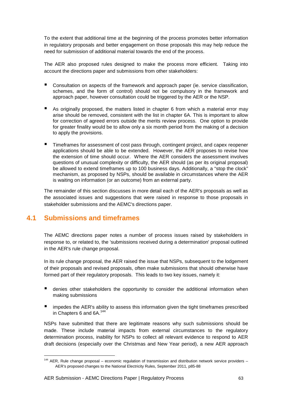To the extent that additional time at the beginning of the process promotes better information in regulatory proposals and better engagement on those proposals this may help reduce the need for submission of additional material towards the end of the process.

The AER also proposed rules designed to make the process more efficient. Taking into account the directions paper and submissions from other stakeholders:

- Consultation on aspects of the framework and approach paper (ie. service classification, schemes, and the form of control) should not be compulsory in the framework and approach paper, however consultation could be triggered by the AER or the NSP.
- As originally proposed, the matters listed in chapter 6 from which a material error may arise should be removed, consistent with the list in chapter 6A. This is important to allow for correction of agreed errors outside the merits review process. One option to provide for greater finality would be to allow only a six month period from the making of a decision to apply the provisions.
- **Timeframes for assessment of cost pass through, contingent project, and capex reopener** applications should be able to be extended. However, the AER proposes to revise how the extension of time should occur. Where the AER considers the assessment involves questions of unusual complexity or difficulty, the AER should (as per its original proposal) be allowed to extend timeframes up to 100 business days. Additionally, a "stop the clock" mechanism, as proposed by NSPs, should be available in circumstances where the AER is waiting on information (or an outcome) from an external party.

The remainder of this section discusses in more detail each of the AER's proposals as well as the associated issues and suggestions that were raised in response to those proposals in stakeholder submissions and the AEMC's directions paper.

# **4.1 Submissions and timeframes**

l

The AEMC directions paper notes a number of process issues raised by stakeholders in response to, or related to, the 'submissions received during a determination' proposal outlined in the AER's rule change proposal.

In its rule change proposal, the AER raised the issue that NSPs, subsequent to the lodgement of their proposals and revised proposals, often make submissions that should otherwise have formed part of their regulatory proposals. This leads to two key issues, namely it:

- denies other stakeholders the opportunity to consider the additional information when making submissions
- impedes the AER's ability to assess this information given the tight timeframes prescribed in Chapters 6 and 6A.<sup>144</sup>

NSPs have submitted that there are legitimate reasons why such submissions should be made. These include material impacts from external circumstances to the regulatory determination process, inability for NSPs to collect all relevant evidence to respond to AER draft decisions (especially over the Christmas and New Year period), a new AER approach

<sup>&</sup>lt;sup>144</sup> AER, Rule change proposal – economic regulation of transmission and distribution network service providers – AER's proposed changes to the National Electricity Rules, September 2011, p85-88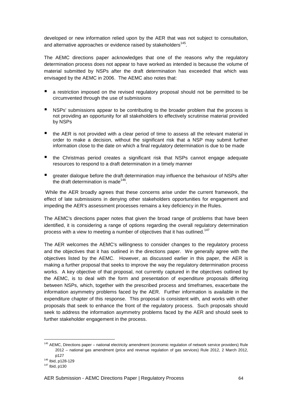developed or new information relied upon by the AER that was not subject to consultation, and alternative approaches or evidence raised by stakeholders<sup>145</sup>.

The AEMC directions paper acknowledges that one of the reasons why the regulatory determination process does not appear to have worked as intended is because the volume of material submitted by NSPs after the draft determination has exceeded that which was envisaged by the AEMC in 2006. The AEMC also notes that:

- a restriction imposed on the revised regulatory proposal should not be permitted to be circumvented through the use of submissions
- NSPs' submissions appear to be contributing to the broader problem that the process is not providing an opportunity for all stakeholders to effectively scrutinise material provided by NSPs
- the AER is not provided with a clear period of time to assess all the relevant material in order to make a decision, without the significant risk that a NSP may submit further information close to the date on which a final regulatory determination is due to be made
- the Christmas period creates a significant risk that NSPs cannot engage adequate resources to respond to a draft determination in a timely manner
- greater dialogue before the draft determination may influence the behaviour of NSPs after the draft determination is made $146$ .

 While the AER broadly agrees that these concerns arise under the current framework, the effect of late submissions in denying other stakeholders opportunities for engagement and impeding the AER's assessment processes remains a key deficiency in the Rules.

The AEMC's directions paper notes that given the broad range of problems that have been identified, it is considering a range of options regarding the overall regulatory determination process with a view to meeting a number of objectives that it has outlined.<sup>147</sup>

The AER welcomes the AEMC's willingness to consider changes to the regulatory process and the objectives that it has outlined in the directions paper. We generally agree with the objectives listed by the AEMC. However, as discussed earlier in this paper, the AER is making a further proposal that seeks to improve the way the regulatory determination process works. A key objective of that proposal, not currently captured in the objectives outlined by the AEMC, is to deal with the form and presentation of expenditure proposals differing between NSPs, which, together with the prescribed process and timeframes, exacerbate the information asymmetry problems faced by the AER. Further information is available in the expenditure chapter of this response. This proposal is consistent with, and works with other proposals that seek to enhance the front of the regulatory process. Such proposals should seek to address the information asymmetry problems faced by the AER and should seek to further stakeholder engagement in the process.

 $\overline{a}$ 

<sup>&</sup>lt;sup>145</sup> AEMC, Directions paper – national electricity amendment (economic regulation of network service providers) Rule 2012 – national gas amendment (price and revenue regulation of gas services) Rule 2012, 2 March 2012, p127

<sup>146</sup> Ibid, p128-129

<sup>147</sup> Ibid, p130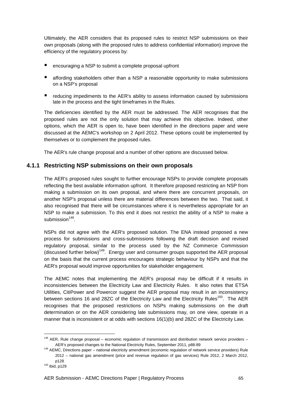Ultimately, the AER considers that its proposed rules to restrict NSP submissions on their own proposals (along with the proposed rules to address confidential information) improve the efficiency of the regulatory process by:

- encouraging a NSP to submit a complete proposal upfront
- **E** affording stakeholders other than a NSP a reasonable opportunity to make submissions on a NSP's proposal
- reducing impediments to the AER's ability to assess information caused by submissions late in the process and the tight timeframes in the Rules.

The deficiencies identified by the AER must be addressed. The AER recognises that the proposed rules are not the only solution that may achieve this objective. Indeed, other options, which the AER is open to, have been identified in the directions paper and were discussed at the AEMC's workshop on 2 April 2012. These options could be implemented by themselves or to complement the proposed rules.

The AER's rule change proposal and a number of other options are discussed below.

#### **4.1.1 Restricting NSP submissions on their own proposals**

The AER's proposed rules sought to further encourage NSPs to provide complete proposals reflecting the best available information upfront. It therefore proposed restricting an NSP from making a submission on its own proposal, and where there are concurrent proposals, on another NSP's proposal unless there are material differences between the two. That said, it also recognised that there will be circumstances where it is nevertheless appropriate for an NSP to make a submission. To this end it does not restrict the ability of a NSP to make a submission<sup>148</sup>.

NSPs did not agree with the AER's proposed solution. The ENA instead proposed a new process for submissions and cross-submissions following the draft decision and revised regulatory proposal, similar to the process used by the NZ Commerce Commission (discussed further below)<sup>149</sup>. Energy user and consumer groups supported the AER proposal on the basis that the current process encourages strategic behaviour by NSPs and that the AER's proposal would improve opportunities for stakeholder engagement.

The AEMC notes that implementing the AER's proposal may be difficult if it results in inconsistencies between the Electricity Law and Electricity Rules. It also notes that ETSA Utilities, CitiPower and Powercor suggest the AER proposal may result in an inconsistency between sections 16 and 28ZC of the Electricity Law and the Electricity Rules<sup>150</sup>. The AER recognises that the proposed restrictions on NSPs making submissions on the draft determination or on the AER considering late submissions may, on one view, operate in a manner that is inconsistent or at odds with sections 16(1)(b) and 28ZC of the Electricity Law.

l

 $148$  AER, Rule change proposal – economic regulation of transmission and distribution network service providers – AER's proposed changes to the National Electricity Rules, September 2011, p88-89

<sup>&</sup>lt;sup>149</sup> AEMC, Directions paper – national electricity amendment (economic regulation of network service providers) Rule 2012 – national gas amendment (price and revenue regulation of gas services) Rule 2012, 2 March 2012, p128 <sup>150</sup> Ibid, p129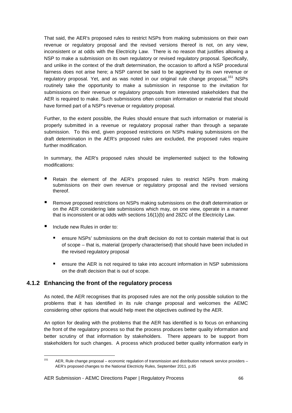That said, the AER's proposed rules to restrict NSPs from making submissions on their own revenue or regulatory proposal and the revised versions thereof is not, on any view, inconsistent or at odds with the Electricity Law. There is no reason that justifies allowing a NSP to make a submission on its own regulatory or revised regulatory proposal. Specifically, and unlike in the context of the draft determination, the occasion to afford a NSP procedural fairness does not arise here; a NSP cannot be said to be aggrieved by its own revenue or regulatory proposal. Yet, and as was noted in our original rule change proposal.<sup>151</sup> NSPs routinely take the opportunity to make a submission in response to the invitation for submissions on their revenue or regulatory proposals from interested stakeholders that the AER is required to make. Such submissions often contain information or material that should have formed part of a NSP's revenue or regulatory proposal.

Further, to the extent possible, the Rules should ensure that such information or material is properly submitted in a revenue or regulatory proposal rather than through a separate submission. To this end, given proposed restrictions on NSPs making submissions on the draft determination in the AER's proposed rules are excluded, the proposed rules require further modification.

In summary, the AER's proposed rules should be implemented subject to the following modifications:

- **E** Retain the element of the AER's proposed rules to restrict NSPs from making submissions on their own revenue or regulatory proposal and the revised versions thereof.
- Remove proposed restrictions on NSPs making submissions on the draft determination or on the AER considering late submissions which may, on one view, operate in a manner that is inconsistent or at odds with sections 16(1)(b) and 28ZC of the Electricity Law.
- Include new Rules in order to:

l

- ensure NSPs' submissions on the draft decision do not to contain material that is out of scope – that is, material (properly characterised) that should have been included in the revised regulatory proposal
- ensure the AER is not required to take into account information in NSP submissions on the draft decision that is out of scope.

## **4.1.2 Enhancing the front of the regulatory process**

As noted, the AER recognises that its proposed rules are not the only possible solution to the problems that it has identified in its rule change proposal and welcomes the AEMC considering other options that would help meet the objectives outlined by the AER.

An option for dealing with the problems that the AER has identified is to focus on enhancing the front of the regulatory process so that the process produces better quality information and better scrutiny of that information by stakeholders. There appears to be support from stakeholders for such changes. A process which produced better quality information early in

 $151$  AER, Rule change proposal – economic regulation of transmission and distribution network service providers – AER's proposed changes to the National Electricity Rules, September 2011, p.85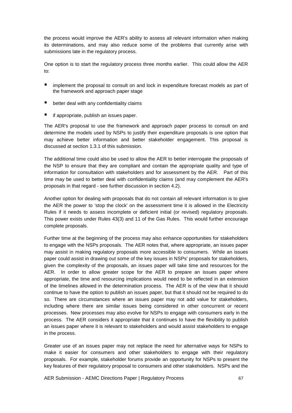the process would improve the AER's ability to assess all relevant information when making its determinations, and may also reduce some of the problems that currently arise with submissions late in the regulatory process.

One option is to start the regulatory process three months earlier. This could allow the AER to:

- **I** implement the proposal to consult on and lock in expenditure forecast models as part of the framework and approach paper stage
- better deal with any confidentiality claims
- if appropriate, publish an issues paper.

The AER's proposal to use the framework and approach paper process to consult on and determine the models used by NSPs to justify their expenditure proposals is one option that may achieve better information and better stakeholder engagement. This proposal is discussed at section 1.3.1 of this submission.

The additional time could also be used to allow the AER to better interrogate the proposals of the NSP to ensure that they are compliant and contain the appropriate quality and type of information for consultation with stakeholders and for assessment by the AER. Part of this time may be used to better deal with confidentiality claims (and may complement the AER's proposals in that regard - see further discussion in section 4.2).

Another option for dealing with proposals that do not contain all relevant information is to give the AER the power to 'stop the clock' on the assessment time it is allowed in the Electricity Rules if it needs to assess incomplete or deficient initial (or revised) regulatory proposals. This power exists under Rules 43(3) and 11 of the Gas Rules. This would further encourage complete proposals.

Further time at the beginning of the process may also enhance opportunities for stakeholders to engage with the NSPs proposals. The AER notes that, where appropriate, an issues paper may assist in making regulatory proposals more accessible to consumers. While an issues paper could assist in drawing out some of the key issues in NSPs' proposals for stakeholders, given the complexity of the proposals, an issues paper will take time and resources for the AER. In order to allow greater scope for the AER to prepare an issues paper where appropriate, the time and resourcing implications would need to be reflected in an extension of the timelines allowed in the determination process. The AER is of the view that it should continue to have the option to publish an issues paper, but that it should not be required to do so. There are circumstances where an issues paper may not add value for stakeholders, including where there are similar issues being considered in other concurrent or recent processes. New processes may also evolve for NSPs to engage with consumers early in the process. The AER considers it appropriate that it continues to have the flexibility to publish an issues paper where it is relevant to stakeholders and would assist stakeholders to engage in the process.

Greater use of an issues paper may not replace the need for alternative ways for NSPs to make it easier for consumers and other stakeholders to engage with their regulatory proposals. For example, stakeholder forums provide an opportunity for NSPs to present the key features of their regulatory proposal to consumers and other stakeholders. NSPs and the

AER Submission - AEMC Directions Paper | Regulatory Process 67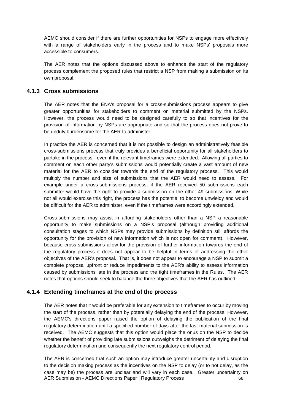AEMC should consider if there are further opportunities for NSPs to engage more effectively with a range of stakeholders early in the process and to make NSPs' proposals more accessible to consumers.

The AER notes that the options discussed above to enhance the start of the regulatory process complement the proposed rules that restrict a NSP from making a submission on its own proposal.

## **4.1.3 Cross submissions**

The AER notes that the ENA's proposal for a cross-submissions process appears to give greater opportunities for stakeholders to comment on material submitted by the NSPs. However, the process would need to be designed carefully to so that incentives for the provision of information by NSPs are appropriate and so that the process does not prove to be unduly burdensome for the AER to administer.

In practice the AER is concerned that it is not possible to design an administratively feasible cross-submissions process that truly provides a beneficial opportunity for all stakeholders to partake in the process - even if the relevant timeframes were extended. Allowing all parties to comment on each other party's submissions would potentially create a vast amount of new material for the AER to consider towards the end of the regulatory process. This would multiply the number and size of submissions that the AER would need to assess. For example under a cross-submissions process, if the AER received 50 submissions each submitter would have the right to provide a submission on the other 49 submissions. While not all would exercise this right, the process has the potential to become unwieldy and would be difficult for the AER to administer, even if the timeframes were accordingly extended.

Cross-submissions may assist in affording stakeholders other than a NSP a reasonable opportunity to make submissions on a NSP's proposal (although providing additional consultation stages to which NSPs may provide submissions by definition still affords the opportunity for the provision of new information which is not open for comment). However, because cross-submissions allow for the provision of further information towards the end of the regulatory process it does not appear to be helpful in terms of addressing the other objectives of the AER's proposal. That is, it does not appear to encourage a NSP to submit a complete proposal upfront or reduce impediments to the AER's ability to assess information caused by submissions late in the process and the tight timeframes in the Rules. The AER notes that options should seek to balance the three objectives that the AER has outlined.

## **4.1.4 Extending timeframes at the end of the process**

The AER notes that it would be preferable for any extension to timeframes to occur by moving the start of the process, rather than by potentially delaying the end of the process. However, the AEMC's directions paper raised the option of delaying the publication of the final regulatory determination until a specified number of days after the last material submission is received. The AEMC suggests that this option would place the onus on the NSP to decide whether the benefit of providing late submissions outweighs the detriment of delaying the final regulatory determination and consequently the next regulatory control period.

AER Submission - AEMC Directions Paper | Regulatory Process 68 The AER is concerned that such an option may introduce greater uncertainty and disruption to the decision making process as the incentives on the NSP to delay (or to not delay, as the case may be) the process are unclear and will vary in each case. Greater uncertainty on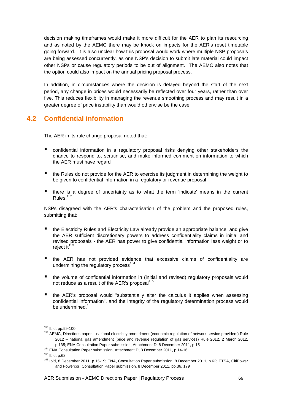decision making timeframes would make it more difficult for the AER to plan its resourcing and as noted by the AEMC there may be knock on impacts for the AER's reset timetable going forward. It is also unclear how this proposal would work where multiple NSP proposals are being assessed concurrently, as one NSP's decision to submit late material could impact other NSPs or cause regulatory periods to be out of alignment. The AEMC also notes that the option could also impact on the annual pricing proposal process.

In addition, in circumstances where the decision is delayed beyond the start of the next period, any change in prices would necessarily be reflected over four years, rather than over five. This reduces flexibility in managing the revenue smoothing process and may result in a greater degree of price instability than would otherwise be the case.

# **4.2 Confidential information**

The AER in its rule change proposal noted that:

- **•** confidential information in a regulatory proposal risks denying other stakeholders the chance to respond to, scrutinise, and make informed comment on information to which the AER must have regard
- the Rules do not provide for the AER to exercise its judgment in determining the weight to be given to confidential information in a regulatory or revenue proposal
- there is a degree of uncertainty as to what the term 'indicate' means in the current Rules.<sup>152</sup>

NSPs disagreed with the AER's characterisation of the problem and the proposed rules, submitting that:

- the Electricity Rules and Electricity Law already provide an appropriate balance, and give the AER sufficient discretionary powers to address confidentiality claims in initial and revised proposals - the AER has power to give confidential information less weight or to reject it<sup>153</sup>
- the AER has not provided evidence that excessive claims of confidentiality are undermining the regulatory process<sup>154</sup>
- the volume of confidential information in (initial and revised) regulatory proposals would not reduce as a result of the AER's proposal<sup>155</sup>
- the AER's proposal would "substantially alter the calculus it applies when assessing confidential information", and the integrity of the regulatory determination process would be undermined.<sup>156</sup>

<sup>154</sup> ENA Consultation Paper submission, Attachment D, 8 December 2011, p.14-16

<sup>152</sup> Ibid, pp.99-100

<sup>&</sup>lt;sup>153</sup> AEMC, Directions paper – national electricity amendment (economic regulation of network service providers) Rule 2012 – national gas amendment (price and revenue regulation of gas services) Rule 2012, 2 March 2012, p.135; ENA Consultation Paper submission, Attachment D, 8 December 2011, p.15

<sup>155</sup> Ibid, p.62

<sup>156</sup> Ibid, 8 December 2011, p.15-19; ENA, Consultation Paper submission, 8 December 2011, p.62; ETSA, CitiPower and Powercor, Consultation Paper submission, 8 December 2011, pp.36, 179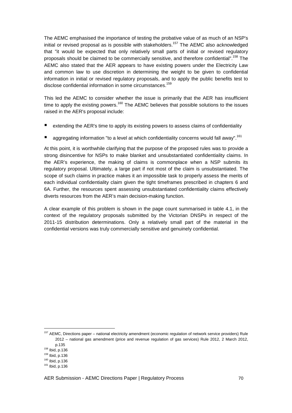The AEMC emphasised the importance of testing the probative value of as much of an NSP's initial or revised proposal as is possible with stakeholders.<sup>157</sup> The AEMC also acknowledged that "it would be expected that only relatively small parts of initial or revised regulatory proposals should be claimed to be commercially sensitive, and therefore confidential".<sup>158</sup> The AEMC also stated that the AER appears to have existing powers under the Electricity Law and common law to use discretion in determining the weight to be given to confidential information in initial or revised regulatory proposals, and to apply the public benefits test to disclose confidential information in some circumstances.<sup>159</sup>

This led the AEMC to consider whether the issue is primarily that the AER has insufficient time to apply the existing powers.<sup>160</sup> The AEMC believes that possible solutions to the issues raised in the AER's proposal include:

- extending the AER's time to apply its existing powers to assess claims of confidentiality
- aggregating information "to a level at which confidentiality concerns would fall away".<sup>161</sup>

At this point, it is worthwhile clarifying that the purpose of the proposed rules was to provide a strong disincentive for NSPs to make blanket and unsubstantiated confidentiality claims. In the AER's experience, the making of claims is commonplace when a NSP submits its regulatory proposal. Ultimately, a large part if not most of the claim is unsubstantiated. The scope of such claims in practice makes it an impossible task to properly assess the merits of each individual confidentiality claim given the tight timeframes prescribed in chapters 6 and 6A. Further, the resources spent assessing unsubstantiated confidentiality claims effectively diverts resources from the AER's main decision-making function.

A clear example of this problem is shown in the page count summarised in table 4.1, in the context of the regulatory proposals submitted by the Victorian DNSPs in respect of the 2011-15 distribution determinations. Only a relatively small part of the material in the confidential versions was truly commercially sensitive and genuinely confidential.

 $\overline{a}$ 

<sup>&</sup>lt;sup>157</sup> AEMC, Directions paper – national electricity amendment (economic regulation of network service providers) Rule 2012 – national gas amendment (price and revenue regulation of gas services) Rule 2012, 2 March 2012, p.135

<sup>158</sup> Ibid, p.136

<sup>159</sup> Ibid, p.136

<sup>160</sup> Ibid, p.136

<sup>161</sup> Ibid, p.136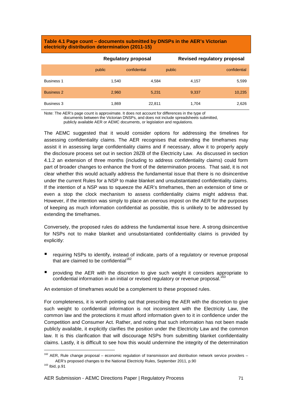#### **Table 4.1 Page count – documents submitted by DNSPs in the AER's Victorian electricity distribution determination (2011-15)**

|                   | Regulatory proposal |              | <b>Revised regulatory proposal</b> |              |
|-------------------|---------------------|--------------|------------------------------------|--------------|
|                   | public              | confidential | public                             | confidential |
| <b>Business 1</b> | 1.540               | 4.584        | 4.157                              | 5,599        |
| <b>Business 2</b> | 2,960               | 5,231        | 9,337                              | 10,235       |
| Business 3        | 1,869               | 22,811       | 1.704                              | 2,626        |

Note: The AER's page count is approximate. It does not account for differences in the type of

documents between the Victorian DNSPs, and does not include spreadsheets submitted,

publicly available AER or AEMC documents, or legislation and regulations.

The AEMC suggested that it would consider options for addressing the timelines for assessing confidentiality claims. The AER recognises that extending the timeframes may assist it in assessing large confidentiality claims and if necessary, allow it to properly apply the disclosure process set out in section 28ZB of the Electricity Law. As discussed in section 4.1.2 an extension of three months (including to address confidentiality claims) could form part of broader changes to enhance the front of the determination process. That said, it is not clear whether this would actually address the fundamental issue that there is no disincentive under the current Rules for a NSP to make blanket and unsubstantiated confidentiality claims. If the intention of a NSP was to squeeze the AER's timeframes, then an extension of time or even a stop the clock mechanism to assess confidentiality claims might address that. However, if the intention was simply to place an onerous impost on the AER for the purposes of keeping as much information confidential as possible, this is unlikely to be addressed by extending the timeframes.

Conversely, the proposed rules do address the fundamental issue here. A strong disincentive for NSPs not to make blanket and unsubstantiated confidentiality claims is provided by explicitly:

- requiring NSPs to identify, instead of indicate, parts of a regulatory or revenue proposal that are claimed to be confidential<sup>162</sup>
- providing the AER with the discretion to give such weight it considers appropriate to confidential information in an initial or revised regulatory or revenue proposal.<sup>163</sup>

An extension of timeframes would be a complement to these proposed rules.

For completeness, it is worth pointing out that prescribing the AER with the discretion to give such weight to confidential information is not inconsistent with the Electricity Law, the common law and the protections it must afford information given to it in confidence under the Competition and Consumer Act. Rather, and noting that such information has not been made publicly available, it explicitly clarifies the position under the Electricity Law and the common law. It is this clarification that will discourage NSPs from submitting blanket confidentiality claims. Lastly, it is difficult to see how this would undermine the integrity of the determination

 $\overline{a}$ 

 $162$  AER, Rule change proposal – economic regulation of transmission and distribution network service providers – AER's proposed changes to the National Electricity Rules, September 2011, p.90

<sup>163</sup> Ibid, p.91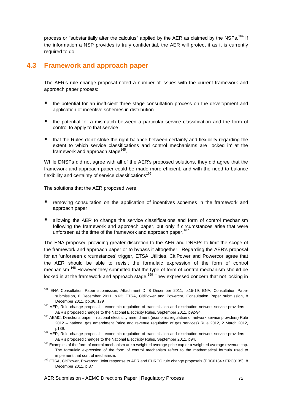process or "substantially alter the calculus" applied by the AER as claimed by the NSPs.<sup>164</sup> If the information a NSP provides is truly confidential, the AER will protect it as it is currently required to do.

# **4.3 Framework and approach paper**

The AER's rule change proposal noted a number of issues with the current framework and approach paper process:

- **the potential for an inefficient three stage consultation process on the development and** application of incentive schemes in distribution
- the potential for a mismatch between a particular service classification and the form of control to apply to that service
- that the Rules don't strike the right balance between certainty and flexibility regarding the extent to which service classifications and control mechanisms are 'locked in' at the framework and approach stage<sup>165</sup>.

While DNSPs did not agree with all of the AER's proposed solutions, they did agree that the framework and approach paper could be made more efficient, and with the need to balance flexibility and certainty of service classifications<sup>166</sup>.

The solutions that the AER proposed were:

l

- removing consultation on the application of incentives schemes in the framework and approach paper
- allowing the AER to change the service classifications and form of control mechanism following the framework and approach paper, but only if circumstances arise that were unforseen at the time of the framework and approach paper.<sup>167</sup>

The ENA proposed providing greater discretion to the AER and DNSPs to limit the scope of the framework and approach paper or to bypass it altogether. Regarding the AER's proposal for an 'unforseen circumstances' trigger, ETSA Utilities, CitiPower and Powercor agree that the AER should be able to revisit the formulaic expression of the form of control mechanism.<sup>168</sup> However they submitted that the type of form of control mechanism should be locked in at the framework and approach stage.<sup>169</sup> They expressed concern that not locking in

<sup>164</sup> ENA Consultation Paper submission, Attachment D, 8 December 2011, p.15-19; ENA, Consultation Paper submission, 8 December 2011, p.62; ETSA, CitiPower and Powercor, Consultation Paper submission, 8 December 2011, pp.36, 179

<sup>&</sup>lt;sup>165</sup> AER, Rule change proposal – economic regulation of transmission and distribution network service providers – AER's proposed changes to the National Electricity Rules, September 2011, p92-94.

<sup>166</sup> AEMC, Directions paper – national electricity amendment (economic regulation of network service providers) Rule 2012 – national gas amendment (price and revenue regulation of gas services) Rule 2012, 2 March 2012, p139.

 $167$  AER, Rule change proposal – economic regulation of transmission and distribution network service providers – AER's proposed changes to the National Electricity Rules, September 2011, p94.

<sup>&</sup>lt;sup>168</sup> Examples of the form of control mechanism are a weighted average price cap or a weighted average revenue cap. The formulaic expression of the form of control mechanism refers to the mathematical formula used to implement that control mechanism.

<sup>169</sup> ETSA, CitiPower, Powercor, Joint response to AER and EURCC rule change proposals (ERC0134 / ERC0135), 8 December 2011, p.37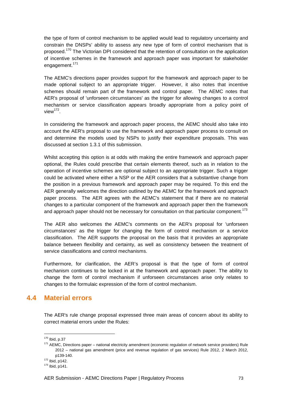the type of form of control mechanism to be applied would lead to regulatory uncertainty and constrain the DNSPs' ability to assess any new type of form of control mechanism that is proposed.<sup>170</sup> The Victorian DPI considered that the retention of consultation on the application of incentive schemes in the framework and approach paper was important for stakeholder engagement.<sup>171</sup>

The AEMC's directions paper provides support for the framework and approach paper to be made optional subject to an appropriate trigger. However, it also notes that incentive schemes should remain part of the framework and control paper. The AEMC notes that AER's proposal of 'unforseen circumstances' as the trigger for allowing changes to a control mechanism or service classification appears broadly appropriate from a policy point of view<sup>172</sup>.

In considering the framework and approach paper process, the AEMC should also take into account the AER's proposal to use the framework and approach paper process to consult on and determine the models used by NSPs to justify their expenditure proposals. This was discussed at section 1.3.1 of this submission.

Whilst accepting this option is at odds with making the entire framework and approach paper optional, the Rules could prescribe that certain elements thereof, such as in relation to the operation of incentive schemes are optional subject to an appropriate trigger. Such a trigger could be activated where either a NSP or the AER considers that a substantive change from the position in a previous framework and approach paper may be required. To this end the AER generally welcomes the direction outlined by the AEMC for the framework and approach paper process. The AER agrees with the AEMC's statement that if there are no material changes to a particular component of the framework and approach paper then the framework and approach paper should not be necessary for consultation on that particular component.<sup>173</sup>

The AER also welcomes the AEMC's comments on the AER's proposal for 'unforseen circumstances' as the trigger for changing the form of control mechanism or a service classification. The AER supports the proposal on the basis that it provides an appropriate balance between flexibility and certainty, as well as consistency between the treatment of service classifications and control mechanisms.

Furthermore, for clarification, the AER's proposal is that the type of form of control mechanism continues to be locked in at the framework and approach paper. The ability to change the form of control mechanism if unforseen circumstances arise only relates to changes to the formulaic expression of the form of control mechanism.

# **4.4 Material errors**

The AER's rule change proposal expressed three main areas of concern about its ability to correct material errors under the Rules:

<sup>170</sup> Ibid, p.37

<sup>&</sup>lt;sup>171</sup> AEMC, Directions paper – national electricity amendment (economic regulation of network service providers) Rule 2012 – national gas amendment (price and revenue regulation of gas services) Rule 2012, 2 March 2012, p139-140.

<sup>172</sup> Ibid, p142.

<sup>173</sup> Ibid, p141.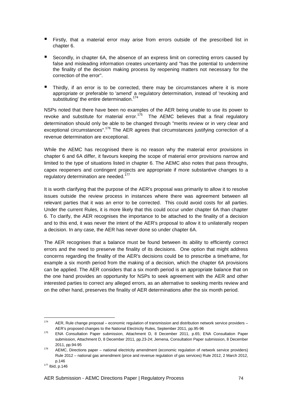- **Firstly, that a material error may arise from errors outside of the prescribed list in** chapter 6.
- Secondly, in chapter 6A, the absence of an express limit on correcting errors caused by false and misleading information creates uncertainty and "has the potential to undermine the finality of the decision making process by reopening matters not necessary for the correction of the error".
- Thirdly, if an error is to be corrected, there may be circumstances where it is more appropriate or preferable to 'amend' a regulatory determination, instead of 'revoking and substituting' the entire determination.<sup>174</sup>

NSPs noted that there have been no examples of the AER being unable to use its power to revoke and substitute for material error.<sup>175</sup> The AEMC believes that a final regulatory determination should only be able to be changed through "merits review or in very clear and exceptional circumstances".<sup>176</sup> The AER agrees that circumstances justifying correction of a revenue determination are exceptional.

While the AEMC has recognised there is no reason why the material error provisions in chapter 6 and 6A differ, it favours keeping the scope of material error provisions narrow and limited to the type of situations listed in chapter 6. The AEMC also notes that pass throughs, capex reopeners and contingent projects are appropriate if more substantive changes to a regulatory determination are needed.<sup>177</sup>

It is worth clarifying that the purpose of the AER's proposal was primarily to allow it to resolve issues outside the review process in instances where there was agreement between all relevant parties that it was an error to be corrected. This could avoid costs for all parties. Under the current Rules, it is more likely that this could occur under chapter 6A than chapter 6. To clarify, the AER recognises the importance to be attached to the finality of a decision and to this end, it was never the intent of the AER's proposal to allow it to unilaterally reopen a decision. In any case, the AER has never done so under chapter 6A.

The AER recognises that a balance must be found between its ability to efficiently correct errors and the need to preserve the finality of its decisions. One option that might address concerns regarding the finality of the AER's decisions could be to prescribe a timeframe, for example a six month period from the making of a decision, which the chapter 6A provisions can be applied. The AER considers that a six month period is an appropriate balance that on the one hand provides an opportunity for NSPs to seek agreement with the AER and other interested parties to correct any alleged errors, as an alternative to seeking merits review and on the other hand, preserves the finality of AER determinations after the six month period.

<sup>174</sup> AER, Rule change proposal – economic regulation of transmission and distribution network service providers – AER's proposed changes to the National Electricity Rules, September 2011, pp.95-96

<sup>175</sup> ENA Consultation Paper submission, Attachment D, 8 December 2011, p.65; ENA Consultation Paper submission, Attachment D, 8 December 2011, pp.23-24; Jemena, Consultation Paper submission, 8 December 2011, pp.94-95

<sup>&</sup>lt;sup>176</sup> AEMC, Directions paper – national electricity amendment (economic regulation of network service providers) Rule 2012 – national gas amendment (price and revenue regulation of gas services) Rule 2012, 2 March 2012, p.146

<sup>177</sup> Ibid, p.146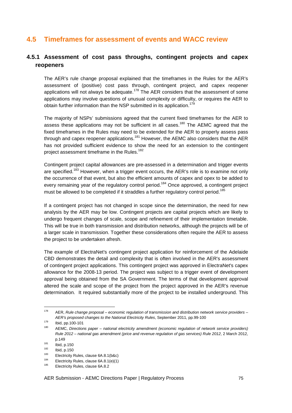# **4.5 Timeframes for assessment of events and WACC review**

## **4.5.1 Assessment of cost pass throughs, contingent projects and capex reopeners**

The AER's rule change proposal explained that the timeframes in the Rules for the AER's assessment of (positive) cost pass through, contingent project, and capex reopener applications will not always be adequate.<sup>178</sup> The AER considers that the assessment of some applications may involve questions of unusual complexity or difficulty, or requires the AER to obtain further information than the NSP submitted in its application.<sup>179</sup>

The majority of NSPs' submissions agreed that the current fixed timeframes for the AER to assess these applications may not be sufficient in all cases.<sup>180</sup> The AEMC agreed that the fixed timeframes in the Rules may need to be extended for the AER to properly assess pass through and capex reopener applications.<sup>181</sup> However, the AEMC also considers that the AER has not provided sufficient evidence to show the need for an extension to the contingent project assessment timeframe in the Rules.<sup>182</sup>

Contingent project capital allowances are pre-assessed in a determination and trigger events are specified.<sup>183</sup> However, when a trigger event occurs, the AER's role is to examine not only the occurrence of that event, but also the efficient amounts of capex and opex to be added to every remaining year of the regulatory control period.<sup>184</sup> Once approved, a contingent project must be allowed to be completed if it straddles a further regulatory control period.<sup>185</sup>

If a contingent project has not changed in scope since the determination, the need for new analysis by the AER may be low. Contingent projects are capital projects which are likely to undergo frequent changes of scale, scope and refinement of their implementation timetable. This will be true in both transmission and distribution networks, although the projects will be of a larger scale in transmission. Together these considerations often require the AER to assess the project to be undertaken afresh.

The example of ElectraNet's contingent project application for reinforcement of the Adelaide CBD demonstrates the detail and complexity that is often involved in the AER's assessment of contingent project applications. This contingent project was approved in ElectraNet's capex allowance for the 2008-13 period. The project was subject to a trigger event of development approval being obtained from the SA Government. The terms of that development approval altered the scale and scope of the project from the project approved in the AER's revenue determination. It required substantially more of the project to be installed underground. This

l

<sup>183</sup> Electricity Rules, clause  $6A.8.1(b&c)$ 

 $178$  AER, Rule change proposal – economic regulation of transmission and distribution network service providers – AER's proposed changes to the National Electricity Rules, September 2011, pp.99-100

 $179$  Ibid, pp. 100-101

<sup>&</sup>lt;sup>180</sup> AEMC, Directions paper – national electricity amendment (economic regulation of network service providers) Rule 2012 – national gas amendment (price and revenue regulation of gas services) Rule 2012, 2 March 2012, p.149

 $181$  Ibid, p.150

 $\frac{182}{183}$  Ibid, p.150

<sup>&</sup>lt;sup>184</sup> Electricity Rules, clause  $6A.8.1(e)(1)$ <br><sup>185</sup> Electricity Bulge, clause  $6A.8.2$ 

Electricity Rules, clause 6A.8.2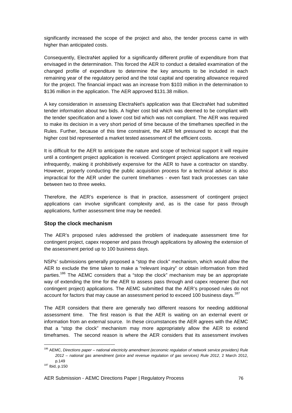significantly increased the scope of the project and also, the tender process came in with higher than anticipated costs.

Consequently, ElectraNet applied for a significantly different profile of expenditure from that envisaged in the determination. This forced the AER to conduct a detailed examination of the changed profile of expenditure to determine the key amounts to be included in each remaining year of the regulatory period and the total capital and operating allowance required for the project. The financial impact was an increase from \$103 million in the determination to \$136 million in the application. The AER approved \$131.38 million.

A key consideration in assessing ElectraNet's application was that ElectraNet had submitted tender information about two bids. A higher cost bid which was deemed to be compliant with the tender specification and a lower cost bid which was not compliant. The AER was required to make its decision in a very short period of time because of the timeframes specified in the Rules. Further, because of this time constraint, the AER felt pressured to accept that the higher cost bid represented a market tested assessment of the efficient costs.

It is difficult for the AER to anticipate the nature and scope of technical support it will require until a contingent project application is received. Contingent project applications are received infrequently, making it prohibitively expensive for the AER to have a contractor on standby. However, properly conducting the public acquisition process for a technical advisor is also impractical for the AER under the current timeframes - even fast track processes can take between two to three weeks.

Therefore, the AER's experience is that in practice, assessment of contingent project applications can involve significant complexity and, as is the case for pass through applications, further assessment time may be needed.

#### **Stop the clock mechanism**

The AER's proposed rules addressed the problem of inadequate assessment time for contingent project, capex reopener and pass through applications by allowing the extension of the assessment period up to 100 business days.

NSPs' submissions generally proposed a "stop the clock" mechanism, which would allow the AER to exclude the time taken to make a "relevant inquiry" or obtain information from third parties.<sup>186</sup> The AEMC considers that a "stop the clock" mechanism may be an appropriate way of extending the time for the AER to assess pass through and capex reopener (but not contingent project) applications. The AEMC submitted that the AER's proposed rules do not account for factors that may cause an assessment period to exceed 100 business days.<sup>187</sup>

The AER considers that there are generally two different reasons for needing additional assessment time. The first reason is that the AER is waiting on an external event or information from an external source. In these circumstances the AER agrees with the AEMC that a "stop the clock" mechanism may more appropriately allow the AER to extend timeframes. The second reason is where the AER considers that its assessment involves

<sup>&</sup>lt;sup>186</sup> AEMC, Directions paper – national electricity amendment (economic regulation of network service providers) Rule 2012 – national gas amendment (price and revenue regulation of gas services) Rule 2012, 2 March 2012, p.149

<sup>187</sup> Ibid, p.150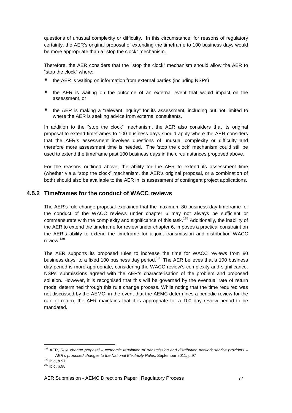questions of unusual complexity or difficulty. In this circumstance, for reasons of regulatory certainty, the AER's original proposal of extending the timeframe to 100 business days would be more appropriate than a "stop the clock" mechanism.

Therefore, the AER considers that the "stop the clock" mechanism should allow the AER to "stop the clock" where:

- the AER is waiting on information from external parties (including NSPs)
- the AER is waiting on the outcome of an external event that would impact on the assessment, or
- the AER is making a "relevant inquiry" for its assessment, including but not limited to where the AER is seeking advice from external consultants.

In addition to the "stop the clock" mechanism, the AER also considers that its original proposal to extend timeframes to 100 business days should apply where the AER considers that the AER's assessment involves questions of unusual complexity or difficulty and therefore more assessment time is needed. The 'stop the clock' mechanism could still be used to extend the timeframe past 100 business days in the circumstances proposed above.

For the reasons outlined above, the ability for the AER to extend its assessment time (whether via a "stop the clock" mechanism, the AER's original proposal, or a combination of both) should also be available to the AER in its assessment of contingent project applications.

## **4.5.2 Timeframes for the conduct of WACC reviews**

The AER's rule change proposal explained that the maximum 80 business day timeframe for the conduct of the WACC reviews under chapter 6 may not always be sufficient or commensurate with the complexity and significance of this task.<sup>188</sup> Additionally, the inability of the AER to extend the timeframe for review under chapter 6, imposes a practical constraint on the AER's ability to extend the timeframe for a joint transmission and distribution WACC review.<sup>189</sup>

The AER supports its proposed rules to increase the time for WACC reviews from 80 business days, to a fixed 100 business day period.<sup>190</sup> The AER believes that a 100 business day period is more appropriate, considering the WACC review's complexity and significance. NSPs' submissions agreed with the AER's characterisation of the problem and proposed solution. However, it is recognised that this will be governed by the eventual rate of return model determined through this rule change process. While noting that the time required was not discussed by the AEMC, in the event that the AEMC determines a periodic review for the rate of return, the AER maintains that it is appropriate for a 100 day review period to be mandated.

<sup>&</sup>lt;sup>188</sup> AER, Rule change proposal – economic regulation of transmission and distribution network service providers – AER's proposed changes to the National Electricity Rules, September 2011, p.97

<sup>189</sup> Ibid, p.97

<sup>190</sup> Ibid, p.98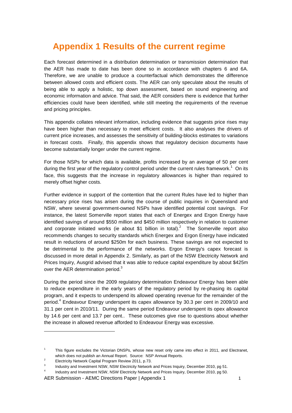# **Appendix 1 Results of the current regime**

Each forecast determined in a distribution determination or transmission determination that the AER has made to date has been done so in accordance with chapters 6 and 6A. Therefore, we are unable to produce a counterfactual which demonstrates the difference between allowed costs and efficient costs. The AER can only speculate about the results of being able to apply a holistic, top down assessment, based on sound engineering and economic information and advice. That said, the AER considers there is evidence that further efficiencies could have been identified, while still meeting the requirements of the revenue and pricing principles.

This appendix collates relevant information, including evidence that suggests price rises may have been higher than necessary to meet efficient costs. It also analyses the drivers of current price increases, and assesses the sensitivity of building-blocks estimates to variations in forecast costs. Finally, this appendix shows that regulatory decision documents have become substantially longer under the current regime.

For those NSPs for which data is available, profits increased by an average of 50 per cent during the first year of the regulatory control period under the current rules framework.<sup>1</sup> On its face, this suggests that the increase in regulatory allowances is higher than required to merely offset higher costs.

Further evidence in support of the contention that the current Rules have led to higher than necessary price rises has arisen during the course of public inquiries in Queensland and NSW, where several government-owned NSPs have identified potential cost savings. For instance, the latest Somerville report states that each of Energex and Ergon Energy have identified savings of around \$550 million and \$450 million respectively in relation to customer and corporate initiated works (ie about \$1 billion in total).<sup>2</sup> The Somerville report also recommends changes to security standards which Energex and Ergon Energy have indicated result in reductions of around \$250m for each business. These savings are not expected to be detrimental to the performance of the networks. Ergon Energy's capex forecast is discussed in more detail in Appendix 2. Similarly, as part of the NSW Electricity Network and Prices Inquiry, Ausgrid advised that it was able to reduce capital expenditure by about \$425m over the AER determination period. $3$ 

During the period since the 2009 regulatory determination Endeavour Energy has been able to reduce expenditure in the early years of the regulatory period by re-phasing its capital program, and it expects to underspend its allowed operating revenue for the remainder of the period.<sup>4</sup> Endeavour Energy underspent its capex allowance by 30.3 per cent in 2009/10 and 31.1 per cent in 2010/11. During the same period Endeavour underspent its opex allowance by 14.6 per cent and 13.7 per cent.. These outcomes give rise to questions about whether the increase in allowed revenue afforded to Endeavour Energy was excessive.

 $\overline{a}$ 

AER Submission - AEMC Directions Paper | Appendix 1 1

<sup>1</sup> This figure excludes the Victorian DNSPs, whose new reset only came into effect in 2011, and Electranet, which does not publish an Annual Report. Source: NSP Annual Reports.

 $\overline{2}$ Electricity Network Capital Program Review 2011, p.73.

<sup>3</sup> Industry and Investment NSW, NSW Electricity Network and Prices Inquiry, December 2010, pg 51.

<sup>4</sup> Industry and Investment NSW, NSW Electricity Network and Prices Inquiry, December 2010, pg 50.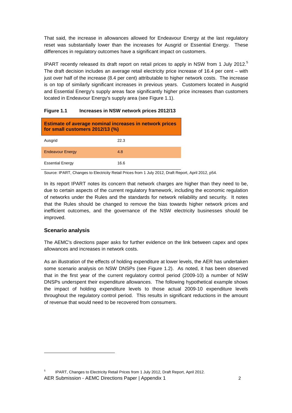That said, the increase in allowances allowed for Endeavour Energy at the last regulatory reset was substantially lower than the increases for Ausgrid or Essential Energy. These differences in regulatory outcomes have a significant impact on customers.

IPART recently released its draft report on retail prices to apply in NSW from 1 July 2012.<sup>5</sup> The draft decision includes an average retail electricity price increase of 16.4 per cent – with just over half of the increase (8.4 per cent) attributable to higher network costs. The increase is on top of similarly significant increases in previous years. Customers located in Ausgrid and Essential Energy's supply areas face significantly higher price increases than customers located in Endeavour Energy's supply area (see Figure 1.1).

| <b>Estimate of average nominal increases in network prices</b><br>for small customers 2012/13 (%) |      |  |
|---------------------------------------------------------------------------------------------------|------|--|
| Ausgrid                                                                                           | 22.3 |  |
| <b>Endeavour Energy</b>                                                                           | 4.8  |  |
| <b>Essential Energy</b>                                                                           | 16.6 |  |

#### **Figure 1.1 Increases in NSW network prices 2012/13**

Source: IPART, Changes to Electricity Retail Prices from 1 July 2012, Draft Report, April 2012, p54.

In its report IPART notes its concern that network charges are higher than they need to be, due to certain aspects of the current regulatory framework, including the economic regulation of networks under the Rules and the standards for network reliability and security. It notes that the Rules should be changed to remove the bias towards higher network prices and inefficient outcomes, and the governance of the NSW electricity businesses should be improved.

#### **Scenario analysis**

l

The AEMC's directions paper asks for further evidence on the link between capex and opex allowances and increases in network costs.

As an illustration of the effects of holding expenditure at lower levels, the AER has undertaken some scenario analysis on NSW DNSPs (see Figure 1.2). As noted, it has been observed that in the first year of the current regulatory control period (2009-10) a number of NSW DNSPs underspent their expenditure allowances. The following hypothetical example shows the impact of holding expenditure levels to those actual 2009-10 expenditure levels throughout the regulatory control period. This results in significant reductions in the amount of revenue that would need to be recovered from consumers.

AER Submission - AEMC Directions Paper | Appendix 1 2 5 IPART, Changes to Electricity Retail Prices from 1 July 2012, Draft Report, April 2012.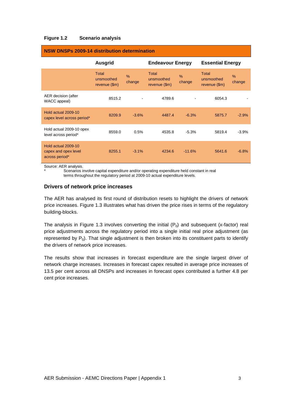#### **Figure 1.2 Scenario analysis**

|                                                               | <b>Ausgrid</b>                       |                         | <b>Endeavour Energy</b>              |                         | <b>Essential Energy</b>              |             |
|---------------------------------------------------------------|--------------------------------------|-------------------------|--------------------------------------|-------------------------|--------------------------------------|-------------|
|                                                               | Total<br>unsmoothed<br>revenue (\$m) | $\frac{9}{6}$<br>change | Total<br>unsmoothed<br>revenue (\$m) | $\frac{0}{0}$<br>change | Total<br>unsmoothed<br>revenue (\$m) | %<br>change |
| AER decision (after<br>WACC appeal)                           | 8515.2                               |                         | 4789.6                               |                         | 6054.3                               |             |
| Hold actual 2009-10<br>capex level across period*             | 8209.9                               | $-3.6%$                 | 4487.4                               | $-6.3%$                 | 5875.7                               | $-2.9%$     |
| Hold actual 2009-10 opex<br>level across period*              | 8559.0                               | 0.5%                    | 4535.8                               | $-5.3%$                 | 5819.4                               | $-3.9%$     |
| Hold actual 2009-10<br>capex and opex level<br>across period* | 8255.1                               | $-3.1%$                 | 4234.6                               | $-11.6%$                | 5641.6                               | $-6.8%$     |

## **NSW DNSPs 2009-14 distribution determination**

Source: AER analysis.

Scenarios involve capital expenditure and/or operating expenditure held constant in real terms throughout the regulatory period at 2009-10 actual expenditure levels.

### **Drivers of network price increases**

The AER has analysed its first round of distribution resets to highlight the drivers of network price increases. Figure 1.3 illustrates what has driven the price rises in terms of the regulatory building-blocks.

The analysis in Figure 1.3 involves converting the initial  $(P_0)$  and subsequent (x-factor) real price adjustments across the regulatory period into a single initial real price adjustment (as represented by  $P_0$ ). That single adjustment is then broken into its constituent parts to identify the drivers of network price increases.

The results show that increases in forecast expenditure are the single largest driver of network charge increases. Increases in forecast capex resulted in average price increases of 13.5 per cent across all DNSPs and increases in forecast opex contributed a further 4.8 per cent price increases.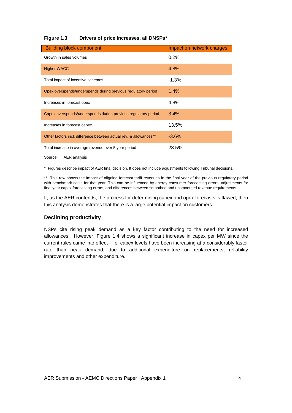#### **Figure 1.3 Drivers of price increases, all DNSPs\***

| <b>Building block component</b>                                   | Impact on network charges |
|-------------------------------------------------------------------|---------------------------|
| Growth in sales volumes                                           | 0.2%                      |
| <b>Higher WACC</b>                                                | 4.8%                      |
| Total impact of incentive schemes                                 | $-1.3%$                   |
| Opex overspends/underspends during previous regulatory period     | 1.4%                      |
| Increases in forecast opex                                        | 4.8%                      |
| Capex overspends/underspends during previous regulatory period    | $3.4\%$                   |
| Increases in forecast capex                                       | 13.5%                     |
| Other factors incl. difference between actual rev. & allowances** | $-3.6%$                   |
| Total increase in average revenue over 5 year period              | 23.5%                     |

Source: AER analysis

\* Figures describe impact of AER final decision. It does not include adjustments following Tribunal decisions.

\*\* This row shows the impact of aligning forecast tariff revenues in the final year of the previous regulatory period with benchmark costs for that year. This can be influenced by energy consumer forecasting errors, adjustments for final year capex forecasting errors, and differences between smoothed and unsmoothed revenue requirements.

If, as the AER contends, the process for determining capex and opex forecasts is flawed, then this analysis demonstrates that there is a large potential impact on customers.

#### **Declining productivity**

NSPs cite rising peak demand as a key factor contributing to the need for increased allowances. However, Figure 1.4 shows a significant increase in capex per MW since the current rules came into effect - i.e. capex levels have been increasing at a considerably faster rate than peak demand, due to additional expenditure on replacements, reliability improvements and other expenditure.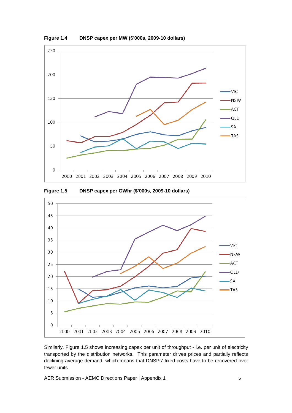

**Figure 1.4 DNSP capex per MW (\$'000s, 2009-10 dollars)** 

**Figure 1.5 DNSP capex per GWhr (\$'000s, 2009-10 dollars)** 



Similarly, Figure 1.5 shows increasing capex per unit of throughput - i.e. per unit of electricity transported by the distribution networks. This parameter drives prices and partially reflects declining average demand, which means that DNSPs' fixed costs have to be recovered over fewer units.

AER Submission - AEMC Directions Paper | Appendix 1 5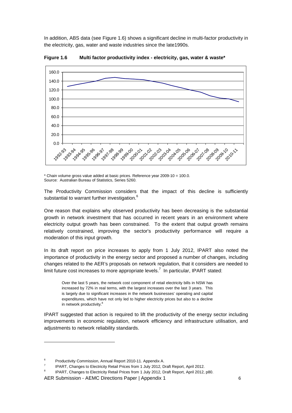In addition, ABS data (see Figure 1.6) shows a significant decline in multi-factor productivity in the electricity, gas, water and waste industries since the late1990s.



**Figure 1.6 Multi factor productivity index - electricity, gas, water & waste\*** 

\* Chain volume gross value added at basic prices. Reference year 2009-10 = 100.0. Source: Australian Bureau of Statistics, Series 5260.

The Productivity Commission considers that the impact of this decline is sufficiently substantial to warrant further investigation.<sup>6</sup>

One reason that explains why observed productivity has been decreasing is the substantial growth in network investment that has occurred in recent years in an environment where electricity output growth has been constrained. To the extent that output growth remains relatively constrained, improving the sector's productivity performance will require a moderation of this input growth.

In its draft report on price increases to apply from 1 July 2012, IPART also noted the importance of productivity in the energy sector and proposed a number of changes, including changes related to the AER's proposals on network regulation, that it considers are needed to limit future cost increases to more appropriate levels.<sup>7</sup> In particular, IPART stated:

Over the last 5 years, the network cost component of retail electricity bills in NSW has increased by 72% in real terms, with the largest increases over the last 3 years. This is largely due to significant increases in the network businesses' operating and capital expenditures, which have not only led to higher electricity prices but also to a decline in network productivity.<sup>8</sup>

IPART suggested that action is required to lift the productivity of the energy sector including improvements in economic regulation, network efficiency and infrastructure utilisation, and adjustments to network reliability standards.

 $\overline{a}$ 

<sup>6</sup> Productivity Commission, Annual Report 2010-11. Appendix A.

<sup>7</sup> IPART, Changes to Electricity Retail Prices from 1 July 2012, Draft Report, April 2012.

<sup>8</sup> IPART, Changes to Electricity Retail Prices from 1 July 2012, Draft Report, April 2012, p80.

AER Submission - AEMC Directions Paper | Appendix 1 6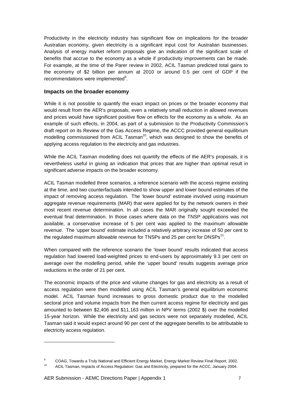Productivity in the electricity industry has significant flow on implications for the broader Australian economy, given electricity is a significant input cost for Australian businesses. Analysis of energy market reform proposals give an indication of the significant scale of benefits that accrue to the economy as a whole if productivity improvements can be made. For example, at the time of the Parer review in 2002, ACIL Tasman predicted total gains to the economy of \$2 billion per annum at 2010 or around 0.5 per cent of GDP if the recommendations were implemented $9$ .

#### **Impacts on the broader economy**

While it is not possible to quantify the exact impact on prices or the broader economy that would result from the AER's proposals, even a relatively small reduction in allowed revenues and prices would have significant positive flow on effects for the economy as a whole. As an example of such effects, in 2004, as part of a submission to the Productivity Commission's draft report on its Review of the Gas Access Regime, the ACCC provided general equilibrium modelling commissioned from ACIL Tasman<sup>10</sup>, which was designed to show the benefits of applying access regulation to the electricity and gas industries.

While the ACIL Tasman modelling does not quantify the effects of the AER's proposals, it is nevertheless useful in giving an indication that prices that are higher than optimal result in significant adverse impacts on the broader economy.

ACIL Tasman modelled three scenarios, a reference scenario with the access regime existing at the time, and two counterfactuals intended to show upper and lower bound estimates of the impact of removing access regulation. The 'lower bound' estimate involved using maximum aggregate revenue requirements (MAR) that were applied for by the network owners in their most recent revenue determination. In all cases the MAR originally sought exceeded the eventual final determination. In those cases where data on the TNSP applications was not available, a conservative increase of 5 per cent was applied to the maximum allowable revenue. The 'upper bound' estimate included a relatively arbitrary increase of 50 per cent to the regulated maximum allowable revenue for TNSPs and 25 per cent for DNSPs<sup>11</sup>.

When compared with the reference scenario the 'lower bound' results indicated that access regulation had lowered load-weighted prices to end-users by approximately 9.3 per cent on average over the modelling period, while the 'upper bound' results suggests average price reductions in the order of 21 per cent.

The economic impacts of the price and volume changes for gas and electricity as a result of access regulation were then modelled using ACIL Tasman's general equilibrium economic model. ACIL Tasman found increases to gross domestic product due to the modelled sectoral price and volume impacts from the then current access regime for electricity and gas amounted to between \$2,406 and \$11,163 million in NPV terms (2002 \$) over the modelled 15-year horizon. While the electricity and gas sectors were not separately modelled, ACIL Tasman said it would expect around 90 per cent of the aggregate benefits to be attributable to electricity access regulation.

 $\overline{a}$ 

<sup>9</sup> COAG, Towards a Truly National and Efficient Energy Market, Energy Market Review Final Report, 2002.

<sup>10</sup> ACIL Tasman, Impacts of Access Regulation: Gas and Electricity, prepared for the ACCC, January 2004.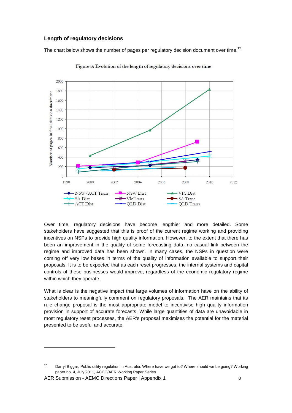### **Length of regulatory decisions**

The chart below shows the number of pages per regulatory decision document over time.<sup>12</sup>



Figure 3: Evolution of the length of regulatory decisions over time

Over time, regulatory decisions have become lengthier and more detailed. Some stakeholders have suggested that this is proof of the current regime working and providing incentives on NSPs to provide high quality information. However, to the extent that there has been an improvement in the quality of some forecasting data, no casual link between the regime and improved data has been shown. In many cases, the NSPs in question were coming off very low bases in terms of the quality of information available to support their proposals. It is to be expected that as each reset progresses, the internal systems and capital controls of these businesses would improve, regardless of the economic regulatory regime within which they operate.

What is clear is the negative impact that large volumes of information have on the ability of stakeholders to meaningfully comment on regulatory proposals. The AER maintains that its rule change proposal is the most appropriate model to incentivise high quality information provision in support of accurate forecasts. While large quantities of data are unavoidable in most regulatory reset processes, the AER's proposal maximises the potential for the material presented to be useful and accurate.

AER Submission - AEMC Directions Paper | Appendix 1 8

<sup>&</sup>lt;sup>12</sup> Darryl Biggar, Public utility regulation in Australia: Where have we got to? Where should we be going? Working paper no. 4, July 2011, ACCC/AER Working Paper Series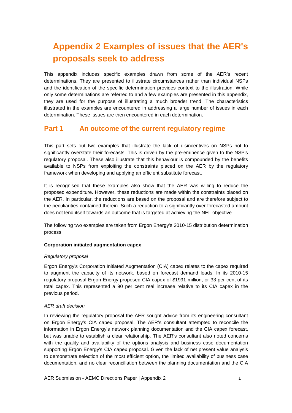# **Appendix 2 Examples of issues that the AER's proposals seek to address**

This appendix includes specific examples drawn from some of the AER's recent determinations. They are presented to illustrate circumstances rather than individual NSPs and the identification of the specific determination provides context to the illustration. While only some determinations are referred to and a few examples are presented in this appendix, they are used for the purpose of illustrating a much broader trend. The characteristics illustrated in the examples are encountered in addressing a large number of issues in each determination. These issues are then encountered in each determination.

## **Part 1** An outcome of the current regulatory regime

This part sets out two examples that illustrate the lack of disincentives on NSPs not to significantly overstate their forecasts. This is driven by the pre-eminence given to the NSP's regulatory proposal. These also illustrate that this behaviour is compounded by the benefits available to NSPs from exploiting the constraints placed on the AER by the regulatory framework when developing and applying an efficient substitute forecast.

It is recognised that these examples also show that the AER was willing to reduce the proposed expenditure. However, these reductions are made within the constraints placed on the AER. In particular, the reductions are based on the proposal and are therefore subject to the peculiarities contained therein. Such a reduction to a significantly over forecasted amount does not lend itself towards an outcome that is targeted at achieving the NEL objective.

The following two examples are taken from Ergon Energy's 2010-15 distribution determination process.

#### **Corporation initiated augmentation capex**

#### Regulatory proposal

Ergon Energy's Corporation Initiated Augmentation (CIA) capex relates to the capex required to augment the capacity of its network, based on forecast demand loads. In its 2010-15 regulatory proposal Ergon Energy proposed CIA capex of \$1991 million, or 33 per cent of its total capex. This represented a 90 per cent real increase relative to its CIA capex in the previous period.

#### AER draft decision

In reviewing the regulatory proposal the AER sought advice from its engineering consultant on Ergon Energy's CIA capex proposal. The AER's consultant attempted to reconcile the information in Ergon Energy's network planning documentation and the CIA capex forecast, but was unable to establish a clear relationship. The AER's consultant also noted concerns with the quality and availability of the options analysis and business case documentation supporting Ergon Energy's CIA capex proposal. Given the lack of net present value analysis to demonstrate selection of the most efficient option, the limited availability of business case documentation, and no clear reconciliation between the planning documentation and the CIA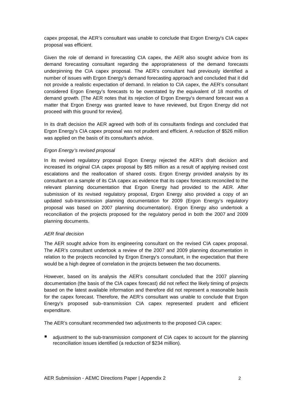capex proposal, the AER's consultant was unable to conclude that Ergon Energy's CIA capex proposal was efficient.

Given the role of demand in forecasting CIA capex, the AER also sought advice from its demand forecasting consultant regarding the appropriateness of the demand forecasts underpinning the CIA capex proposal. The AER's consultant had previously identified a number of issues with Ergon Energy's demand forecasting approach and concluded that it did not provide a realistic expectation of demand. In relation to CIA capex, the AER's consultant considered Ergon Energy's forecasts to be overstated by the equivalent of 18 months of demand growth. [The AER notes that its rejection of Ergon Energy's demand forecast was a matter that Ergon Energy was granted leave to have reviewed, but Ergon Energy did not proceed with this ground for review].

In its draft decision the AER agreed with both of its consultants findings and concluded that Ergon Energy's CIA capex proposal was not prudent and efficient. A reduction of \$526 million was applied on the basis of its consultant's advice.

#### Ergon Energy's revised proposal

In its revised regulatory proposal Ergon Energy rejected the AER's draft decision and increased its original CIA capex proposal by \$85 million as a result of applying revised cost escalations and the reallocation of shared costs. Ergon Energy provided analysis by its consultant on a sample of its CIA capex as evidence that its capex forecasts reconciled to the relevant planning documentation that Ergon Energy had provided to the AER. After submission of its revised regulatory proposal, Ergon Energy also provided a copy of an updated sub-transmission planning documentation for 2009 (Ergon Energy's regulatory proposal was based on 2007 planning documentation). Ergon Energy also undertook a reconciliation of the projects proposed for the regulatory period in both the 2007 and 2009 planning documents.

#### AER final decision

The AER sought advice from its engineering consultant on the revised CIA capex proposal. The AER's consultant undertook a review of the 2007 and 2009 planning documentation in relation to the projects reconciled by Ergon Energy's consultant, in the expectation that there would be a high degree of correlation in the projects between the two documents.

However, based on its analysis the AER's consultant concluded that the 2007 planning documentation (the basis of the CIA capex forecast) did not reflect the likely timing of projects based on the latest available information and therefore did not represent a reasonable basis for the capex forecast. Therefore, the AER's consultant was unable to conclude that Ergon Energy's proposed sub–transmission CIA capex represented prudent and efficient expenditure.

The AER's consultant recommended two adjustments to the proposed CIA capex:

 adjustment to the sub-transmission component of CIA capex to account for the planning reconciliation issues identified (a reduction of \$234 million).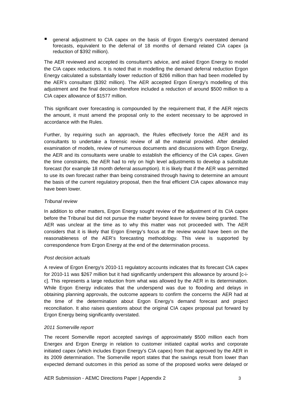**E** general adjustment to CIA capex on the basis of Ergon Energy's overstated demand forecasts, equivalent to the deferral of 18 months of demand related CIA capex (a reduction of \$392 million).

The AER reviewed and accepted its consultant's advice, and asked Ergon Energy to model the CIA capex reductions. It is noted that in modelling the demand deferral reduction Ergon Energy calculated a substantially lower reduction of \$266 million than had been modelled by the AER's consultant (\$392 million). The AER accepted Ergon Energy's modelling of this adjustment and the final decision therefore included a reduction of around \$500 million to a CIA capex allowance of \$1577 million.

This significant over forecasting is compounded by the requirement that, if the AER rejects the amount, it must amend the proposal only to the extent necessary to be approved in accordance with the Rules.

Further, by requiring such an approach, the Rules effectively force the AER and its consultants to undertake a forensic review of all the material provided. After detailed examination of models, review of numerous documents and discussions with Ergon Energy, the AER and its consultants were unable to establish the efficiency of the CIA capex. Given the time constraints, the AER had to rely on high level adjustments to develop a substitute forecast (for example 18 month deferral assumption). It is likely that if the AER was permitted to use its own forecast rather than being constrained through having to determine an amount the basis of the current regulatory proposal, then the final efficient CIA capex allowance may have been lower.

#### Tribunal review

In addition to other matters, Ergon Energy sought review of the adjustment of its CIA capex before the Tribunal but did not pursue the matter beyond leave for review being granted. The AER was unclear at the time as to why this matter was not proceeded with. The AER considers that it is likely that Ergon Energy's focus at the review would have been on the reasonableness of the AER's forecasting methodology. This view is supported by correspondence from Ergon Energy at the end of the determination process.

#### Post decision actuals

A review of Ergon Energy's 2010-11 regulatory accounts indicates that its forecast CIA capex for 2010-11 was \$267 million but it had significantly underspent this allowance by around [c-ic]. This represents a large reduction from what was allowed by the AER in its determination. While Ergon Energy indicates that the underspend was due to flooding and delays in obtaining planning approvals, the outcome appears to confirm the concerns the AER had at the time of the determination about Ergon Energy's demand forecast and project reconciliation. It also raises questions about the original CIA capex proposal put forward by Ergon Energy being significantly overstated.

#### 2011 Somerville report

The recent Somerville report accepted savings of approximately \$500 million each from Energex and Ergon Energy in relation to customer initiated capital works and corporate initiated capex (which includes Ergon Energy's CIA capex) from that approved by the AER in its 2009 determination. The Somerville report states that the savings result from lower than expected demand outcomes in this period as some of the proposed works were delayed or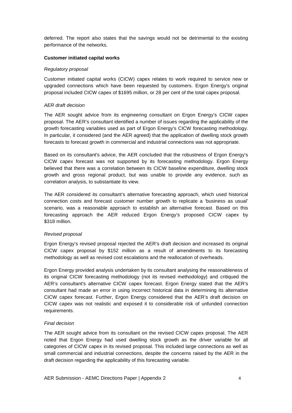deferred. The report also states that the savings would not be detrimental to the existing performance of the networks.

#### **Customer initiated capital works**

#### Regulatory proposal

Customer initiated capital works (CICW) capex relates to work required to service new or upgraded connections which have been requested by customers. Ergon Energy's original proposal included CICW capex of \$1695 million, or 28 per cent of the total capex proposal.

#### AER draft decision

The AER sought advice from its engineering consultant on Ergon Energy's CICW capex proposal. The AER's consultant identified a number of issues regarding the applicability of the growth forecasting variables used as part of Ergon Energy's CICW forecasting methodology. In particular, it considered (and the AER agreed) that the application of dwelling stock growth forecasts to forecast growth in commercial and industrial connections was not appropriate.

Based on its consultant's advice, the AER concluded that the robustness of Ergon Energy's CICW capex forecast was not supported by its forecasting methodology. Ergon Energy believed that there was a correlation between its CICW baseline expenditure, dwelling stock growth and gross regional product, but was unable to provide any evidence, such as correlation analysis, to substantiate its view.

The AER considered its consultant's alternative forecasting approach, which used historical connection costs and forecast customer number growth to replicate a 'business as usual' scenario, was a reasonable approach to establish an alternative forecast. Based on this forecasting approach the AER reduced Ergon Energy's proposed CICW capex by \$318 million.

#### Revised proposal

Ergon Energy's revised proposal rejected the AER's draft decision and increased its original CICW capex proposal by \$152 million as a result of amendments to its forecasting methodology as well as revised cost escalations and the reallocation of overheads.

Ergon Energy provided analysis undertaken by its consultant analysing the reasonableness of its original CICW forecasting methodology (not its revised methodology) and critiqued the AER's consultant's alternative CICW capex forecast. Ergon Energy stated that the AER's consultant had made an error in using incorrect historical data in determining its alternative CICW capex forecast. Further, Ergon Energy considered that the AER's draft decision on CICW capex was not realistic and exposed it to considerable risk of unfunded connection requirements.

#### Final decision

The AER sought advice from its consultant on the revised CICW capex proposal. The AER noted that Ergon Energy had used dwelling stock growth as the driver variable for all categories of CICW capex in its revised proposal. This included large connections as well as small commercial and industrial connections, despite the concerns raised by the AER in the draft decision regarding the applicability of this forecasting variable.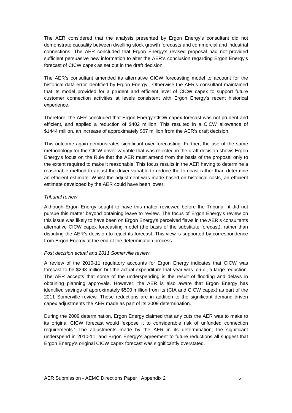The AER considered that the analysis presented by Ergon Energy's consultant did not demonstrate causality between dwelling stock growth forecasts and commercial and industrial connections. The AER concluded that Ergon Energy's revised proposal had not provided sufficient persuasive new information to alter the AER's conclusion regarding Ergon Energy's forecast of CICW capex as set out in the draft decision.

The AER's consultant amended its alternative CICW forecasting model to account for the historical data error identified by Ergon Energy. Otherwise the AER's consultant maintained that its model provided for a prudent and efficient level of CICW capex to support future customer connection activities at levels consistent with Ergon Energy's recent historical experience.

Therefore, the AER concluded that Ergon Energy CICW capex forecast was not prudent and efficient, and applied a reduction of \$402 million. This resulted in a CICW allowance of \$1444 million, an increase of approximately \$67 million from the AER's draft decision.

This outcome again demonstrates significant over forecasting. Further, the use of the same methodology for the CICW driver variable that was rejected in the draft decision shows Ergon Energy's focus on the Rule that the AER must amend from the basis of the proposal only to the extent required to make it reasonable. This focus results in the AER having to determine a reasonable method to adjust the driver variable to reduce the forecast rather than determine an efficient estimate. Whilst the adjustment was made based on historical costs, an efficient estimate developed by the AER could have been lower.

#### Tribunal review

Although Ergon Energy sought to have this matter reviewed before the Tribunal, it did not pursue this matter beyond obtaining leave to review. The focus of Ergon Energy's review on this issue was likely to have been on Ergon Energy's perceived flaws in the AER's consultants alternative CICW capex forecasting model (the basis of the substitute forecast), rather than disputing the AER's decision to reject its forecast. This view is supported by correspondence from Ergon Energy at the end of the determination process.

#### Post decision actual and 2011 Somerville review

A review of the 2010-11 regulatory accounts for Ergon Energy indicates that CICW was forecast to be \$298 million but the actual expenditure that year was [c-i-c], a large reduction. The AER accepts that some of the underspending is the result of flooding and delays in obtaining planning approvals. However, the AER is also aware that Ergon Energy has identified savings of approximately \$500 million from its (CIA and CICW capex) as part of the 2011 Somerville review. These reductions are in addition to the significant demand driven capex adjustments the AER made as part of its 2009 determination.

During the 2009 determination, Ergon Energy claimed that any cuts the AER was to make to its original CICW forecast would 'expose it to considerable risk of unfunded connection requirements.' The adjustments made by the AER in its determination; the significant underspend in 2010-11; and Ergon Energy's agreement to future reductions all suggest that Ergon Energy's original CICW capex forecast was significantly overstated.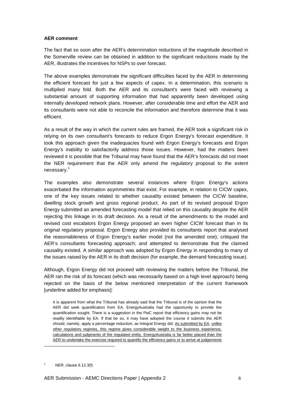#### **AER comment**

The fact that so soon after the AER's determination reductions of the magnitude described in the Somerville review can be obtained in addition to the significant reductions made by the AER, illustrates the incentives for NSPs to over forecast.

The above examples demonstrate the significant difficulties faced by the AER in determining the efficient forecast for just a few aspects of capex. In a determination, this scenario is multiplied many fold. Both the AER and its consultant's were faced with reviewing a substantial amount of supporting information that had apparently been developed using internally developed network plans. However, after considerable time and effort the AER and its consultants were not able to reconcile the information and therefore determine that it was efficient.

As a result of the way in which the current rules are framed, the AER took a significant risk in relying on its own consultant's forecasts to reduce Ergon Energy's forecast expenditure. It took this approach given the inadequacies found with Ergon Energy's forecasts and Ergon Energy's inability to satisfactorily address those issues. However, had the matters been reviewed it is possible that the Tribunal may have found that the AER's forecasts did not meet the NER requirement that the AER only amend the regulatory proposal to the extent necessary.<sup>1</sup>

The examples also demonstrate several instances where Ergon Energy's actions exacerbated the information asymmetries that exist. For example, in relation to CICW capex, one of the key issues related to whether causality existed between the CICW baseline, dwelling stock growth and gross regional product. As part of its revised proposal Ergon Energy submitted an amended forecasting model that relied on this causality despite the AER rejecting this linkage in its draft decision. As a result of the amendments to the model and revised cost escalators Ergon Energy proposed an even higher CICW forecast than in its original regulatory proposal. Ergon Energy also provided its consultants report that analysed the reasonableness of Ergon Energy's earlier model (not the amended one); critiqued the AER's consultants forecasting approach; and attempted to demonstrate that the claimed causality existed. A similar approach was adopted by Ergon Energy in responding to many of the issues raised by the AER in its draft decision (for example, the demand forecasting issue).

Although, Ergon Energy did not proceed with reviewing the matters before the Tribunal, the AER ran the risk of its forecast (which was necessarily based on a high level approach) being rejected on the basis of the below mentioned interpretation of the current framework [underline added for emphasis]:

It is apparent from what the Tribunal has already said that the Tribunal is of the opinion that the AER did seek quantification from EA. EnergyAustralia had the opportunity to provide the quantification sought. There is a suggestion in the PwC report that efficiency gains may not be readily identifiable by EA. If that be so, it may have adopted the course it submits the AER should, namely, apply a percentage reduction, as Integral Energy did. As submitted by EA, unlike other regulatory regimes, this regime gives considerable weight to the business experience, calculations and judgments of the regulated entity. EnergyAustralia is far better placed than the AER to undertake the exercise required to quantify the efficiency gains or to arrive at judgements

1 NER, clause 6.12.3(f)

 $\overline{a}$ 

AER Submission - AEMC Directions Paper | Appendix 2 6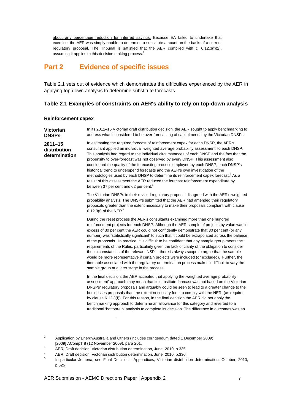about any percentage reduction for inferred savings. Because EA failed to undertake that exercise, the AER was simply unable to determine a substitute amount on the basis of a current regulatory proposal. The Tribunal is satisfied that the AER complied with cl 6.12.3(f)(2), assuming it applies to this decision making process.<sup>2</sup>

# **Part 2 Evidence of specific issues**

Table 2.1 sets out of evidence which demonstrates the difficulties experienced by the AER in applying top down analysis to determine substitute forecasts.

#### **Table 2.1 Examples of constraints on AER's ability to rely on top-down analysis**

#### **Reinforcement capex**

l

**Victorian DNSPs 2011–15 distribution determination**  In its 2011–15 Victorian draft distribution decision, the AER sought to apply benchmarking to address what it considered to be over-forecasting of capital needs by the Victorian DNSPs. In estimating the required forecast of reinforcement capex for each DNSP, the AER's consultant applied an individual 'weighted average probability assessment' to each DNSP. This analysis had regard to the individual circumstances of each DNSP and the fact that the propensity to over-forecast was not observed by every DNSP. This assessment also considered the quality of the forecasting process employed by each DNSP, each DNSP's historical trend to underspend forecasts and the AER's own investigation of the methodologies used by each DNSP to determine its reinforcement capex forecast.<sup>3</sup> As a result of this assessment the AER reduced the forecast reinforcement expenditure by between 37 per cent and 62 per cent.<sup>4</sup> The Victorian DNSPs in their revised regulatory proposal disagreed with the AER's weighted probability analysis. The DNSP's submitted that the AER had amended their regulatory proposals greater than the extent necessary to make their proposals compliant with clause 6.12.3(f) of the NER. $5$ During the reset process the AER's consultants examined more than one hundred reinforcement projects for each DNSP. Although the AER sample of projects by value was in excess of 30 per cent the AER could not confidently demonstrate that 30 per cent (or any number) was 'statistically significant' to such that it could be extrapolated across the balance of the proposals. In practice, it is difficult to be confident that any sample group meets the requirements of the Rules, particularly given the lack of clarity of the obligation to consider the 'circumstances of the relevant NSP' – there is always scope to argue that the sample would be more representative if certain projects were included (or excluded). Further, the timetable associated with the regulatory determination process makes it difficult to vary the sample group at a later stage in the process. In the final decision, the AER accepted that applying the 'weighted average probability assessment' approach may mean that its substitute forecast was not based on the Victorian DNSPs' regulatory proposals and arguably could be seen to lead to a greater change to the businesses proposals than the extent necessary for it to comply with the NER, (as required by clause 6.12.3(f)). For this reason, in the final decision the AER did not apply the benchmarking approach to determine an allowance for this category and reverted to a traditional 'bottom-up' analysis to complete its decision. The difference in outcomes was an

<sup>2</sup> Application by EnergyAustralia and Others (includes corrigendum dated 1 December 2009) [2009] ACompT 8 (12 November 2009), para 201.

<sup>3</sup> AER, Draft decision, Victorian distribution determination, June, 2010, p.335.

<sup>4</sup> AER, Draft decision, Victorian distribution determination, June, 2010, p.336.

<sup>5</sup> In particular Jemena, see Final Decision - Appendices, Victorian distribution determination, October, 2010, p.525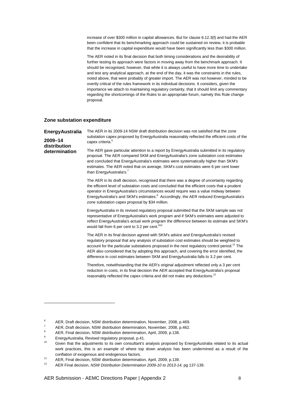increase of over \$300 million in capital allowances. But for clause 6.12.3(f) and had the AER been confident that its benchmarking approach could be sustained on review, it is probable that the increase in capital expenditure would have been significantly less than \$300 million.

The AER noted in its final decision that both timing considerations and the desirability of further testing its approach were factors in moving away from the benchmark approach. It should be recognised, however, that while it is always useful to have more time to undertake and test any analytical approach, at the end of the day, it was the constraints in the rules, noted above, that were probably of greater import. The AER was not however, minded to be overtly critical of the rules framework in its individual decisions. It considers, given the importance we attach to maintaining regulatory certainty, that it should limit any commentary regarding the shortcomings of the Rules to an appropriate forum, namely this Rule change proposal.

#### **Zone substation expenditure**

**EnergyAustralia 2009–14 distribution determination**  The AER in its 2009-14 NSW draft distribution decision was not satisfied that the zone substation capex proposed by EnergyAustralia reasonably reflected the efficient costs of the capex criteria.<sup>6</sup> The AER gave particular attention to a report by EnergyAustralia submitted in its regulatory proposal. The AER compared SKM and EnergyAustralia's zone substation cost estimates and concluded that EnergyAustralia's estimates were systematically higher than SKM's estimates. The AER noted that on average, SKM's cost estimates were 6 per cent lower than EnergyAustralia's.<sup>7</sup> The AER in its draft decision, recognised that there was a degree of uncertainty regarding the efficient level of substation costs and concluded that the efficient costs that a prudent operator in EnergyAustralia's circumstances would require was a value midway between EnergyAustralia's and SKM's estimates.<sup>8</sup> Accordingly, the AER reduced EnergyAustralia's zone substation capex proposal by \$34 million. EnergyAustralia in its revised regulatory proposal submitted that the SKM sample was not representative of EnergyAustralia's work program and if SKM's estimates were adjusted to reflect EnergyAustralia's actual work program the difference between its estimate and SKM's would fall from 6 per cent to 3.2 per cent.<sup>910</sup> The AER in its final decision agreed with SKM's advice and EnergyAustralia's revised regulatory proposal that any analysis of substation cost estimates should be weighted to account for the particular substations proposed in the next regulatory control period.<sup>11</sup> The AER also considered that by adopting this approach, and covering the error identified, the difference in cost estimates between SKM and EnergyAustralia falls to 3.2 per cent. Therefore, notwithstanding that the AER's original adjustment reflected only a 3 per cent reduction in costs, in its final decision the AER accepted that EnergyAustralia's proposal reasonably reflected the capex criteria and did not make any deductions.<sup>12</sup>

l

AER Submission - AEMC Directions Paper | Appendix 2 8

<sup>6</sup> AER, Draft decision, NSW distribution determination, November, 2008, p.469.

<sup>7</sup> AER, Draft decision, NSW distribution determination, November, 2008, p.462.  $\mathbf{Q}$ 

AER, Final decision, NSW distribution determination, April, 2009, p.138.

 $\alpha$ EnergyAustralia, Revised regulatory proposal, p.41.

Given that the adjustments to its own consultant's analysis proposed by EnergyAustralia related to its actual work practices, this is an example of where top down analysis has been undermined as a result of the conflation of exogenous and endogenous factors.

<sup>11</sup> AER, Final decision, NSW distribution determination, April, 2009, p.139.

<sup>12</sup> AER Final decision, NSW Distribution Determination 2009-10 to 2013-14, pg 137-139.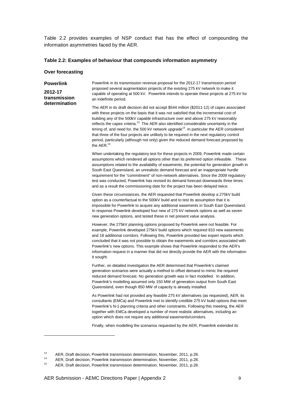Table 2.2 provides examples of NSP conduct that has the effect of compounding the information asymmetries faced by the AER.

#### **Table 2.2: Examples of behaviour that compounds information asymmetry**

|  | Over forecasting |
|--|------------------|
|  |                  |

| <b>Powerlink</b><br>2012-17<br>transmission<br>determination | Powerlink in its transmission revenue proposal for the 2012-17 transmission period<br>proposed several augmentation projects of the existing 275 kV network to make it<br>capable of operating at 500 kV. Powerlink intends to operate these projects at 275 kV for<br>an indefinite period.                                                                                                                                                                                                                                                                                                                                                                                                               |
|--------------------------------------------------------------|------------------------------------------------------------------------------------------------------------------------------------------------------------------------------------------------------------------------------------------------------------------------------------------------------------------------------------------------------------------------------------------------------------------------------------------------------------------------------------------------------------------------------------------------------------------------------------------------------------------------------------------------------------------------------------------------------------|
|                                                              | The AER in its draft decision did not accept \$544 million (\$2011-12) of capex associated<br>with these projects on the basis that it was not satisfied that the incremental cost of<br>building any of the 500kV capable infrastructure over and above 275 kV reasonably<br>reflects the capex criteria. <sup>13</sup> The AER also identified considerable uncertainty in the<br>timing of, and need for, the 500 kV network upgrade <sup>14</sup> . In particular the AER considered<br>that three of the four projects are unlikely to be required in the next regulatory control<br>period, particularly (although not only) given the reduced demand forecast proposed by<br>the AER. <sup>15</sup> |
|                                                              | When undertaking the regulatory test for these projects in 2009, Powerlink made certain<br>assumptions which rendered all options other than its preferred option infeasible. These<br>assumptions related to the availability of easements, the potential for generation growth in<br>South East Queensland, an unrealistic demand forecast and an inappropriate hurdle<br>requirement for the "commitment" of non-network alternatives. Since the 2009 regulatory<br>test was conducted, Powerlink has revised its demand forecast downwards three times<br>and as a result the commissioning date for the project has been delayed twice.                                                               |
|                                                              | Given these circumstances, the AER requested that Powerlink develop a 275kV build<br>option as a counterfactual to the 500kV build and to test its assumption that it is<br>impossible for Powerlink to acquire any additional easements in South East Queensland.<br>In response Powerlink developed four new of 275 kV network options as well as seven<br>new generation options, and tested these in net present value analysis.                                                                                                                                                                                                                                                                       |
|                                                              | However, the 275kV planning options proposed by Powerlink were not feasible. For<br>example, Powerlink developed 275kV build options which required 810 new easements<br>and 18 additional corridors. Following this, Powerlink provided two expert reports which<br>concluded that it was not possible to obtain the easements and corridors associated with<br>Powerlink's new options. This example shows that Powerlink responded to the AER's<br>information request in a manner that did not directly provide the AER with the information<br>it sought.                                                                                                                                             |
|                                                              | Further, on detailed investigation the AER determined that Powerlink's claimed<br>generation scenarios were actually a method to offset demand to mimic the required<br>reduced demand forecast. No generation growth was in fact modelled. In addition,<br>Powerlink's modelling assumed only 150 MW of generation output from South East<br>Queensland, even though 850 MW of capacity is already installed.                                                                                                                                                                                                                                                                                             |
|                                                              | As Powerlink had not provided any feasible 275 kV alternatives (as requested), AER, its<br>consultants (EMCa) and Powerlink met to identify credible 275 kV build options that meet<br>Powerlink's N-1 planning criteria and other constraints. Following this meeting, the AER<br>together with EMCa developed a number of more realistic alternatives, including an<br>option which does not require any additional easements/corridors.                                                                                                                                                                                                                                                                 |
|                                                              | Finally, when modelling the scenarios requested by the AER, Powerlink extended its                                                                                                                                                                                                                                                                                                                                                                                                                                                                                                                                                                                                                         |

<sup>13</sup> AER, Draft decision, Powerlink transmission determination, November, 2011, p.28.

<sup>14</sup> AER, Draft decision, Powerlink transmission determination, November, 2011, p.28.<br>15 AER, Preft decision, Powerlink transmission determination, November, 2011, p.29.

<sup>15</sup> AER, Draft decision, Powerlink transmission determination, November, 2011, p.28.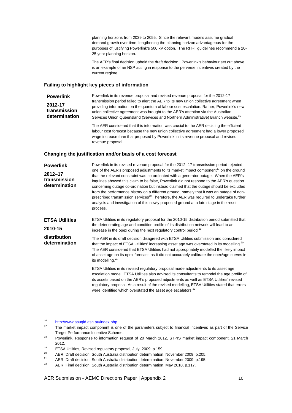planning horizons from 2039 to 2055. Since the relevant models assume gradual demand growth over time, lengthening the planning horizon advantageous for the purposes of justifying Powerlink's 500 kV option. The RIT-T guidelines recommend a 20- 25 year planning horizon.

The AER's final decision upheld the draft decision. Powerlink's behaviour set out above is an example of an NSP acting in response to the perverse incentives created by the current regime.

#### **Failing to highlight key pieces of information**

**Powerlink 2012-17 transmission determination**  Powerlink in its revenue proposal and revised revenue proposal for the 2012-17 transmission period failed to alert the AER to its new union collective agreement when providing information on the quantum of labour cost escalation. Rather, Powerlink's new union collective agreement was brought to the AER's attention via the Australian Services Union Queensland (Services and Northern Administrative) Branch website.<sup>16</sup>

> The AER considered that this information was crucial to the AER deciding the efficient labour cost forecast because the new union collective agreement had a lower proposed wage increase than that proposed by Powerlink in its revenue proposal and revised revenue proposal.

#### **Changing the justification and/or basis of a cost forecast**

| <b>Powerlink</b>                             | Powerlink in its revised revenue proposal for the 2012 -17 transmission period rejected                                                                                                                                                                                                                                                                                                                                                                                                                                                                                                                                                                                                   |
|----------------------------------------------|-------------------------------------------------------------------------------------------------------------------------------------------------------------------------------------------------------------------------------------------------------------------------------------------------------------------------------------------------------------------------------------------------------------------------------------------------------------------------------------------------------------------------------------------------------------------------------------------------------------------------------------------------------------------------------------------|
| $2012 - 17$<br>transmission<br>determination | one of the AER's proposed adjustments to its market impact component <sup>17</sup> on the ground<br>that the relevant constraint was co-ordinated with a generator outage. When the AER's<br>inquiries showed this claim to be false, Powerlink did not respond to the AER's question<br>concerning outage co-ordination but instead claimed that the outage should be excluded<br>from the performance history on a different ground, namely that it was an outage of non-<br>prescribed transmission services <sup>18</sup> . Therefore, the AER was required to undertake further<br>analysis and investigation of this newly proposed ground at a late stage in the reset<br>process. |
| <b>ETSA Utilities</b><br>2010-15             | ETSA Utilities in its regulatory proposal for the 2010-15 distribution period submitted that<br>the deteriorating age and condition profile of its distribution network will lead to an<br>increase in the opex during the next regulatory control period. <sup>19</sup>                                                                                                                                                                                                                                                                                                                                                                                                                  |
| distribution<br>determination                | The AER in its draft decision disagreed with ETSA Utilities submission and considered<br>that the impact of ETSA Utilities' increasing asset age was overstated in its modelling. <sup>20</sup><br>The AER considered that ETSA Utilities had not appropriately modelled the likely impact<br>of asset age on its opex forecast, as it did not accurately calibrate the opex/age curves in<br>its modelling. <sup>21</sup>                                                                                                                                                                                                                                                                |
|                                              | ETSA Utilities in its revised regulatory proposal made adjustments to its asset age<br>escalation model. ETSA Utilities also advised its consultants to remodel the age profile of<br>its assets based on the AER's proposed adjustments as well as ETSA Utilities' revised<br>regulatory proposal. As a result of the revised modelling, ETSA Utilities stated that errors<br>were identified which overstated the asset age escalators. <sup>22</sup>                                                                                                                                                                                                                                   |

16 <sup>16</sup> http://www.asuqld.asn.au/index.php

l

AER Submission - AEMC Directions Paper | Appendix 2 10

The market impact component is one of the parameters subject to financial incentives as part of the Service Target Performance Incentive Scheme.

<sup>&</sup>lt;sup>18</sup> Powerlink, Response to information request of 20 March 2012, STPIS market impact component, 21 March 2012.

<sup>19</sup> ETSA Utilities, Revised regulatory proposal, July, 2009, p.159.

<sup>&</sup>lt;sup>20</sup> AER, Draft decision, South Australia distribution determination, November 2009, p.205.

<sup>&</sup>lt;sup>21</sup> AER, Draft decision, South Australia distribution determination, November 2009, p.195.

<sup>22</sup> AER, Final decision, South Australia distribution determination, May 2010, p.117.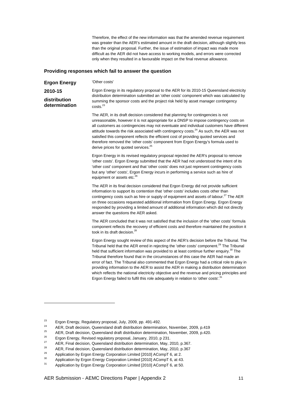Therefore, the effect of the new information was that the amended revenue requirement was greater than the AFR's estimated amount in the draft decision, although slightly less than the original proposal. Further, the issue of estimation of impact was made more difficult as the AER did not have access to working models, and errors were corrected only when they resulted in a favourable impact on the final revenue allowance.

#### **Providing responses which fail to answer the question**

**Ergon Energy 2010-15 distribution determination**  'Other costs' Ergon Energy in its regulatory proposal to the AER for its 2010-15 Queensland electricity distribution determination submitted an 'other costs' component which was calculated by summing the sponsor costs and the project risk held by asset manager contingency costs.<sup>23</sup>

The AER, in its draft decision considered that planning for contingencies is not unreasonable, however it is not appropriate for a DNSP to impose contingency costs on all customers as contingencies may not eventuate and individual customers have different attitude towards the risk associated with contingency costs.<sup>24</sup> As such, the AER was not satisfied this component reflects the efficient cost of providing quoted services and therefore removed the 'other costs' component from Ergon Energy's formula used to derive prices for quoted services.<sup>25</sup>

Ergon Energy in its revised regulatory proposal rejected the AER's proposal to remove 'other costs'. Ergon Energy submitted that the AER had not understood the intent of its 'other cost' component and that 'other costs' does not just represent contingency costs but any 'other' costs', Ergon Energy incurs in performing a service such as hire of equipment or assets etc.<sup>26</sup>

The AER in its final decision considered that Ergon Energy did not provide sufficient information to support its contention that 'other costs' includes costs other than contingency costs such as hire or supply of equipment and assets of labour.<sup>27</sup> The AER on three occasions requested additional information from Ergon Energy. Ergon Energy responded by providing a limited amount of additional information which did not directly answer the questions the AER asked.

The AER concluded that it was not satisfied that the inclusion of the 'other costs' formula component reflects the recovery of efficient costs and therefore maintained the position it took in its draft decision.<sup>28</sup>

Ergon Energy sought review of this aspect of the AER's decision before the Tribunal. The Tribunal held that the AER erred in rejecting the 'other costs' component.<sup>29</sup> The Tribunal held that sufficient information was provided to at least continue further enquiry.<sup>30</sup> The Tribunal therefore found that in the circumstances of this case the AER had made an error of fact. The Tribunal also commented that Ergon Energy had a critical role to play in providing information to the AER to assist the AER in making a distribution determination which reflects the national electricity objective and the revenue and pricing principles and Ergon Energy failed to fulfil this role adequately in relation to 'other costs'.<sup>3</sup>

<sup>&</sup>lt;sup>23</sup> Ergon Energy, Regulatory proposal, July, 2009, pp. 491-492.

<sup>&</sup>lt;sup>24</sup> AER, Draft decision, Queensland draft distribution determination, November, 2009, p.419

<sup>&</sup>lt;sup>25</sup> AER, Draft decision, Queensland draft distribution determination, November, 2009, p.420.

<sup>&</sup>lt;sup>26</sup> Ergon Energy, Revised regulatory proposal, January, 2010, p 231.

<sup>&</sup>lt;sup>27</sup> AER, Final decision, Queensland distribution determination, May, 2010, p.367.

<sup>&</sup>lt;sup>28</sup> AER, Final decision, Queensland distribution determination, May, 2010, p.367

<sup>29</sup> Application by Ergon Energy Corporation Limited [2010] ACompT 6, at 2.

<sup>&</sup>lt;sup>30</sup> Application by Ergon Energy Corporation Limited [2010] ACompT 6, at 43.

Application by Ergon Energy Corporation Limited [2010] ACompT 6, at 50.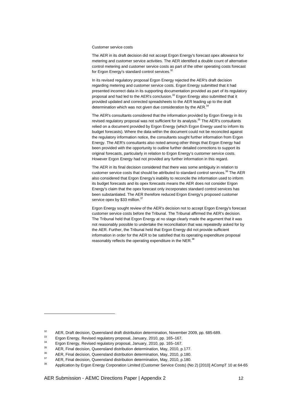#### Customer service costs

The AER in its draft decision did not accept Ergon Energy's forecast opex allowance for metering and customer service activities. The AER identified a double count of alternative control metering and customer service costs as part of the other operating costs forecast for Ergon Energy's standard control services.<sup>32</sup>

In its revised regulatory proposal Ergon Energy rejected the AER's draft decision regarding metering and customer service costs. Ergon Energy submitted that it had presented incorrect data in its supporting documentation provided as part of its regulatory proposal and had led to the AER's conclusion.<sup>33</sup> Ergon Energy also submitted that it provided updated and corrected spreadsheets to the AER leading up to the draft determination which was not given due consideration by the  $AER<sup>3</sup>$ 

The AER's consultants considered that the information provided by Ergon Energy in its revised regulatory proposal was not sufficient for its analysis.<sup>35</sup> The AER's consultants relied on a document provided by Ergon Energy (which Ergon Energy used to inform its budget forecasts). Where the data within the document could not be reconciled against the regulatory information notice, the consultants sought further information from Ergon Energy. The AER's consultants also noted among other things that Ergon Energy had been provided with the opportunity to outline further detailed corrections to support its original forecasts, particularly in relation to Ergon Energy's customer service costs. However Ergon Energy had not provided any further information in this regard.

The AER in its final decision considered that there was some ambiguity in relation to customer service costs that should be attributed to standard control services.<sup>36</sup> The AER also considered that Ergon Energy's inability to reconcile the information used to inform its budget forecasts and its opex forecasts means the AER does not consider Ergon Energy's claim that the opex forecast only incorporates standard control services has been substantiated. The AER therefore reduced Ergon Energy's proposed customer service opex by \$33 million.<sup>37</sup>

Ergon Energy sought review of the AER's decision not to accept Ergon Energy's forecast customer service costs before the Tribunal. The Tribunal affirmed the AER's decision. The Tribunal held that Ergon Energy at no stage clearly made the argument that it was not reasonably possible to undertake the reconciliation that was repeatedly asked for by the AER. Further, the Tribunal held that Ergon Energy did not provide sufficient information in order for the AER to be satisfied that its operating expenditure proposal reasonably reflects the operating expenditure in the NER.<sup>38</sup>

AER Submission - AEMC Directions Paper | Appendix 2 12

<sup>&</sup>lt;sup>32</sup> AER, Draft decision, Queensland draft distribution determination, November 2009, pp. 685-689.

<sup>33</sup> Ergon Energy, Revised regulatory proposal, January, 2010, pp. 165–167.

<sup>34</sup> Ergon Energy, Revised regulatory proposal, January, 2010, pp. 165–167.

<sup>&</sup>lt;sup>35</sup> AER, Final decision, Queensland distribution determination, May, 2010, p.177.

 $^{36}$  AER, Final decision, Queensland distribution determination, May, 2010, p.180.

<sup>&</sup>lt;sup>37</sup> AER, Final decision, Queensland distribution determination, May, 2010, p.180.

<sup>38</sup> Application by Ergon Energy Corporation Limited (Customer Service Costs) (No 2) [2010] ACompT 10 at 64-65